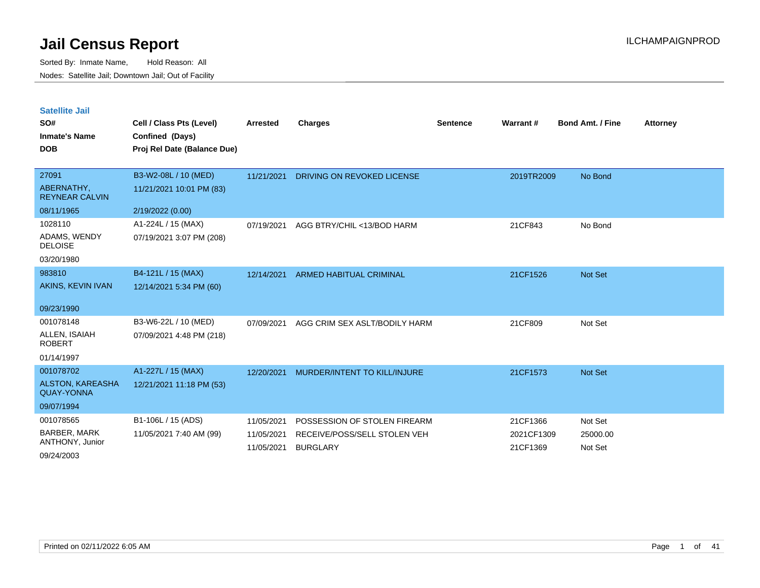| <b>Satellite Jail</b> |  |
|-----------------------|--|
|                       |  |

| SO#<br><b>Inmate's Name</b><br><b>DOB</b> | Cell / Class Pts (Level)<br>Confined (Days)<br>Proj Rel Date (Balance Due) | <b>Arrested</b>          | <b>Charges</b>                                  | <b>Sentence</b> | Warrant #              | <b>Bond Amt. / Fine</b> | <b>Attorney</b> |
|-------------------------------------------|----------------------------------------------------------------------------|--------------------------|-------------------------------------------------|-----------------|------------------------|-------------------------|-----------------|
| 27091                                     | B3-W2-08L / 10 (MED)                                                       | 11/21/2021               | DRIVING ON REVOKED LICENSE                      |                 | 2019TR2009             | No Bond                 |                 |
| ABERNATHY,<br><b>REYNEAR CALVIN</b>       | 11/21/2021 10:01 PM (83)                                                   |                          |                                                 |                 |                        |                         |                 |
| 08/11/1965                                | 2/19/2022 (0.00)                                                           |                          |                                                 |                 |                        |                         |                 |
| 1028110                                   | A1-224L / 15 (MAX)                                                         | 07/19/2021               | AGG BTRY/CHIL <13/BOD HARM                      |                 | 21CF843                | No Bond                 |                 |
| ADAMS, WENDY<br><b>DELOISE</b>            | 07/19/2021 3:07 PM (208)                                                   |                          |                                                 |                 |                        |                         |                 |
| 03/20/1980                                |                                                                            |                          |                                                 |                 |                        |                         |                 |
| 983810                                    | B4-121L / 15 (MAX)                                                         | 12/14/2021               | <b>ARMED HABITUAL CRIMINAL</b>                  |                 | 21CF1526               | Not Set                 |                 |
| AKINS, KEVIN IVAN                         | 12/14/2021 5:34 PM (60)                                                    |                          |                                                 |                 |                        |                         |                 |
| 09/23/1990                                |                                                                            |                          |                                                 |                 |                        |                         |                 |
| 001078148                                 | B3-W6-22L / 10 (MED)                                                       | 07/09/2021               | AGG CRIM SEX ASLT/BODILY HARM                   |                 | 21CF809                | Not Set                 |                 |
| ALLEN, ISAIAH<br><b>ROBERT</b>            | 07/09/2021 4:48 PM (218)                                                   |                          |                                                 |                 |                        |                         |                 |
| 01/14/1997                                |                                                                            |                          |                                                 |                 |                        |                         |                 |
| 001078702                                 | A1-227L / 15 (MAX)                                                         | 12/20/2021               | <b>MURDER/INTENT TO KILL/INJURE</b>             |                 | 21CF1573               | Not Set                 |                 |
| ALSTON, KAREASHA<br><b>QUAY-YONNA</b>     | 12/21/2021 11:18 PM (53)                                                   |                          |                                                 |                 |                        |                         |                 |
| 09/07/1994                                |                                                                            |                          |                                                 |                 |                        |                         |                 |
| 001078565                                 | B1-106L / 15 (ADS)                                                         | 11/05/2021               | POSSESSION OF STOLEN FIREARM                    |                 | 21CF1366               | Not Set                 |                 |
| <b>BARBER, MARK</b><br>ANTHONY, Junior    | 11/05/2021 7:40 AM (99)                                                    | 11/05/2021<br>11/05/2021 | RECEIVE/POSS/SELL STOLEN VEH<br><b>BURGLARY</b> |                 | 2021CF1309<br>21CF1369 | 25000.00<br>Not Set     |                 |
| 09/24/2003                                |                                                                            |                          |                                                 |                 |                        |                         |                 |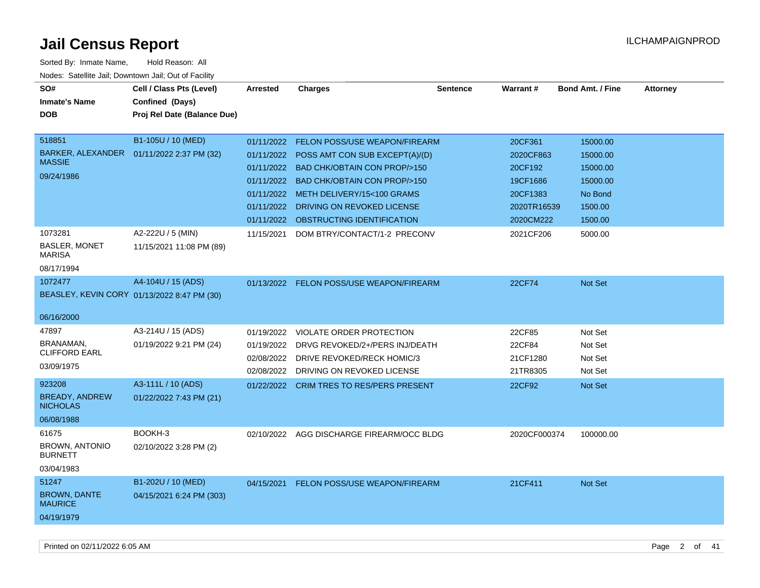| SO#<br><b>Inmate's Name</b><br><b>DOB</b>                                                                             | Cell / Class Pts (Level)<br>Confined (Days)<br>Proj Rel Date (Balance Due)                     | <b>Arrested</b>                                                    | <b>Charges</b>                                                                                                                                                                                                                                                                                              | <b>Sentence</b> | Warrant#                                                                                         | <b>Bond Amt. / Fine</b>                                                                  | <b>Attorney</b> |
|-----------------------------------------------------------------------------------------------------------------------|------------------------------------------------------------------------------------------------|--------------------------------------------------------------------|-------------------------------------------------------------------------------------------------------------------------------------------------------------------------------------------------------------------------------------------------------------------------------------------------------------|-----------------|--------------------------------------------------------------------------------------------------|------------------------------------------------------------------------------------------|-----------------|
| 518851<br><b>BARKER, ALEXANDER</b><br><b>MASSIE</b><br>09/24/1986<br>1073281<br><b>BASLER, MONET</b><br><b>MARISA</b> | B1-105U / 10 (MED)<br>01/11/2022 2:37 PM (32)<br>A2-222U / 5 (MIN)<br>11/15/2021 11:08 PM (89) | 01/11/2022<br>01/11/2022<br>01/11/2022<br>01/11/2022<br>11/15/2021 | <b>FELON POSS/USE WEAPON/FIREARM</b><br>01/11/2022 POSS AMT CON SUB EXCEPT(A)/(D)<br>01/11/2022 BAD CHK/OBTAIN CON PROP/>150<br><b>BAD CHK/OBTAIN CON PROP/&gt;150</b><br>METH DELIVERY/15<100 GRAMS<br>DRIVING ON REVOKED LICENSE<br>01/11/2022 OBSTRUCTING IDENTIFICATION<br>DOM BTRY/CONTACT/1-2 PRECONV |                 | 20CF361<br>2020CF863<br>20CF192<br>19CF1686<br>20CF1383<br>2020TR16539<br>2020CM222<br>2021CF206 | 15000.00<br>15000.00<br>15000.00<br>15000.00<br>No Bond<br>1500.00<br>1500.00<br>5000.00 |                 |
| 08/17/1994<br>1072477                                                                                                 | A4-104U / 15 (ADS)<br>BEASLEY, KEVIN CORY 01/13/2022 8:47 PM (30)                              | 01/13/2022                                                         | FELON POSS/USE WEAPON/FIREARM                                                                                                                                                                                                                                                                               |                 | 22CF74                                                                                           | Not Set                                                                                  |                 |
| 06/16/2000<br>47897<br>BRANAMAN,<br><b>CLIFFORD EARL</b><br>03/09/1975                                                | A3-214U / 15 (ADS)<br>01/19/2022 9:21 PM (24)                                                  | 01/19/2022<br>01/19/2022<br>02/08/2022                             | <b>VIOLATE ORDER PROTECTION</b><br>DRVG REVOKED/2+/PERS INJ/DEATH<br>DRIVE REVOKED/RECK HOMIC/3<br>02/08/2022 DRIVING ON REVOKED LICENSE                                                                                                                                                                    |                 | 22CF85<br>22CF84<br>21CF1280<br>21TR8305                                                         | Not Set<br>Not Set<br>Not Set<br>Not Set                                                 |                 |
| 923208<br><b>BREADY, ANDREW</b><br><b>NICHOLAS</b><br>06/08/1988                                                      | A3-111L / 10 (ADS)<br>01/22/2022 7:43 PM (21)                                                  | 01/22/2022                                                         | <b>CRIM TRES TO RES/PERS PRESENT</b>                                                                                                                                                                                                                                                                        |                 | 22CF92                                                                                           | Not Set                                                                                  |                 |
| 61675<br><b>BROWN, ANTONIO</b><br><b>BURNETT</b><br>03/04/1983                                                        | BOOKH-3<br>02/10/2022 3:28 PM (2)                                                              |                                                                    | 02/10/2022 AGG DISCHARGE FIREARM/OCC BLDG                                                                                                                                                                                                                                                                   |                 | 2020CF000374                                                                                     | 100000.00                                                                                |                 |
| 51247<br><b>BROWN, DANTE</b><br><b>MAURICE</b><br>04/19/1979                                                          | B1-202U / 10 (MED)<br>04/15/2021 6:24 PM (303)                                                 | 04/15/2021                                                         | <b>FELON POSS/USE WEAPON/FIREARM</b>                                                                                                                                                                                                                                                                        |                 | 21CF411                                                                                          | Not Set                                                                                  |                 |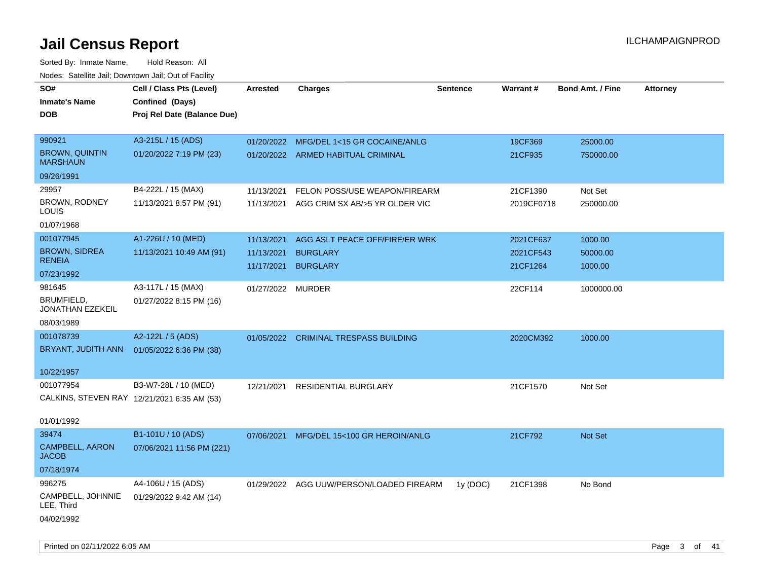Sorted By: Inmate Name, Hold Reason: All Nodes: Satellite Jail; Downtown Jail; Out of Facility

| SO#                                         | Cell / Class Pts (Level)    | Arrested          | <b>Charges</b>                           | <b>Sentence</b> | Warrant#   | <b>Bond Amt. / Fine</b> | <b>Attorney</b> |
|---------------------------------------------|-----------------------------|-------------------|------------------------------------------|-----------------|------------|-------------------------|-----------------|
| <b>Inmate's Name</b>                        | Confined (Days)             |                   |                                          |                 |            |                         |                 |
| <b>DOB</b>                                  | Proj Rel Date (Balance Due) |                   |                                          |                 |            |                         |                 |
|                                             |                             |                   |                                          |                 |            |                         |                 |
| 990921                                      | A3-215L / 15 (ADS)          | 01/20/2022        | MFG/DEL 1<15 GR COCAINE/ANLG             |                 | 19CF369    | 25000.00                |                 |
| <b>BROWN, QUINTIN</b><br><b>MARSHAUN</b>    | 01/20/2022 7:19 PM (23)     |                   | 01/20/2022 ARMED HABITUAL CRIMINAL       |                 | 21CF935    | 750000.00               |                 |
| 09/26/1991                                  |                             |                   |                                          |                 |            |                         |                 |
| 29957                                       | B4-222L / 15 (MAX)          | 11/13/2021        | FELON POSS/USE WEAPON/FIREARM            |                 | 21CF1390   | Not Set                 |                 |
| BROWN, RODNEY<br>LOUIS                      | 11/13/2021 8:57 PM (91)     | 11/13/2021        | AGG CRIM SX AB/>5 YR OLDER VIC           |                 | 2019CF0718 | 250000.00               |                 |
| 01/07/1968                                  |                             |                   |                                          |                 |            |                         |                 |
| 001077945                                   | A1-226U / 10 (MED)          | 11/13/2021        | AGG ASLT PEACE OFF/FIRE/ER WRK           |                 | 2021CF637  | 1000.00                 |                 |
| <b>BROWN, SIDREA</b>                        | 11/13/2021 10:49 AM (91)    | 11/13/2021        | <b>BURGLARY</b>                          |                 | 2021CF543  | 50000.00                |                 |
| <b>RENEIA</b>                               |                             | 11/17/2021        | <b>BURGLARY</b>                          |                 | 21CF1264   | 1000.00                 |                 |
| 07/23/1992                                  |                             |                   |                                          |                 |            |                         |                 |
| 981645                                      | A3-117L / 15 (MAX)          | 01/27/2022 MURDER |                                          |                 | 22CF114    | 1000000.00              |                 |
| BRUMFIELD,<br>JONATHAN EZEKEIL              | 01/27/2022 8:15 PM (16)     |                   |                                          |                 |            |                         |                 |
| 08/03/1989                                  |                             |                   |                                          |                 |            |                         |                 |
| 001078739                                   | A2-122L / 5 (ADS)           |                   | 01/05/2022 CRIMINAL TRESPASS BUILDING    |                 | 2020CM392  | 1000.00                 |                 |
| BRYANT, JUDITH ANN                          | 01/05/2022 6:36 PM (38)     |                   |                                          |                 |            |                         |                 |
| 10/22/1957                                  |                             |                   |                                          |                 |            |                         |                 |
| 001077954                                   | B3-W7-28L / 10 (MED)        | 12/21/2021        | RESIDENTIAL BURGLARY                     |                 | 21CF1570   | Not Set                 |                 |
| CALKINS, STEVEN RAY 12/21/2021 6:35 AM (53) |                             |                   |                                          |                 |            |                         |                 |
|                                             |                             |                   |                                          |                 |            |                         |                 |
| 01/01/1992                                  |                             |                   |                                          |                 |            |                         |                 |
| 39474                                       | B1-101U / 10 (ADS)          | 07/06/2021        | MFG/DEL 15<100 GR HEROIN/ANLG            |                 | 21CF792    | Not Set                 |                 |
| CAMPBELL, AARON<br><b>JACOB</b>             | 07/06/2021 11:56 PM (221)   |                   |                                          |                 |            |                         |                 |
| 07/18/1974                                  |                             |                   |                                          |                 |            |                         |                 |
| 996275                                      | A4-106U / 15 (ADS)          |                   | 01/29/2022 AGG UUW/PERSON/LOADED FIREARM | 1y(DOC)         | 21CF1398   | No Bond                 |                 |
| CAMPBELL, JOHNNIE<br>LEE, Third             | 01/29/2022 9:42 AM (14)     |                   |                                          |                 |            |                         |                 |
| 04/02/1992                                  |                             |                   |                                          |                 |            |                         |                 |

Printed on 02/11/2022 6:05 AM Page 3 of 41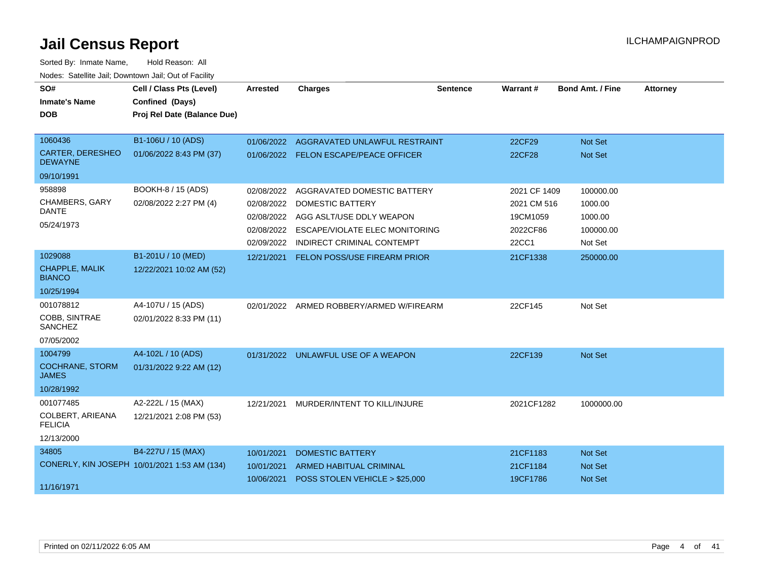| SO#                                       | Cell / Class Pts (Level)                     | <b>Arrested</b> | <b>Charges</b>                        | <b>Sentence</b> | Warrant #    | <b>Bond Amt. / Fine</b> | <b>Attorney</b> |
|-------------------------------------------|----------------------------------------------|-----------------|---------------------------------------|-----------------|--------------|-------------------------|-----------------|
| <b>Inmate's Name</b>                      | Confined (Days)                              |                 |                                       |                 |              |                         |                 |
| <b>DOB</b>                                | Proj Rel Date (Balance Due)                  |                 |                                       |                 |              |                         |                 |
|                                           |                                              |                 |                                       |                 |              |                         |                 |
| 1060436                                   | B1-106U / 10 (ADS)                           | 01/06/2022      | AGGRAVATED UNLAWFUL RESTRAINT         |                 | 22CF29       | Not Set                 |                 |
| <b>CARTER, DERESHEO</b><br><b>DEWAYNE</b> | 01/06/2022 8:43 PM (37)                      |                 | 01/06/2022 FELON ESCAPE/PEACE OFFICER |                 | 22CF28       | Not Set                 |                 |
| 09/10/1991                                |                                              |                 |                                       |                 |              |                         |                 |
| 958898                                    | BOOKH-8 / 15 (ADS)                           | 02/08/2022      | AGGRAVATED DOMESTIC BATTERY           |                 | 2021 CF 1409 | 100000.00               |                 |
| <b>CHAMBERS, GARY</b>                     | 02/08/2022 2:27 PM (4)                       | 02/08/2022      | <b>DOMESTIC BATTERY</b>               |                 | 2021 CM 516  | 1000.00                 |                 |
| <b>DANTE</b>                              |                                              | 02/08/2022      | AGG ASLT/USE DDLY WEAPON              |                 | 19CM1059     | 1000.00                 |                 |
| 05/24/1973                                |                                              | 02/08/2022      | ESCAPE/VIOLATE ELEC MONITORING        |                 | 2022CF86     | 100000.00               |                 |
|                                           |                                              | 02/09/2022      | <b>INDIRECT CRIMINAL CONTEMPT</b>     |                 | 22CC1        | Not Set                 |                 |
| 1029088                                   | B1-201U / 10 (MED)                           | 12/21/2021      | FELON POSS/USE FIREARM PRIOR          |                 | 21CF1338     | 250000.00               |                 |
| <b>CHAPPLE, MALIK</b><br><b>BIANCO</b>    | 12/22/2021 10:02 AM (52)                     |                 |                                       |                 |              |                         |                 |
| 10/25/1994                                |                                              |                 |                                       |                 |              |                         |                 |
| 001078812                                 | A4-107U / 15 (ADS)                           | 02/01/2022      | ARMED ROBBERY/ARMED W/FIREARM         |                 | 22CF145      | Not Set                 |                 |
| COBB, SINTRAE<br>SANCHEZ                  | 02/01/2022 8:33 PM (11)                      |                 |                                       |                 |              |                         |                 |
| 07/05/2002                                |                                              |                 |                                       |                 |              |                         |                 |
| 1004799                                   | A4-102L / 10 (ADS)                           |                 | 01/31/2022 UNLAWFUL USE OF A WEAPON   |                 | 22CF139      | Not Set                 |                 |
| <b>COCHRANE, STORM</b><br><b>JAMES</b>    | 01/31/2022 9:22 AM (12)                      |                 |                                       |                 |              |                         |                 |
| 10/28/1992                                |                                              |                 |                                       |                 |              |                         |                 |
| 001077485                                 | A2-222L / 15 (MAX)                           | 12/21/2021      | MURDER/INTENT TO KILL/INJURE          |                 | 2021CF1282   | 1000000.00              |                 |
| COLBERT, ARIEANA<br><b>FELICIA</b>        | 12/21/2021 2:08 PM (53)                      |                 |                                       |                 |              |                         |                 |
| 12/13/2000                                |                                              |                 |                                       |                 |              |                         |                 |
| 34805                                     | B4-227U / 15 (MAX)                           | 10/01/2021      | <b>DOMESTIC BATTERY</b>               |                 | 21CF1183     | <b>Not Set</b>          |                 |
|                                           | CONERLY, KIN JOSEPH 10/01/2021 1:53 AM (134) | 10/01/2021      | <b>ARMED HABITUAL CRIMINAL</b>        |                 | 21CF1184     | <b>Not Set</b>          |                 |
| 11/16/1971                                |                                              | 10/06/2021      | POSS STOLEN VEHICLE > \$25,000        |                 | 19CF1786     | <b>Not Set</b>          |                 |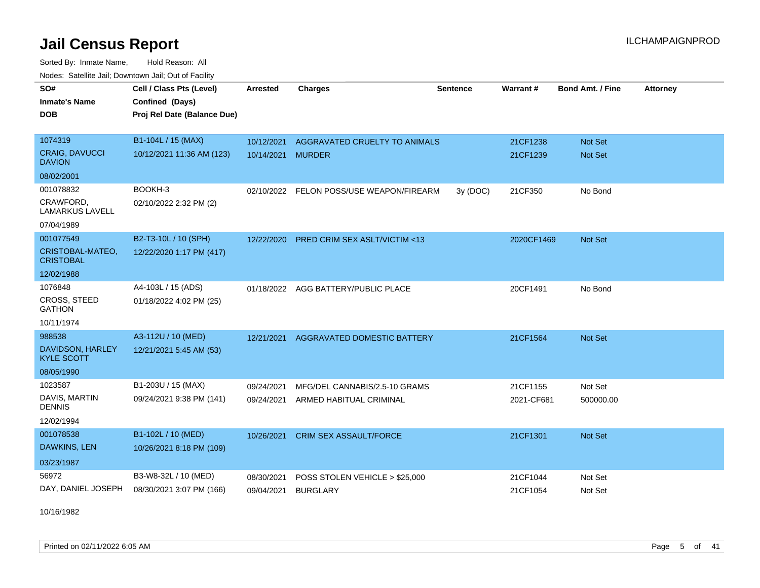Sorted By: Inmate Name, Hold Reason: All Nodes: Satellite Jail; Downtown Jail; Out of Facility

| SO#<br><b>Inmate's Name</b><br><b>DOB</b> | Cell / Class Pts (Level)<br>Confined (Days)<br>Proj Rel Date (Balance Due) | <b>Arrested</b> | <b>Charges</b>                           | <b>Sentence</b> | Warrant#   | <b>Bond Amt. / Fine</b> | <b>Attorney</b> |
|-------------------------------------------|----------------------------------------------------------------------------|-----------------|------------------------------------------|-----------------|------------|-------------------------|-----------------|
|                                           |                                                                            |                 |                                          |                 |            |                         |                 |
| 1074319                                   | B1-104L / 15 (MAX)                                                         | 10/12/2021      | AGGRAVATED CRUELTY TO ANIMALS            |                 | 21CF1238   | Not Set                 |                 |
| <b>CRAIG, DAVUCCI</b><br><b>DAVION</b>    | 10/12/2021 11:36 AM (123)                                                  | 10/14/2021      | <b>MURDER</b>                            |                 | 21CF1239   | <b>Not Set</b>          |                 |
| 08/02/2001                                |                                                                            |                 |                                          |                 |            |                         |                 |
| 001078832                                 | BOOKH-3                                                                    |                 | 02/10/2022 FELON POSS/USE WEAPON/FIREARM | 3y(DOC)         | 21CF350    | No Bond                 |                 |
| CRAWFORD,<br><b>LAMARKUS LAVELL</b>       | 02/10/2022 2:32 PM (2)                                                     |                 |                                          |                 |            |                         |                 |
| 07/04/1989                                |                                                                            |                 |                                          |                 |            |                         |                 |
| 001077549                                 | B2-T3-10L / 10 (SPH)                                                       | 12/22/2020      | <b>PRED CRIM SEX ASLT/VICTIM &lt;13</b>  |                 | 2020CF1469 | Not Set                 |                 |
| CRISTOBAL-MATEO,<br><b>CRISTOBAL</b>      | 12/22/2020 1:17 PM (417)                                                   |                 |                                          |                 |            |                         |                 |
| 12/02/1988                                |                                                                            |                 |                                          |                 |            |                         |                 |
| 1076848                                   | A4-103L / 15 (ADS)                                                         |                 | 01/18/2022 AGG BATTERY/PUBLIC PLACE      |                 | 20CF1491   | No Bond                 |                 |
| <b>CROSS, STEED</b><br><b>GATHON</b>      | 01/18/2022 4:02 PM (25)                                                    |                 |                                          |                 |            |                         |                 |
| 10/11/1974                                |                                                                            |                 |                                          |                 |            |                         |                 |
| 988538                                    | A3-112U / 10 (MED)                                                         | 12/21/2021      | <b>AGGRAVATED DOMESTIC BATTERY</b>       |                 | 21CF1564   | Not Set                 |                 |
| DAVIDSON, HARLEY<br><b>KYLE SCOTT</b>     | 12/21/2021 5:45 AM (53)                                                    |                 |                                          |                 |            |                         |                 |
| 08/05/1990                                |                                                                            |                 |                                          |                 |            |                         |                 |
| 1023587                                   | B1-203U / 15 (MAX)                                                         | 09/24/2021      | MFG/DEL CANNABIS/2.5-10 GRAMS            |                 | 21CF1155   | Not Set                 |                 |
| DAVIS, MARTIN<br><b>DENNIS</b>            | 09/24/2021 9:38 PM (141)                                                   | 09/24/2021      | ARMED HABITUAL CRIMINAL                  |                 | 2021-CF681 | 500000.00               |                 |
| 12/02/1994                                |                                                                            |                 |                                          |                 |            |                         |                 |
| 001078538                                 | B1-102L / 10 (MED)                                                         | 10/26/2021      | <b>CRIM SEX ASSAULT/FORCE</b>            |                 | 21CF1301   | Not Set                 |                 |
| DAWKINS, LEN                              | 10/26/2021 8:18 PM (109)                                                   |                 |                                          |                 |            |                         |                 |
| 03/23/1987                                |                                                                            |                 |                                          |                 |            |                         |                 |
| 56972                                     | B3-W8-32L / 10 (MED)                                                       | 08/30/2021      | POSS STOLEN VEHICLE > \$25,000           |                 | 21CF1044   | Not Set                 |                 |
| DAY, DANIEL JOSEPH                        | 08/30/2021 3:07 PM (166)                                                   | 09/04/2021      | <b>BURGLARY</b>                          |                 | 21CF1054   | Not Set                 |                 |

10/16/1982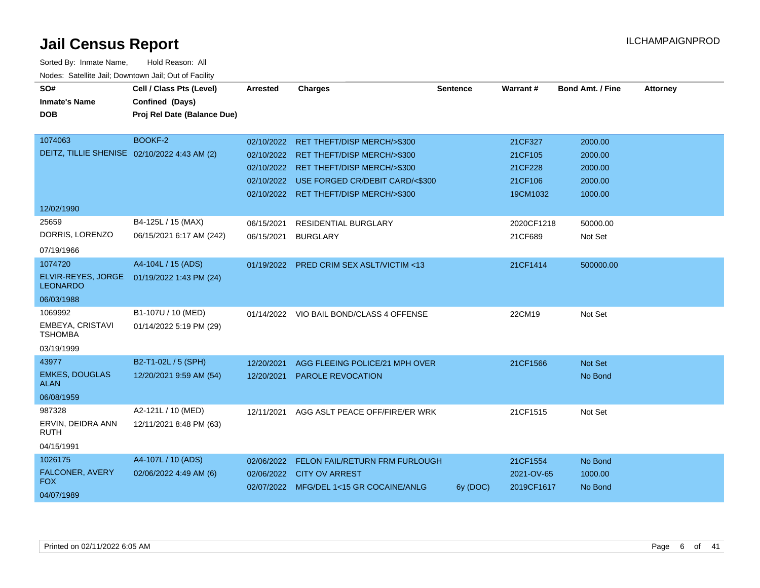| SO#<br><b>Inmate's Name</b><br><b>DOB</b><br>1074063                                                     | Cell / Class Pts (Level)<br>Confined (Days)<br>Proj Rel Date (Balance Due)<br><b>BOOKF-2</b>    | Arrested                 | <b>Charges</b>                                                                                                                                                                                                     | <b>Sentence</b> | <b>Warrant#</b>                                      | <b>Bond Amt. / Fine</b>                             | <b>Attorney</b> |
|----------------------------------------------------------------------------------------------------------|-------------------------------------------------------------------------------------------------|--------------------------|--------------------------------------------------------------------------------------------------------------------------------------------------------------------------------------------------------------------|-----------------|------------------------------------------------------|-----------------------------------------------------|-----------------|
|                                                                                                          | DEITZ, TILLIE SHENISE 02/10/2022 4:43 AM (2)                                                    |                          | 02/10/2022 RET THEFT/DISP MERCH/>\$300<br>02/10/2022 RET THEFT/DISP MERCH/>\$300<br>02/10/2022 RET THEFT/DISP MERCH/>\$300<br>02/10/2022 USE FORGED CR/DEBIT CARD/<\$300<br>02/10/2022 RET THEFT/DISP MERCH/>\$300 |                 | 21CF327<br>21CF105<br>21CF228<br>21CF106<br>19CM1032 | 2000.00<br>2000.00<br>2000.00<br>2000.00<br>1000.00 |                 |
| 12/02/1990<br>25659<br>DORRIS, LORENZO<br>07/19/1966<br>1074720<br>ELVIR-REYES, JORGE<br><b>LEONARDO</b> | B4-125L / 15 (MAX)<br>06/15/2021 6:17 AM (242)<br>A4-104L / 15 (ADS)<br>01/19/2022 1:43 PM (24) | 06/15/2021<br>06/15/2021 | <b>RESIDENTIAL BURGLARY</b><br><b>BURGLARY</b><br>01/19/2022 PRED CRIM SEX ASLT/VICTIM <13                                                                                                                         |                 | 2020CF1218<br>21CF689<br>21CF1414                    | 50000.00<br>Not Set<br>500000.00                    |                 |
| 06/03/1988<br>1069992<br>EMBEYA, CRISTAVI<br><b>TSHOMBA</b><br>03/19/1999                                | B1-107U / 10 (MED)<br>01/14/2022 5:19 PM (29)                                                   |                          | 01/14/2022 VIO BAIL BOND/CLASS 4 OFFENSE                                                                                                                                                                           |                 | 22CM19                                               | Not Set                                             |                 |
| 43977<br><b>EMKES, DOUGLAS</b><br><b>ALAN</b><br>06/08/1959                                              | B2-T1-02L / 5 (SPH)<br>12/20/2021 9:59 AM (54)                                                  | 12/20/2021<br>12/20/2021 | AGG FLEEING POLICE/21 MPH OVER<br><b>PAROLE REVOCATION</b>                                                                                                                                                         |                 | 21CF1566                                             | Not Set<br>No Bond                                  |                 |
| 987328<br>ERVIN, DEIDRA ANN<br><b>RUTH</b><br>04/15/1991                                                 | A2-121L / 10 (MED)<br>12/11/2021 8:48 PM (63)                                                   | 12/11/2021               | AGG ASLT PEACE OFF/FIRE/ER WRK                                                                                                                                                                                     |                 | 21CF1515                                             | Not Set                                             |                 |
| 1026175<br>FALCONER, AVERY<br><b>FOX</b><br>04/07/1989                                                   | A4-107L / 10 (ADS)<br>02/06/2022 4:49 AM (6)                                                    | 02/06/2022               | FELON FAIL/RETURN FRM FURLOUGH<br>02/06/2022 CITY OV ARREST<br>02/07/2022 MFG/DEL 1<15 GR COCAINE/ANLG                                                                                                             | 6y (DOC)        | 21CF1554<br>2021-OV-65<br>2019CF1617                 | No Bond<br>1000.00<br>No Bond                       |                 |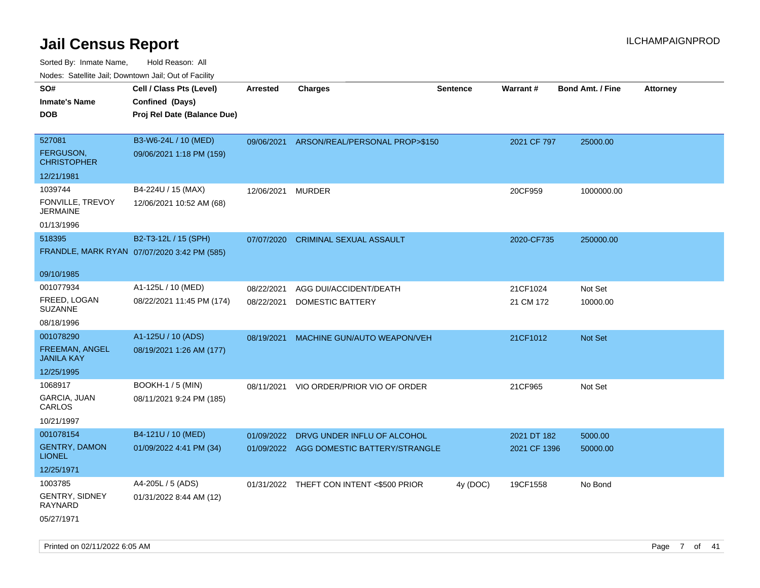| ivouss. Satellite Jali, Downtown Jali, Out of Facility |                                             |                 |                                          |                 |              |                         |                 |
|--------------------------------------------------------|---------------------------------------------|-----------------|------------------------------------------|-----------------|--------------|-------------------------|-----------------|
| SO#                                                    | Cell / Class Pts (Level)                    | <b>Arrested</b> | <b>Charges</b>                           | <b>Sentence</b> | Warrant#     | <b>Bond Amt. / Fine</b> | <b>Attorney</b> |
| Inmate's Name                                          | Confined (Days)                             |                 |                                          |                 |              |                         |                 |
| <b>DOB</b>                                             | Proj Rel Date (Balance Due)                 |                 |                                          |                 |              |                         |                 |
|                                                        |                                             |                 |                                          |                 |              |                         |                 |
| 527081                                                 | B3-W6-24L / 10 (MED)                        | 09/06/2021      | ARSON/REAL/PERSONAL PROP>\$150           |                 | 2021 CF 797  | 25000.00                |                 |
| FERGUSON,<br><b>CHRISTOPHER</b>                        | 09/06/2021 1:18 PM (159)                    |                 |                                          |                 |              |                         |                 |
| 12/21/1981                                             |                                             |                 |                                          |                 |              |                         |                 |
| 1039744                                                | B4-224U / 15 (MAX)                          | 12/06/2021      | <b>MURDER</b>                            |                 | 20CF959      | 1000000.00              |                 |
| FONVILLE, TREVOY<br>JERMAINE                           | 12/06/2021 10:52 AM (68)                    |                 |                                          |                 |              |                         |                 |
| 01/13/1996                                             |                                             |                 |                                          |                 |              |                         |                 |
| 518395                                                 | B2-T3-12L / 15 (SPH)                        | 07/07/2020      | <b>CRIMINAL SEXUAL ASSAULT</b>           |                 | 2020-CF735   | 250000.00               |                 |
|                                                        | FRANDLE, MARK RYAN 07/07/2020 3:42 PM (585) |                 |                                          |                 |              |                         |                 |
| 09/10/1985                                             |                                             |                 |                                          |                 |              |                         |                 |
| 001077934                                              | A1-125L / 10 (MED)                          | 08/22/2021      | AGG DUI/ACCIDENT/DEATH                   |                 | 21CF1024     | Not Set                 |                 |
| FREED, LOGAN<br>SUZANNE                                | 08/22/2021 11:45 PM (174)                   | 08/22/2021      | DOMESTIC BATTERY                         |                 | 21 CM 172    | 10000.00                |                 |
| 08/18/1996                                             |                                             |                 |                                          |                 |              |                         |                 |
| 001078290                                              | A1-125U / 10 (ADS)                          | 08/19/2021      | MACHINE GUN/AUTO WEAPON/VEH              |                 | 21CF1012     | <b>Not Set</b>          |                 |
| FREEMAN, ANGEL<br>JANILA KAY                           | 08/19/2021 1:26 AM (177)                    |                 |                                          |                 |              |                         |                 |
| 12/25/1995                                             |                                             |                 |                                          |                 |              |                         |                 |
| 1068917                                                | <b>BOOKH-1 / 5 (MIN)</b>                    | 08/11/2021      | VIO ORDER/PRIOR VIO OF ORDER             |                 | 21CF965      | Not Set                 |                 |
| GARCIA, JUAN<br>CARLOS                                 | 08/11/2021 9:24 PM (185)                    |                 |                                          |                 |              |                         |                 |
| 10/21/1997                                             |                                             |                 |                                          |                 |              |                         |                 |
| 001078154                                              | B4-121U / 10 (MED)                          | 01/09/2022      | DRVG UNDER INFLU OF ALCOHOL              |                 | 2021 DT 182  | 5000.00                 |                 |
| <b>GENTRY, DAMON</b><br><b>LIONEL</b>                  | 01/09/2022 4:41 PM (34)                     |                 | 01/09/2022 AGG DOMESTIC BATTERY/STRANGLE |                 | 2021 CF 1396 | 50000.00                |                 |
| 12/25/1971                                             |                                             |                 |                                          |                 |              |                         |                 |
| 1003785                                                | A4-205L / 5 (ADS)                           |                 | 01/31/2022 THEFT CON INTENT <\$500 PRIOR | 4y (DOC)        | 19CF1558     | No Bond                 |                 |
| GENTRY, SIDNEY<br>RAYNARD                              | 01/31/2022 8:44 AM (12)                     |                 |                                          |                 |              |                         |                 |
| 05/27/1971                                             |                                             |                 |                                          |                 |              |                         |                 |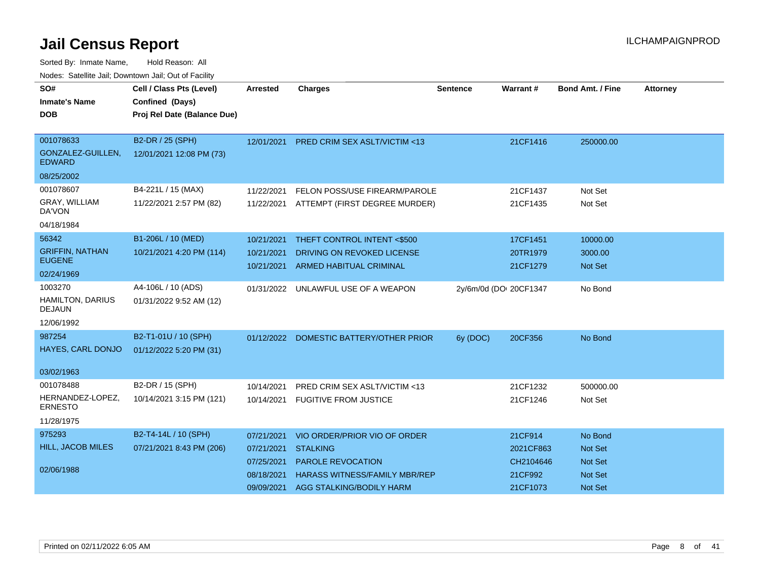| SO#                                      | Cell / Class Pts (Level)    | <b>Arrested</b> | <b>Charges</b>                           | <b>Sentence</b> | Warrant #              | <b>Bond Amt. / Fine</b> | <b>Attorney</b> |
|------------------------------------------|-----------------------------|-----------------|------------------------------------------|-----------------|------------------------|-------------------------|-----------------|
| <b>Inmate's Name</b>                     | Confined (Days)             |                 |                                          |                 |                        |                         |                 |
| <b>DOB</b>                               | Proj Rel Date (Balance Due) |                 |                                          |                 |                        |                         |                 |
| 001078633                                | B2-DR / 25 (SPH)            |                 |                                          |                 |                        |                         |                 |
| GONZALEZ-GUILLEN,<br><b>EDWARD</b>       | 12/01/2021 12:08 PM (73)    | 12/01/2021      | <b>PRED CRIM SEX ASLT/VICTIM &lt;13</b>  |                 | 21CF1416               | 250000.00               |                 |
| 08/25/2002                               |                             |                 |                                          |                 |                        |                         |                 |
| 001078607                                | B4-221L / 15 (MAX)          | 11/22/2021      | FELON POSS/USE FIREARM/PAROLE            |                 | 21CF1437               | Not Set                 |                 |
| GRAY, WILLIAM<br>DA'VON                  | 11/22/2021 2:57 PM (82)     |                 | 11/22/2021 ATTEMPT (FIRST DEGREE MURDER) |                 | 21CF1435               | Not Set                 |                 |
| 04/18/1984                               |                             |                 |                                          |                 |                        |                         |                 |
| 56342                                    | B1-206L / 10 (MED)          | 10/21/2021      | THEFT CONTROL INTENT <\$500              |                 | 17CF1451               | 10000.00                |                 |
| <b>GRIFFIN, NATHAN</b>                   | 10/21/2021 4:20 PM (114)    | 10/21/2021      | DRIVING ON REVOKED LICENSE               |                 | 20TR1979               | 3000.00                 |                 |
| <b>EUGENE</b>                            |                             | 10/21/2021      | <b>ARMED HABITUAL CRIMINAL</b>           |                 | 21CF1279               | <b>Not Set</b>          |                 |
| 02/24/1969                               |                             |                 |                                          |                 |                        |                         |                 |
| 1003270                                  | A4-106L / 10 (ADS)          | 01/31/2022      | UNLAWFUL USE OF A WEAPON                 |                 | 2y/6m/0d (DOI 20CF1347 | No Bond                 |                 |
| <b>HAMILTON, DARIUS</b><br><b>DEJAUN</b> | 01/31/2022 9:52 AM (12)     |                 |                                          |                 |                        |                         |                 |
| 12/06/1992                               |                             |                 |                                          |                 |                        |                         |                 |
| 987254                                   | B2-T1-01U / 10 (SPH)        |                 | 01/12/2022 DOMESTIC BATTERY/OTHER PRIOR  | 6y (DOC)        | 20CF356                | No Bond                 |                 |
| HAYES, CARL DONJO                        | 01/12/2022 5:20 PM (31)     |                 |                                          |                 |                        |                         |                 |
| 03/02/1963                               |                             |                 |                                          |                 |                        |                         |                 |
| 001078488                                | B2-DR / 15 (SPH)            | 10/14/2021      | PRED CRIM SEX ASLT/VICTIM <13            |                 | 21CF1232               | 500000.00               |                 |
| HERNANDEZ-LOPEZ,<br><b>ERNESTO</b>       | 10/14/2021 3:15 PM (121)    |                 | 10/14/2021 FUGITIVE FROM JUSTICE         |                 | 21CF1246               | Not Set                 |                 |
| 11/28/1975                               |                             |                 |                                          |                 |                        |                         |                 |
| 975293                                   | B2-T4-14L / 10 (SPH)        | 07/21/2021      | VIO ORDER/PRIOR VIO OF ORDER             |                 | 21CF914                | No Bond                 |                 |
| <b>HILL, JACOB MILES</b>                 | 07/21/2021 8:43 PM (206)    | 07/21/2021      | <b>STALKING</b>                          |                 | 2021CF863              | Not Set                 |                 |
|                                          |                             | 07/25/2021      | <b>PAROLE REVOCATION</b>                 |                 | CH2104646              | <b>Not Set</b>          |                 |
| 02/06/1988                               |                             | 08/18/2021      | <b>HARASS WITNESS/FAMILY MBR/REP</b>     |                 | 21CF992                | <b>Not Set</b>          |                 |
|                                          |                             | 09/09/2021      | AGG STALKING/BODILY HARM                 |                 | 21CF1073               | Not Set                 |                 |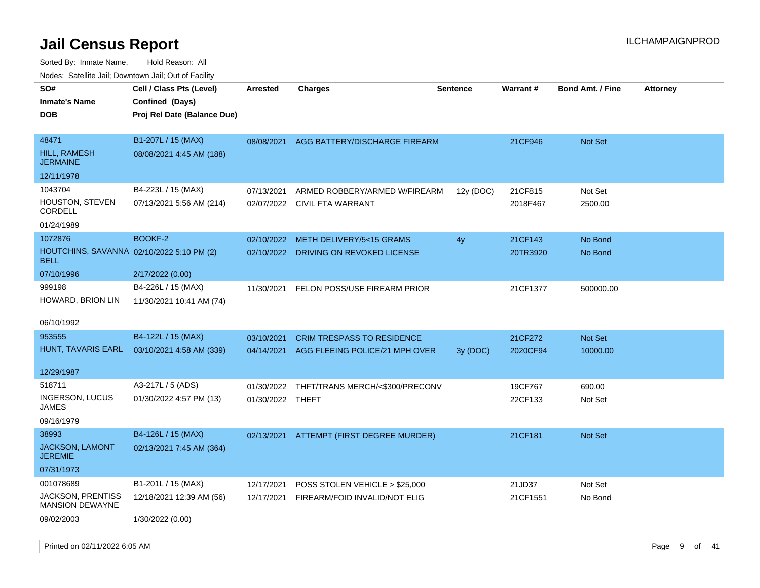| roacs. Calcinic Jan, Downtown Jan, Out of Facility       |                             |                  |                                           |                 |                 |                         |                 |
|----------------------------------------------------------|-----------------------------|------------------|-------------------------------------------|-----------------|-----------------|-------------------------|-----------------|
| SO#                                                      | Cell / Class Pts (Level)    | <b>Arrested</b>  | <b>Charges</b>                            | <b>Sentence</b> | <b>Warrant#</b> | <b>Bond Amt. / Fine</b> | <b>Attorney</b> |
| <b>Inmate's Name</b>                                     | Confined (Days)             |                  |                                           |                 |                 |                         |                 |
| <b>DOB</b>                                               | Proj Rel Date (Balance Due) |                  |                                           |                 |                 |                         |                 |
|                                                          |                             |                  |                                           |                 |                 |                         |                 |
| 48471                                                    | B1-207L / 15 (MAX)          | 08/08/2021       | AGG BATTERY/DISCHARGE FIREARM             |                 | 21CF946         | Not Set                 |                 |
| <b>HILL, RAMESH</b><br><b>JERMAINE</b>                   | 08/08/2021 4:45 AM (188)    |                  |                                           |                 |                 |                         |                 |
| 12/11/1978                                               |                             |                  |                                           |                 |                 |                         |                 |
| 1043704                                                  | B4-223L / 15 (MAX)          | 07/13/2021       | ARMED ROBBERY/ARMED W/FIREARM             | 12y (DOC)       | 21CF815         | Not Set                 |                 |
| HOUSTON, STEVEN<br><b>CORDELL</b>                        | 07/13/2021 5:56 AM (214)    | 02/07/2022       | <b>CIVIL FTA WARRANT</b>                  |                 | 2018F467        | 2500.00                 |                 |
| 01/24/1989                                               |                             |                  |                                           |                 |                 |                         |                 |
| 1072876                                                  | BOOKF-2                     | 02/10/2022       | METH DELIVERY/5<15 GRAMS                  | 4y              | 21CF143         | No Bond                 |                 |
| HOUTCHINS, SAVANNA 02/10/2022 5:10 PM (2)<br><b>BELL</b> |                             | 02/10/2022       | DRIVING ON REVOKED LICENSE                |                 | 20TR3920        | No Bond                 |                 |
| 07/10/1996                                               | 2/17/2022 (0.00)            |                  |                                           |                 |                 |                         |                 |
| 999198                                                   | B4-226L / 15 (MAX)          | 11/30/2021       | FELON POSS/USE FIREARM PRIOR              |                 | 21CF1377        | 500000.00               |                 |
| HOWARD, BRION LIN                                        | 11/30/2021 10:41 AM (74)    |                  |                                           |                 |                 |                         |                 |
| 06/10/1992                                               |                             |                  |                                           |                 |                 |                         |                 |
| 953555                                                   | B4-122L / 15 (MAX)          | 03/10/2021       | <b>CRIM TRESPASS TO RESIDENCE</b>         |                 | 21CF272         | Not Set                 |                 |
| HUNT, TAVARIS EARL                                       | 03/10/2021 4:58 AM (339)    |                  | 04/14/2021 AGG FLEEING POLICE/21 MPH OVER | 3y (DOC)        | 2020CF94        | 10000.00                |                 |
| 12/29/1987                                               |                             |                  |                                           |                 |                 |                         |                 |
| 518711                                                   | A3-217L / 5 (ADS)           | 01/30/2022       | THFT/TRANS MERCH/<\$300/PRECONV           |                 | 19CF767         | 690.00                  |                 |
| INGERSON, LUCUS<br>JAMES                                 | 01/30/2022 4:57 PM (13)     | 01/30/2022 THEFT |                                           |                 | 22CF133         | Not Set                 |                 |
| 09/16/1979                                               |                             |                  |                                           |                 |                 |                         |                 |
| 38993                                                    | B4-126L / 15 (MAX)          |                  | 02/13/2021 ATTEMPT (FIRST DEGREE MURDER)  |                 | 21CF181         | Not Set                 |                 |
| JACKSON, LAMONT<br><b>JEREMIE</b>                        | 02/13/2021 7:45 AM (364)    |                  |                                           |                 |                 |                         |                 |
| 07/31/1973                                               |                             |                  |                                           |                 |                 |                         |                 |
| 001078689                                                | B1-201L / 15 (MAX)          | 12/17/2021       | POSS STOLEN VEHICLE > \$25,000            |                 | 21JD37          | Not Set                 |                 |
| JACKSON, PRENTISS<br><b>MANSION DEWAYNE</b>              | 12/18/2021 12:39 AM (56)    | 12/17/2021       | FIREARM/FOID INVALID/NOT ELIG             |                 | 21CF1551        | No Bond                 |                 |
| 09/02/2003                                               | 1/30/2022 (0.00)            |                  |                                           |                 |                 |                         |                 |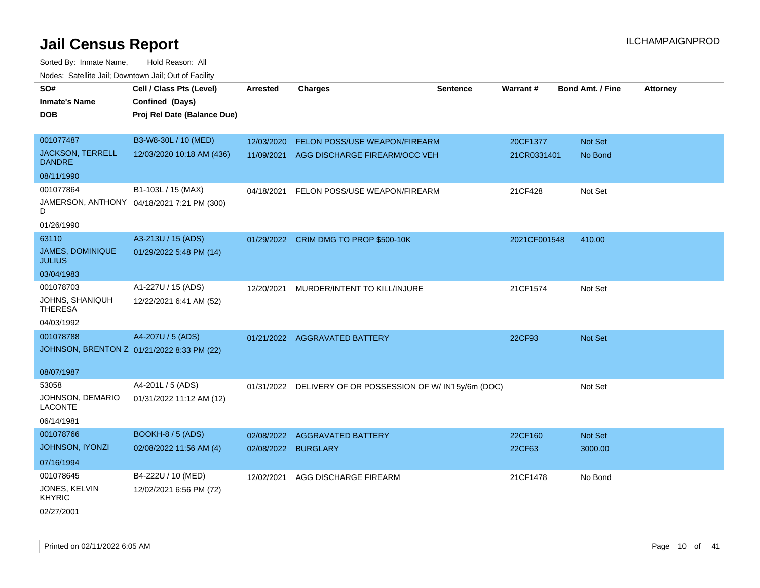| rouce. Calcinic Jan, Downtown Jan, Out or Facility |                                            |                     |                                                          |                 |                 |                         |                 |
|----------------------------------------------------|--------------------------------------------|---------------------|----------------------------------------------------------|-----------------|-----------------|-------------------------|-----------------|
| SO#                                                | Cell / Class Pts (Level)                   | <b>Arrested</b>     | <b>Charges</b>                                           | <b>Sentence</b> | <b>Warrant#</b> | <b>Bond Amt. / Fine</b> | <b>Attorney</b> |
| <b>Inmate's Name</b>                               | Confined (Days)                            |                     |                                                          |                 |                 |                         |                 |
| <b>DOB</b>                                         | Proj Rel Date (Balance Due)                |                     |                                                          |                 |                 |                         |                 |
|                                                    |                                            |                     |                                                          |                 |                 |                         |                 |
| 001077487                                          | B3-W8-30L / 10 (MED)                       | 12/03/2020          | FELON POSS/USE WEAPON/FIREARM                            |                 | 20CF1377        | Not Set                 |                 |
| <b>JACKSON, TERRELL</b><br><b>DANDRE</b>           | 12/03/2020 10:18 AM (436)                  | 11/09/2021          | AGG DISCHARGE FIREARM/OCC VEH                            |                 | 21CR0331401     | No Bond                 |                 |
| 08/11/1990                                         |                                            |                     |                                                          |                 |                 |                         |                 |
| 001077864                                          | B1-103L / 15 (MAX)                         |                     | 04/18/2021 FELON POSS/USE WEAPON/FIREARM                 |                 | 21CF428         | Not Set                 |                 |
| D                                                  | JAMERSON, ANTHONY 04/18/2021 7:21 PM (300) |                     |                                                          |                 |                 |                         |                 |
| 01/26/1990                                         |                                            |                     |                                                          |                 |                 |                         |                 |
| 63110                                              | A3-213U / 15 (ADS)                         |                     | 01/29/2022 CRIM DMG TO PROP \$500-10K                    |                 | 2021CF001548    | 410.00                  |                 |
| JAMES, DOMINIQUE<br><b>JULIUS</b>                  | 01/29/2022 5:48 PM (14)                    |                     |                                                          |                 |                 |                         |                 |
| 03/04/1983                                         |                                            |                     |                                                          |                 |                 |                         |                 |
| 001078703                                          | A1-227U / 15 (ADS)                         |                     | 12/20/2021 MURDER/INTENT TO KILL/INJURE                  |                 | 21CF1574        | Not Set                 |                 |
| JOHNS, SHANIQUH<br><b>THERESA</b>                  | 12/22/2021 6:41 AM (52)                    |                     |                                                          |                 |                 |                         |                 |
| 04/03/1992                                         |                                            |                     |                                                          |                 |                 |                         |                 |
| 001078788                                          | A4-207U / 5 (ADS)                          |                     | 01/21/2022 AGGRAVATED BATTERY                            |                 | 22CF93          | Not Set                 |                 |
| JOHNSON, BRENTON Z 01/21/2022 8:33 PM (22)         |                                            |                     |                                                          |                 |                 |                         |                 |
|                                                    |                                            |                     |                                                          |                 |                 |                         |                 |
| 08/07/1987                                         |                                            |                     |                                                          |                 |                 |                         |                 |
| 53058                                              | A4-201L / 5 (ADS)                          |                     | 01/31/2022 DELIVERY OF OR POSSESSION OF W/IN15y/6m (DOC) |                 |                 | Not Set                 |                 |
| JOHNSON, DEMARIO<br><b>LACONTE</b>                 | 01/31/2022 11:12 AM (12)                   |                     |                                                          |                 |                 |                         |                 |
| 06/14/1981                                         |                                            |                     |                                                          |                 |                 |                         |                 |
| 001078766                                          | <b>BOOKH-8 / 5 (ADS)</b>                   | 02/08/2022          | <b>AGGRAVATED BATTERY</b>                                |                 | 22CF160         | Not Set                 |                 |
| JOHNSON, IYONZI                                    | 02/08/2022 11:56 AM (4)                    | 02/08/2022 BURGLARY |                                                          |                 | 22CF63          | 3000.00                 |                 |
| 07/16/1994                                         |                                            |                     |                                                          |                 |                 |                         |                 |
| 001078645                                          | B4-222U / 10 (MED)                         | 12/02/2021          | AGG DISCHARGE FIREARM                                    |                 | 21CF1478        | No Bond                 |                 |
| JONES, KELVIN<br><b>KHYRIC</b>                     | 12/02/2021 6:56 PM (72)                    |                     |                                                          |                 |                 |                         |                 |
| 02/27/2001                                         |                                            |                     |                                                          |                 |                 |                         |                 |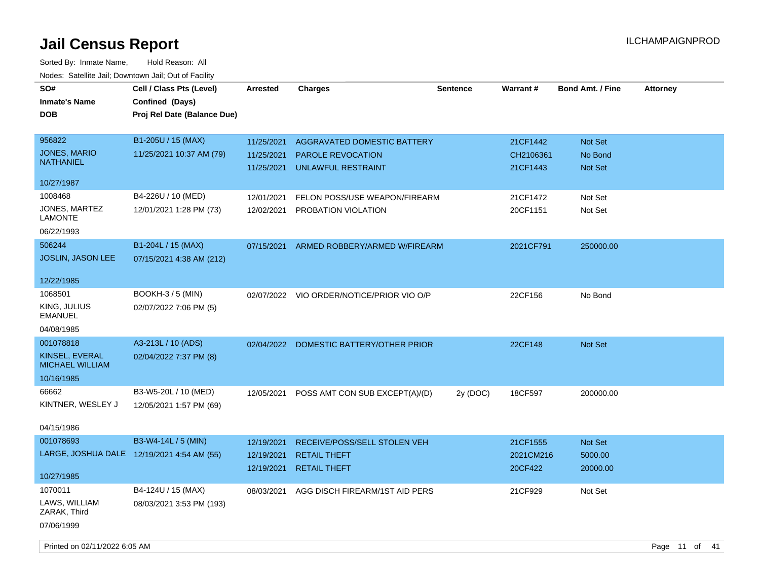| SO#<br><b>Inmate's Name</b><br><b>DOB</b>                             | Cell / Class Pts (Level)<br>Confined (Days)<br>Proj Rel Date (Balance Due) | <b>Arrested</b>                        | <b>Charges</b>                                                             | <b>Sentence</b> | <b>Warrant#</b>                   | <b>Bond Amt. / Fine</b>              | <b>Attorney</b> |
|-----------------------------------------------------------------------|----------------------------------------------------------------------------|----------------------------------------|----------------------------------------------------------------------------|-----------------|-----------------------------------|--------------------------------------|-----------------|
| 956822<br><b>JONES, MARIO</b><br><b>NATHANIEL</b>                     | B1-205U / 15 (MAX)<br>11/25/2021 10:37 AM (79)                             | 11/25/2021<br>11/25/2021<br>11/25/2021 | AGGRAVATED DOMESTIC BATTERY<br>PAROLE REVOCATION<br>UNLAWFUL RESTRAINT     |                 | 21CF1442<br>CH2106361<br>21CF1443 | Not Set<br>No Bond<br><b>Not Set</b> |                 |
| 10/27/1987                                                            |                                                                            |                                        |                                                                            |                 |                                   |                                      |                 |
| 1008468<br>JONES, MARTEZ<br><b>LAMONTE</b><br>06/22/1993              | B4-226U / 10 (MED)<br>12/01/2021 1:28 PM (73)                              | 12/01/2021<br>12/02/2021               | FELON POSS/USE WEAPON/FIREARM<br>PROBATION VIOLATION                       |                 | 21CF1472<br>20CF1151              | Not Set<br>Not Set                   |                 |
| 506244<br><b>JOSLIN, JASON LEE</b>                                    | B1-204L / 15 (MAX)<br>07/15/2021 4:38 AM (212)                             | 07/15/2021                             | ARMED ROBBERY/ARMED W/FIREARM                                              |                 | 2021CF791                         | 250000.00                            |                 |
| 12/22/1985                                                            |                                                                            |                                        |                                                                            |                 |                                   |                                      |                 |
| 1068501<br>KING, JULIUS<br><b>EMANUEL</b>                             | <b>BOOKH-3/5 (MIN)</b><br>02/07/2022 7:06 PM (5)                           |                                        | 02/07/2022 VIO ORDER/NOTICE/PRIOR VIO O/P                                  |                 | 22CF156                           | No Bond                              |                 |
| 04/08/1985                                                            |                                                                            |                                        |                                                                            |                 |                                   |                                      |                 |
| 001078818<br>KINSEL, EVERAL<br>MICHAEL WILLIAM<br>10/16/1985          | A3-213L / 10 (ADS)<br>02/04/2022 7:37 PM (8)                               |                                        | 02/04/2022 DOMESTIC BATTERY/OTHER PRIOR                                    |                 | 22CF148                           | <b>Not Set</b>                       |                 |
| 66662<br>KINTNER, WESLEY J<br>04/15/1986                              | B3-W5-20L / 10 (MED)<br>12/05/2021 1:57 PM (69)                            | 12/05/2021                             | POSS AMT CON SUB EXCEPT(A)/(D)                                             | 2y (DOC)        | 18CF597                           | 200000.00                            |                 |
| 001078693<br>LARGE, JOSHUA DALE 12/19/2021 4:54 AM (55)<br>10/27/1985 | B3-W4-14L / 5 (MIN)                                                        | 12/19/2021<br>12/19/2021<br>12/19/2021 | RECEIVE/POSS/SELL STOLEN VEH<br><b>RETAIL THEFT</b><br><b>RETAIL THEFT</b> |                 | 21CF1555<br>2021CM216<br>20CF422  | Not Set<br>5000.00<br>20000.00       |                 |
| 1070011<br>LAWS, WILLIAM<br>ZARAK, Third<br>07/06/1999                | B4-124U / 15 (MAX)<br>08/03/2021 3:53 PM (193)                             | 08/03/2021                             | AGG DISCH FIREARM/1ST AID PERS                                             |                 | 21CF929                           | Not Set                              |                 |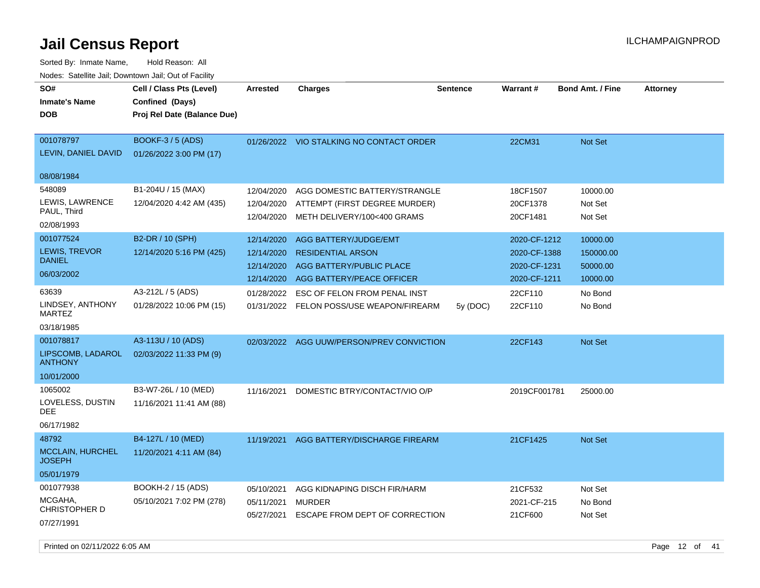| SO#<br><b>Inmate's Name</b><br><b>DOB</b>                       | Cell / Class Pts (Level)<br>Confined (Days)<br>Proj Rel Date (Balance Due) | <b>Arrested</b>                                      | <b>Charges</b>                                                                                                    | <b>Sentence</b> | <b>Warrant#</b>                                              | <b>Bond Amt. / Fine</b>                       | <b>Attorney</b> |
|-----------------------------------------------------------------|----------------------------------------------------------------------------|------------------------------------------------------|-------------------------------------------------------------------------------------------------------------------|-----------------|--------------------------------------------------------------|-----------------------------------------------|-----------------|
| 001078797<br>LEVIN, DANIEL DAVID                                | BOOKF-3 / 5 (ADS)<br>01/26/2022 3:00 PM (17)                               |                                                      | 01/26/2022 VIO STALKING NO CONTACT ORDER                                                                          |                 | 22CM31                                                       | Not Set                                       |                 |
| 08/08/1984                                                      |                                                                            |                                                      |                                                                                                                   |                 |                                                              |                                               |                 |
| 548089<br>LEWIS, LAWRENCE<br>PAUL, Third<br>02/08/1993          | B1-204U / 15 (MAX)<br>12/04/2020 4:42 AM (435)                             | 12/04/2020<br>12/04/2020<br>12/04/2020               | AGG DOMESTIC BATTERY/STRANGLE<br>ATTEMPT (FIRST DEGREE MURDER)<br>METH DELIVERY/100<400 GRAMS                     |                 | 18CF1507<br>20CF1378<br>20CF1481                             | 10000.00<br>Not Set<br>Not Set                |                 |
| 001077524<br>LEWIS, TREVOR<br><b>DANIEL</b><br>06/03/2002       | B2-DR / 10 (SPH)<br>12/14/2020 5:16 PM (425)                               | 12/14/2020<br>12/14/2020<br>12/14/2020<br>12/14/2020 | AGG BATTERY/JUDGE/EMT<br><b>RESIDENTIAL ARSON</b><br><b>AGG BATTERY/PUBLIC PLACE</b><br>AGG BATTERY/PEACE OFFICER |                 | 2020-CF-1212<br>2020-CF-1388<br>2020-CF-1231<br>2020-CF-1211 | 10000.00<br>150000.00<br>50000.00<br>10000.00 |                 |
| 63639<br>LINDSEY, ANTHONY<br><b>MARTEZ</b><br>03/18/1985        | A3-212L / 5 (ADS)<br>01/28/2022 10:06 PM (15)                              |                                                      | 01/28/2022 ESC OF FELON FROM PENAL INST<br>01/31/2022 FELON POSS/USE WEAPON/FIREARM                               | 5y (DOC)        | 22CF110<br>22CF110                                           | No Bond<br>No Bond                            |                 |
| 001078817<br>LIPSCOMB, LADAROL<br><b>ANTHONY</b><br>10/01/2000  | A3-113U / 10 (ADS)<br>02/03/2022 11:33 PM (9)                              |                                                      | 02/03/2022 AGG UUW/PERSON/PREV CONVICTION                                                                         |                 | 22CF143                                                      | Not Set                                       |                 |
| 1065002<br>LOVELESS, DUSTIN<br><b>DEE</b><br>06/17/1982         | B3-W7-26L / 10 (MED)<br>11/16/2021 11:41 AM (88)                           | 11/16/2021                                           | DOMESTIC BTRY/CONTACT/VIO O/P                                                                                     |                 | 2019CF001781                                                 | 25000.00                                      |                 |
| 48792<br><b>MCCLAIN, HURCHEL</b><br><b>JOSEPH</b><br>05/01/1979 | B4-127L / 10 (MED)<br>11/20/2021 4:11 AM (84)                              | 11/19/2021                                           | AGG BATTERY/DISCHARGE FIREARM                                                                                     |                 | 21CF1425                                                     | Not Set                                       |                 |
| 001077938<br>MCGAHA,<br>CHRISTOPHER D<br>07/27/1991             | BOOKH-2 / 15 (ADS)<br>05/10/2021 7:02 PM (278)                             | 05/10/2021<br>05/11/2021<br>05/27/2021               | AGG KIDNAPING DISCH FIR/HARM<br><b>MURDER</b><br>ESCAPE FROM DEPT OF CORRECTION                                   |                 | 21CF532<br>2021-CF-215<br>21CF600                            | Not Set<br>No Bond<br>Not Set                 |                 |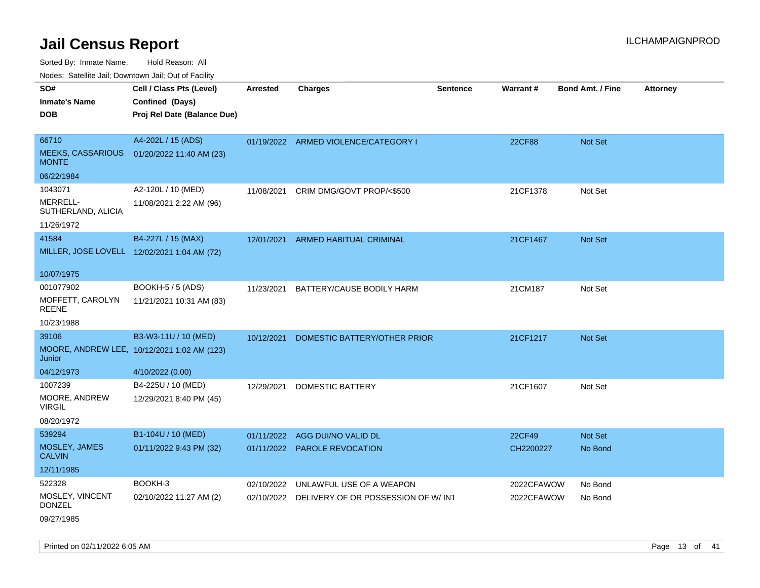Sorted By: Inmate Name, Hold Reason: All

Nodes: Satellite Jail; Downtown Jail; Out of Facility

| SO#                                         | Cell / Class Pts (Level)                    | <b>Arrested</b> | <b>Charges</b>                                | <b>Sentence</b> | Warrant#   | <b>Bond Amt. / Fine</b> | <b>Attorney</b> |
|---------------------------------------------|---------------------------------------------|-----------------|-----------------------------------------------|-----------------|------------|-------------------------|-----------------|
| <b>Inmate's Name</b>                        | Confined (Days)                             |                 |                                               |                 |            |                         |                 |
| <b>DOB</b>                                  | Proj Rel Date (Balance Due)                 |                 |                                               |                 |            |                         |                 |
|                                             |                                             |                 |                                               |                 |            |                         |                 |
| 66710                                       | A4-202L / 15 (ADS)                          |                 | 01/19/2022 ARMED VIOLENCE/CATEGORY I          |                 | 22CF88     | Not Set                 |                 |
| <b>MEEKS, CASSARIOUS</b><br><b>MONTE</b>    | 01/20/2022 11:40 AM (23)                    |                 |                                               |                 |            |                         |                 |
| 06/22/1984                                  |                                             |                 |                                               |                 |            |                         |                 |
| 1043071                                     | A2-120L / 10 (MED)                          | 11/08/2021      | CRIM DMG/GOVT PROP/<\$500                     |                 | 21CF1378   | Not Set                 |                 |
| MERRELL-<br>SUTHERLAND, ALICIA              | 11/08/2021 2:22 AM (96)                     |                 |                                               |                 |            |                         |                 |
| 11/26/1972                                  |                                             |                 |                                               |                 |            |                         |                 |
| 41584                                       | B4-227L / 15 (MAX)                          |                 | 12/01/2021 ARMED HABITUAL CRIMINAL            |                 | 21CF1467   | Not Set                 |                 |
| MILLER, JOSE LOVELL 12/02/2021 1:04 AM (72) |                                             |                 |                                               |                 |            |                         |                 |
|                                             |                                             |                 |                                               |                 |            |                         |                 |
| 10/07/1975                                  |                                             |                 |                                               |                 |            |                         |                 |
| 001077902                                   | <b>BOOKH-5 / 5 (ADS)</b>                    | 11/23/2021      | BATTERY/CAUSE BODILY HARM                     |                 | 21CM187    | Not Set                 |                 |
| MOFFETT, CAROLYN<br><b>REENE</b>            | 11/21/2021 10:31 AM (83)                    |                 |                                               |                 |            |                         |                 |
| 10/23/1988                                  |                                             |                 |                                               |                 |            |                         |                 |
| 39106                                       | B3-W3-11U / 10 (MED)                        | 10/12/2021      | DOMESTIC BATTERY/OTHER PRIOR                  |                 | 21CF1217   | Not Set                 |                 |
| Junior                                      | MOORE, ANDREW LEE, 10/12/2021 1:02 AM (123) |                 |                                               |                 |            |                         |                 |
| 04/12/1973                                  | 4/10/2022 (0.00)                            |                 |                                               |                 |            |                         |                 |
| 1007239                                     | B4-225U / 10 (MED)                          | 12/29/2021      | <b>DOMESTIC BATTERY</b>                       |                 | 21CF1607   | Not Set                 |                 |
| MOORE, ANDREW<br><b>VIRGIL</b>              | 12/29/2021 8:40 PM (45)                     |                 |                                               |                 |            |                         |                 |
| 08/20/1972                                  |                                             |                 |                                               |                 |            |                         |                 |
| 539294                                      | B1-104U / 10 (MED)                          | 01/11/2022      | AGG DUI/NO VALID DL                           |                 | 22CF49     | Not Set                 |                 |
| MOSLEY, JAMES<br><b>CALVIN</b>              | 01/11/2022 9:43 PM (32)                     |                 | 01/11/2022 PAROLE REVOCATION                  |                 | CH2200227  | No Bond                 |                 |
| 12/11/1985                                  |                                             |                 |                                               |                 |            |                         |                 |
| 522328                                      | BOOKH-3                                     | 02/10/2022      | UNLAWFUL USE OF A WEAPON                      |                 | 2022CFAWOW | No Bond                 |                 |
| MOSLEY, VINCENT<br><b>DONZEL</b>            | 02/10/2022 11:27 AM (2)                     |                 | 02/10/2022 DELIVERY OF OR POSSESSION OF W/INT |                 | 2022CFAWOW | No Bond                 |                 |

09/27/1985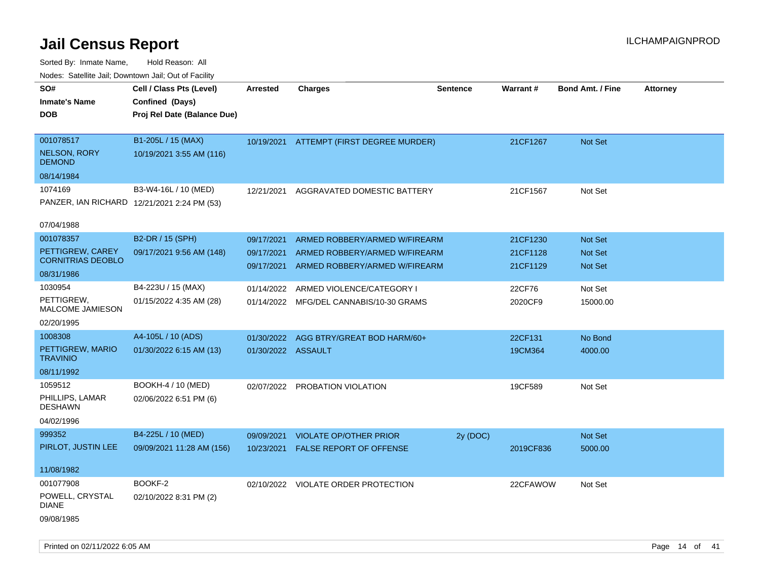| rouco. Calcinic Jan, Downtown Jan, Out of Facility |                                             |                    |                                          |                 |                 |                         |                 |
|----------------------------------------------------|---------------------------------------------|--------------------|------------------------------------------|-----------------|-----------------|-------------------------|-----------------|
| SO#                                                | Cell / Class Pts (Level)                    | <b>Arrested</b>    | <b>Charges</b>                           | <b>Sentence</b> | <b>Warrant#</b> | <b>Bond Amt. / Fine</b> | <b>Attorney</b> |
| Inmate's Name                                      | Confined (Days)                             |                    |                                          |                 |                 |                         |                 |
| <b>DOB</b>                                         | Proj Rel Date (Balance Due)                 |                    |                                          |                 |                 |                         |                 |
|                                                    |                                             |                    |                                          |                 |                 |                         |                 |
| 001078517                                          | B1-205L / 15 (MAX)                          |                    | 10/19/2021 ATTEMPT (FIRST DEGREE MURDER) |                 | 21CF1267        | Not Set                 |                 |
| <b>NELSON, RORY</b><br><b>DEMOND</b>               | 10/19/2021 3:55 AM (116)                    |                    |                                          |                 |                 |                         |                 |
| 08/14/1984                                         |                                             |                    |                                          |                 |                 |                         |                 |
| 1074169                                            | B3-W4-16L / 10 (MED)                        | 12/21/2021         | AGGRAVATED DOMESTIC BATTERY              |                 | 21CF1567        | Not Set                 |                 |
|                                                    | PANZER, IAN RICHARD 12/21/2021 2:24 PM (53) |                    |                                          |                 |                 |                         |                 |
| 07/04/1988                                         |                                             |                    |                                          |                 |                 |                         |                 |
| 001078357                                          | B2-DR / 15 (SPH)                            | 09/17/2021         | ARMED ROBBERY/ARMED W/FIREARM            |                 | 21CF1230        | <b>Not Set</b>          |                 |
| PETTIGREW, CAREY                                   | 09/17/2021 9:56 AM (148)                    | 09/17/2021         | ARMED ROBBERY/ARMED W/FIREARM            |                 | 21CF1128        | <b>Not Set</b>          |                 |
| <b>CORNITRIAS DEOBLO</b>                           |                                             | 09/17/2021         | ARMED ROBBERY/ARMED W/FIREARM            |                 | 21CF1129        | <b>Not Set</b>          |                 |
| 08/31/1986                                         |                                             |                    |                                          |                 |                 |                         |                 |
| 1030954                                            | B4-223U / 15 (MAX)                          | 01/14/2022         | ARMED VIOLENCE/CATEGORY I                |                 | 22CF76          | Not Set                 |                 |
| PETTIGREW,<br>MALCOME JAMIESON                     | 01/15/2022 4:35 AM (28)                     |                    | 01/14/2022 MFG/DEL CANNABIS/10-30 GRAMS  |                 | 2020CF9         | 15000.00                |                 |
| 02/20/1995                                         |                                             |                    |                                          |                 |                 |                         |                 |
| 1008308                                            | A4-105L / 10 (ADS)                          | 01/30/2022         | AGG BTRY/GREAT BOD HARM/60+              |                 | 22CF131         | No Bond                 |                 |
| PETTIGREW, MARIO<br>TRAVINIO                       | 01/30/2022 6:15 AM (13)                     | 01/30/2022 ASSAULT |                                          |                 | 19CM364         | 4000.00                 |                 |
| 08/11/1992                                         |                                             |                    |                                          |                 |                 |                         |                 |
| 1059512                                            | BOOKH-4 / 10 (MED)                          |                    | 02/07/2022 PROBATION VIOLATION           |                 | 19CF589         | Not Set                 |                 |
| PHILLIPS, LAMAR<br>DESHAWN                         | 02/06/2022 6:51 PM (6)                      |                    |                                          |                 |                 |                         |                 |
| 04/02/1996                                         |                                             |                    |                                          |                 |                 |                         |                 |
| 999352                                             | B4-225L / 10 (MED)                          | 09/09/2021         | <b>VIOLATE OP/OTHER PRIOR</b>            | 2y (DOC)        |                 | <b>Not Set</b>          |                 |
| PIRLOT, JUSTIN LEE                                 | 09/09/2021 11:28 AM (156)                   | 10/23/2021         | FALSE REPORT OF OFFENSE                  |                 | 2019CF836       | 5000.00                 |                 |
|                                                    |                                             |                    |                                          |                 |                 |                         |                 |
| 11/08/1982                                         |                                             |                    |                                          |                 |                 |                         |                 |
| 001077908                                          | BOOKF-2                                     |                    | 02/10/2022 VIOLATE ORDER PROTECTION      |                 | 22CFAWOW        | Not Set                 |                 |
| POWELL, CRYSTAL<br>DIANE                           | 02/10/2022 8:31 PM (2)                      |                    |                                          |                 |                 |                         |                 |
| 09/08/1985                                         |                                             |                    |                                          |                 |                 |                         |                 |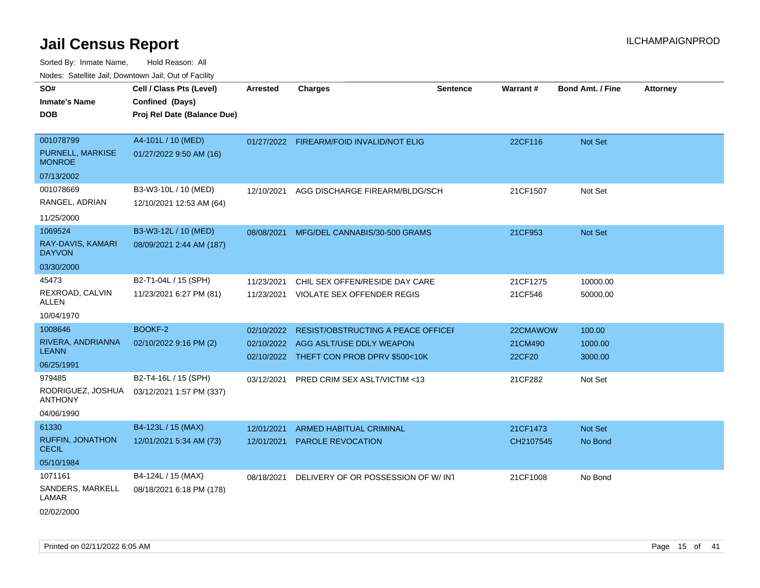Sorted By: Inmate Name, Hold Reason: All

| Nodes: Satellite Jail; Downtown Jail; Out of Facility |                             |                 |                                           |                 |           |                         |          |
|-------------------------------------------------------|-----------------------------|-----------------|-------------------------------------------|-----------------|-----------|-------------------------|----------|
| SO#                                                   | Cell / Class Pts (Level)    | <b>Arrested</b> | <b>Charges</b>                            | <b>Sentence</b> | Warrant#  | <b>Bond Amt. / Fine</b> | Attorney |
| <b>Inmate's Name</b>                                  | Confined (Days)             |                 |                                           |                 |           |                         |          |
| <b>DOB</b>                                            | Proj Rel Date (Balance Due) |                 |                                           |                 |           |                         |          |
|                                                       |                             |                 |                                           |                 |           |                         |          |
| 001078799                                             | A4-101L / 10 (MED)          |                 | 01/27/2022 FIREARM/FOID INVALID/NOT ELIG  |                 | 22CF116   | Not Set                 |          |
| PURNELL, MARKISE<br><b>MONROE</b>                     | 01/27/2022 9:50 AM (16)     |                 |                                           |                 |           |                         |          |
| 07/13/2002                                            |                             |                 |                                           |                 |           |                         |          |
| 001078669                                             | B3-W3-10L / 10 (MED)        | 12/10/2021      | AGG DISCHARGE FIREARM/BLDG/SCH            |                 | 21CF1507  | Not Set                 |          |
| RANGEL, ADRIAN                                        | 12/10/2021 12:53 AM (64)    |                 |                                           |                 |           |                         |          |
| 11/25/2000                                            |                             |                 |                                           |                 |           |                         |          |
| 1069524                                               | B3-W3-12L / 10 (MED)        | 08/08/2021      | MFG/DEL CANNABIS/30-500 GRAMS             |                 | 21CF953   | Not Set                 |          |
| RAY-DAVIS, KAMARI<br><b>DAYVON</b>                    | 08/09/2021 2:44 AM (187)    |                 |                                           |                 |           |                         |          |
| 03/30/2000                                            |                             |                 |                                           |                 |           |                         |          |
| 45473                                                 | B2-T1-04L / 15 (SPH)        | 11/23/2021      | CHIL SEX OFFEN/RESIDE DAY CARE            |                 | 21CF1275  | 10000.00                |          |
| REXROAD, CALVIN<br><b>ALLEN</b>                       | 11/23/2021 6:27 PM (81)     | 11/23/2021      | VIOLATE SEX OFFENDER REGIS                |                 | 21CF546   | 50000.00                |          |
| 10/04/1970                                            |                             |                 |                                           |                 |           |                         |          |
| 1008646                                               | BOOKF-2                     | 02/10/2022      | <b>RESIST/OBSTRUCTING A PEACE OFFICEF</b> |                 | 22CMAWOW  | 100.00                  |          |
| RIVERA, ANDRIANNA                                     | 02/10/2022 9:16 PM (2)      |                 | 02/10/2022 AGG ASLT/USE DDLY WEAPON       |                 | 21CM490   | 1000.00                 |          |
| <b>LEANN</b>                                          |                             |                 | 02/10/2022 THEFT CON PROB DPRV \$500<10K  |                 | 22CF20    | 3000.00                 |          |
| 06/25/1991                                            |                             |                 |                                           |                 |           |                         |          |
| 979485                                                | B2-T4-16L / 15 (SPH)        | 03/12/2021      | <b>PRED CRIM SEX ASLT/VICTIM &lt;13</b>   |                 | 21CF282   | Not Set                 |          |
| RODRIGUEZ, JOSHUA<br><b>ANTHONY</b>                   | 03/12/2021 1:57 PM (337)    |                 |                                           |                 |           |                         |          |
| 04/06/1990                                            |                             |                 |                                           |                 |           |                         |          |
| 61330                                                 | B4-123L / 15 (MAX)          | 12/01/2021      | <b>ARMED HABITUAL CRIMINAL</b>            |                 | 21CF1473  | Not Set                 |          |
| <b>RUFFIN, JONATHON</b><br><b>CECIL</b>               | 12/01/2021 5:34 AM (73)     | 12/01/2021      | <b>PAROLE REVOCATION</b>                  |                 | CH2107545 | No Bond                 |          |
| 05/10/1984                                            |                             |                 |                                           |                 |           |                         |          |
| 1071161                                               | B4-124L / 15 (MAX)          | 08/18/2021      | DELIVERY OF OR POSSESSION OF W/INT        |                 | 21CF1008  | No Bond                 |          |
| $\bigcap$                                             |                             |                 |                                           |                 |           |                         |          |

SANDERS, MARKELL 08/18/2021 6:18 PM (178) LAMAR

02/02/2000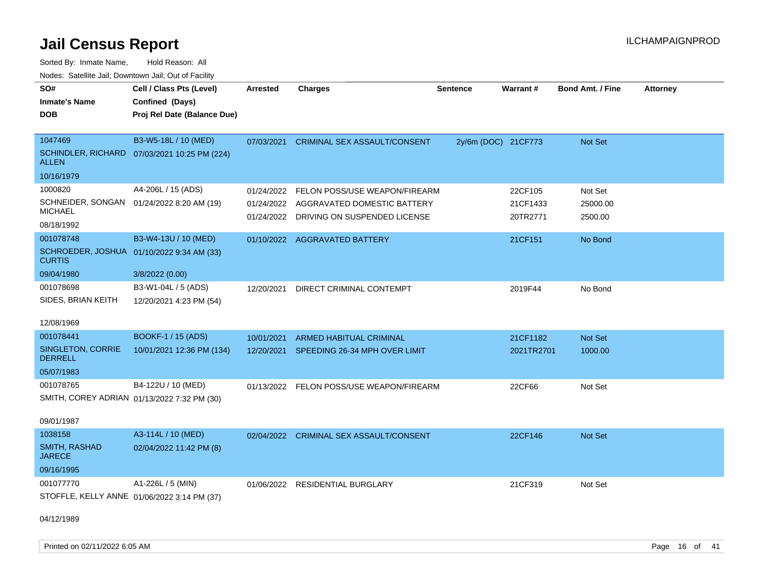Sorted By: Inmate Name, Hold Reason: All Nodes: Satellite Jail; Downtown Jail; Out of Facility

| SO#                                                         | Cell / Class Pts (Level)    | <b>Arrested</b>          | <b>Charges</b>                                              | <b>Sentence</b>     | Warrant#             | <b>Bond Amt. / Fine</b> | <b>Attorney</b> |
|-------------------------------------------------------------|-----------------------------|--------------------------|-------------------------------------------------------------|---------------------|----------------------|-------------------------|-----------------|
| <b>Inmate's Name</b>                                        | Confined (Days)             |                          |                                                             |                     |                      |                         |                 |
| <b>DOB</b>                                                  | Proj Rel Date (Balance Due) |                          |                                                             |                     |                      |                         |                 |
|                                                             |                             |                          |                                                             |                     |                      |                         |                 |
| 1047469                                                     | B3-W5-18L / 10 (MED)        | 07/03/2021               | <b>CRIMINAL SEX ASSAULT/CONSENT</b>                         | 2y/6m (DOC) 21CF773 |                      | Not Set                 |                 |
| <b>SCHINDLER, RICHARD</b><br><b>ALLEN</b>                   | 07/03/2021 10:25 PM (224)   |                          |                                                             |                     |                      |                         |                 |
| 10/16/1979                                                  |                             |                          |                                                             |                     |                      |                         |                 |
| 1000820                                                     | A4-206L / 15 (ADS)          | 01/24/2022               | FELON POSS/USE WEAPON/FIREARM                               |                     | 22CF105              | Not Set                 |                 |
| SCHNEIDER, SONGAN 01/24/2022 8:20 AM (19)<br><b>MICHAEL</b> |                             | 01/24/2022<br>01/24/2022 | AGGRAVATED DOMESTIC BATTERY<br>DRIVING ON SUSPENDED LICENSE |                     | 21CF1433<br>20TR2771 | 25000.00<br>2500.00     |                 |
| 08/18/1992                                                  |                             |                          |                                                             |                     |                      |                         |                 |
| 001078748                                                   | B3-W4-13U / 10 (MED)        |                          | 01/10/2022 AGGRAVATED BATTERY                               |                     | 21CF151              | No Bond                 |                 |
| SCHROEDER, JOSHUA 01/10/2022 9:34 AM (33)<br><b>CURTIS</b>  |                             |                          |                                                             |                     |                      |                         |                 |
| 09/04/1980                                                  | 3/8/2022 (0.00)             |                          |                                                             |                     |                      |                         |                 |
| 001078698                                                   | B3-W1-04L / 5 (ADS)         | 12/20/2021               | DIRECT CRIMINAL CONTEMPT                                    |                     | 2019F44              | No Bond                 |                 |
| SIDES, BRIAN KEITH                                          | 12/20/2021 4:23 PM (54)     |                          |                                                             |                     |                      |                         |                 |
| 12/08/1969                                                  |                             |                          |                                                             |                     |                      |                         |                 |
| 001078441                                                   | <b>BOOKF-1 / 15 (ADS)</b>   | 10/01/2021               | <b>ARMED HABITUAL CRIMINAL</b>                              |                     | 21CF1182             | <b>Not Set</b>          |                 |
| SINGLETON, CORRIE<br><b>DERRELL</b>                         | 10/01/2021 12:36 PM (134)   |                          | 12/20/2021 SPEEDING 26-34 MPH OVER LIMIT                    |                     | 2021TR2701           | 1000.00                 |                 |
| 05/07/1983                                                  |                             |                          |                                                             |                     |                      |                         |                 |
| 001078765                                                   | B4-122U / 10 (MED)          |                          | 01/13/2022 FELON POSS/USE WEAPON/FIREARM                    |                     | 22CF66               | Not Set                 |                 |
| SMITH, COREY ADRIAN 01/13/2022 7:32 PM (30)                 |                             |                          |                                                             |                     |                      |                         |                 |
|                                                             |                             |                          |                                                             |                     |                      |                         |                 |
| 09/01/1987                                                  |                             |                          |                                                             |                     |                      |                         |                 |
| 1038158                                                     | A3-114L / 10 (MED)          |                          | 02/04/2022 CRIMINAL SEX ASSAULT/CONSENT                     |                     | 22CF146              | Not Set                 |                 |
| <b>SMITH, RASHAD</b><br><b>JARECE</b>                       | 02/04/2022 11:42 PM (8)     |                          |                                                             |                     |                      |                         |                 |
| 09/16/1995                                                  |                             |                          |                                                             |                     |                      |                         |                 |
| 001077770                                                   | A1-226L / 5 (MIN)           |                          | 01/06/2022 RESIDENTIAL BURGLARY                             |                     | 21CF319              | Not Set                 |                 |
| STOFFLE, KELLY ANNE 01/06/2022 3:14 PM (37)                 |                             |                          |                                                             |                     |                      |                         |                 |

04/12/1989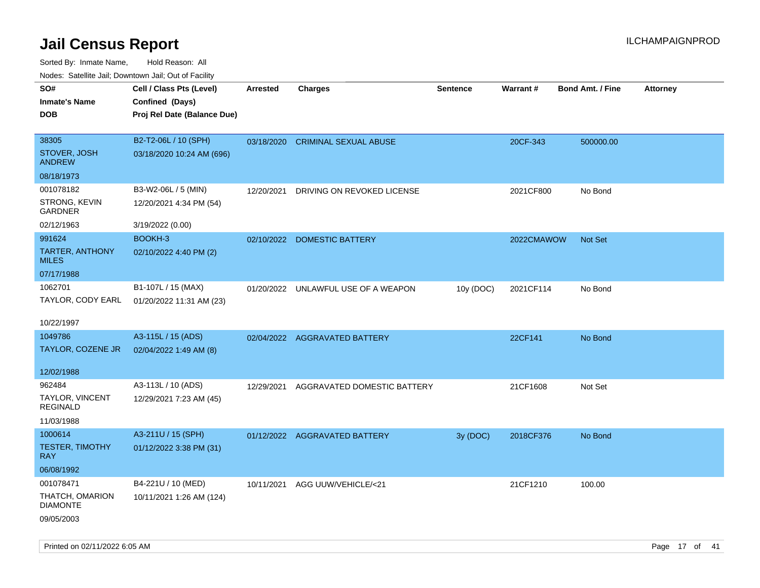| ivouss. Satellite Jali, Downtown Jali, Out of Facility |                             |            |                                     |                 |            |                         |                 |
|--------------------------------------------------------|-----------------------------|------------|-------------------------------------|-----------------|------------|-------------------------|-----------------|
| SO#                                                    | Cell / Class Pts (Level)    | Arrested   | <b>Charges</b>                      | <b>Sentence</b> | Warrant#   | <b>Bond Amt. / Fine</b> | <b>Attorney</b> |
| <b>Inmate's Name</b>                                   | Confined (Days)             |            |                                     |                 |            |                         |                 |
| <b>DOB</b>                                             | Proj Rel Date (Balance Due) |            |                                     |                 |            |                         |                 |
|                                                        |                             |            |                                     |                 |            |                         |                 |
| 38305                                                  | B2-T2-06L / 10 (SPH)        |            | 03/18/2020 CRIMINAL SEXUAL ABUSE    |                 | 20CF-343   | 500000.00               |                 |
| STOVER, JOSH<br>ANDREW                                 | 03/18/2020 10:24 AM (696)   |            |                                     |                 |            |                         |                 |
| 08/18/1973                                             |                             |            |                                     |                 |            |                         |                 |
| 001078182                                              | B3-W2-06L / 5 (MIN)         | 12/20/2021 | DRIVING ON REVOKED LICENSE          |                 | 2021CF800  | No Bond                 |                 |
| STRONG, KEVIN<br>GARDNER                               | 12/20/2021 4:34 PM (54)     |            |                                     |                 |            |                         |                 |
| 02/12/1963                                             | 3/19/2022 (0.00)            |            |                                     |                 |            |                         |                 |
| 991624                                                 | BOOKH-3                     |            | 02/10/2022 DOMESTIC BATTERY         |                 | 2022CMAWOW | <b>Not Set</b>          |                 |
| <b>TARTER, ANTHONY</b><br>MILES                        | 02/10/2022 4:40 PM (2)      |            |                                     |                 |            |                         |                 |
| 07/17/1988                                             |                             |            |                                     |                 |            |                         |                 |
| 1062701                                                | B1-107L / 15 (MAX)          |            | 01/20/2022 UNLAWFUL USE OF A WEAPON | 10y (DOC)       | 2021CF114  | No Bond                 |                 |
| TAYLOR, CODY EARL                                      | 01/20/2022 11:31 AM (23)    |            |                                     |                 |            |                         |                 |
|                                                        |                             |            |                                     |                 |            |                         |                 |
| 10/22/1997                                             |                             |            |                                     |                 |            |                         |                 |
| 1049786                                                | A3-115L / 15 (ADS)          |            | 02/04/2022 AGGRAVATED BATTERY       |                 | 22CF141    | No Bond                 |                 |
| TAYLOR, COZENE JR                                      | 02/04/2022 1:49 AM (8)      |            |                                     |                 |            |                         |                 |
|                                                        |                             |            |                                     |                 |            |                         |                 |
| 12/02/1988                                             |                             |            |                                     |                 |            |                         |                 |
| 962484                                                 | A3-113L / 10 (ADS)          | 12/29/2021 | AGGRAVATED DOMESTIC BATTERY         |                 | 21CF1608   | Not Set                 |                 |
| TAYLOR, VINCENT<br>REGINALD                            | 12/29/2021 7:23 AM (45)     |            |                                     |                 |            |                         |                 |
| 11/03/1988                                             |                             |            |                                     |                 |            |                         |                 |
| 1000614                                                | A3-211U / 15 (SPH)          |            | 01/12/2022 AGGRAVATED BATTERY       | 3y (DOC)        | 2018CF376  | No Bond                 |                 |
| TESTER, TIMOTHY                                        | 01/12/2022 3:38 PM (31)     |            |                                     |                 |            |                         |                 |
| RAY.                                                   |                             |            |                                     |                 |            |                         |                 |
| 06/08/1992                                             |                             |            |                                     |                 |            |                         |                 |
| 001078471                                              | B4-221U / 10 (MED)          |            | 10/11/2021 AGG UUW/VEHICLE/<21      |                 | 21CF1210   | 100.00                  |                 |
| THATCH, OMARION<br>DIAMONTE                            | 10/11/2021 1:26 AM (124)    |            |                                     |                 |            |                         |                 |
| 09/05/2003                                             |                             |            |                                     |                 |            |                         |                 |
|                                                        |                             |            |                                     |                 |            |                         |                 |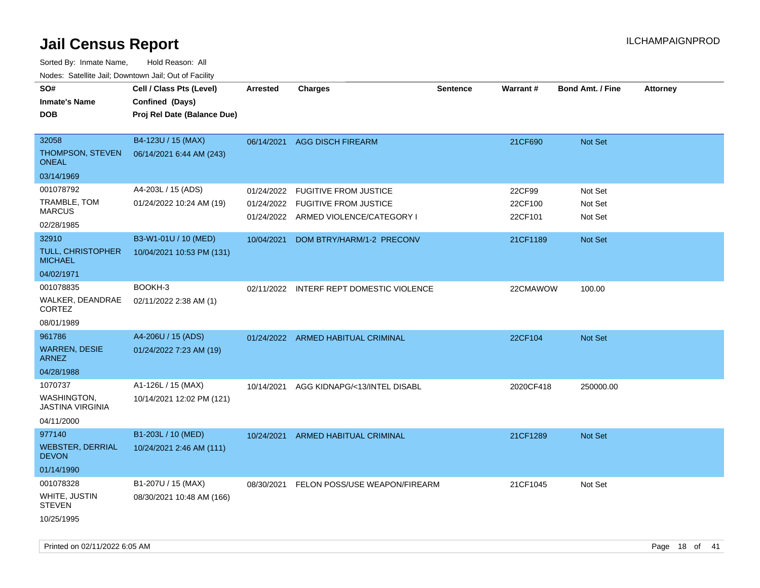| ivodes. Satellite Jali, Downtown Jali, Out of Facility |                             |                 |                                      |                 |           |                         |                 |
|--------------------------------------------------------|-----------------------------|-----------------|--------------------------------------|-----------------|-----------|-------------------------|-----------------|
| SO#                                                    | Cell / Class Pts (Level)    | <b>Arrested</b> | <b>Charges</b>                       | <b>Sentence</b> | Warrant#  | <b>Bond Amt. / Fine</b> | <b>Attorney</b> |
| <b>Inmate's Name</b>                                   | Confined (Days)             |                 |                                      |                 |           |                         |                 |
| <b>DOB</b>                                             | Proj Rel Date (Balance Due) |                 |                                      |                 |           |                         |                 |
|                                                        |                             |                 |                                      |                 |           |                         |                 |
| 32058                                                  | B4-123U / 15 (MAX)          | 06/14/2021      | <b>AGG DISCH FIREARM</b>             |                 | 21CF690   | <b>Not Set</b>          |                 |
| THOMPSON, STEVEN<br><b>ONEAL</b>                       | 06/14/2021 6:44 AM (243)    |                 |                                      |                 |           |                         |                 |
| 03/14/1969                                             |                             |                 |                                      |                 |           |                         |                 |
| 001078792                                              | A4-203L / 15 (ADS)          | 01/24/2022      | <b>FUGITIVE FROM JUSTICE</b>         |                 | 22CF99    | Not Set                 |                 |
| TRAMBLE, TOM                                           | 01/24/2022 10:24 AM (19)    | 01/24/2022      | <b>FUGITIVE FROM JUSTICE</b>         |                 | 22CF100   | Not Set                 |                 |
| <b>MARCUS</b>                                          |                             |                 | 01/24/2022 ARMED VIOLENCE/CATEGORY I |                 | 22CF101   | Not Set                 |                 |
| 02/28/1985                                             |                             |                 |                                      |                 |           |                         |                 |
| 32910                                                  | B3-W1-01U / 10 (MED)        | 10/04/2021      | DOM BTRY/HARM/1-2 PRECONV            |                 | 21CF1189  | Not Set                 |                 |
| <b>TULL, CHRISTOPHER</b><br><b>MICHAEL</b>             | 10/04/2021 10:53 PM (131)   |                 |                                      |                 |           |                         |                 |
| 04/02/1971                                             |                             |                 |                                      |                 |           |                         |                 |
| 001078835                                              | BOOKH-3                     | 02/11/2022      | INTERF REPT DOMESTIC VIOLENCE        |                 | 22CMAWOW  | 100.00                  |                 |
| WALKER, DEANDRAE<br>CORTEZ                             | 02/11/2022 2:38 AM (1)      |                 |                                      |                 |           |                         |                 |
| 08/01/1989                                             |                             |                 |                                      |                 |           |                         |                 |
| 961786                                                 | A4-206U / 15 (ADS)          |                 | 01/24/2022 ARMED HABITUAL CRIMINAL   |                 | 22CF104   | Not Set                 |                 |
| <b>WARREN, DESIE</b><br><b>ARNEZ</b>                   | 01/24/2022 7:23 AM (19)     |                 |                                      |                 |           |                         |                 |
| 04/28/1988                                             |                             |                 |                                      |                 |           |                         |                 |
| 1070737                                                | A1-126L / 15 (MAX)          | 10/14/2021      | AGG KIDNAPG/<13/INTEL DISABL         |                 | 2020CF418 | 250000.00               |                 |
| <b>WASHINGTON,</b><br><b>JASTINA VIRGINIA</b>          | 10/14/2021 12:02 PM (121)   |                 |                                      |                 |           |                         |                 |
| 04/11/2000                                             |                             |                 |                                      |                 |           |                         |                 |
| 977140                                                 | B1-203L / 10 (MED)          | 10/24/2021      | <b>ARMED HABITUAL CRIMINAL</b>       |                 | 21CF1289  | <b>Not Set</b>          |                 |
| <b>WEBSTER, DERRIAL</b><br><b>DEVON</b>                | 10/24/2021 2:46 AM (111)    |                 |                                      |                 |           |                         |                 |
| 01/14/1990                                             |                             |                 |                                      |                 |           |                         |                 |
| 001078328                                              | B1-207U / 15 (MAX)          | 08/30/2021      | FELON POSS/USE WEAPON/FIREARM        |                 | 21CF1045  | Not Set                 |                 |
| WHITE, JUSTIN<br><b>STEVEN</b>                         | 08/30/2021 10:48 AM (166)   |                 |                                      |                 |           |                         |                 |
| 10/25/1995                                             |                             |                 |                                      |                 |           |                         |                 |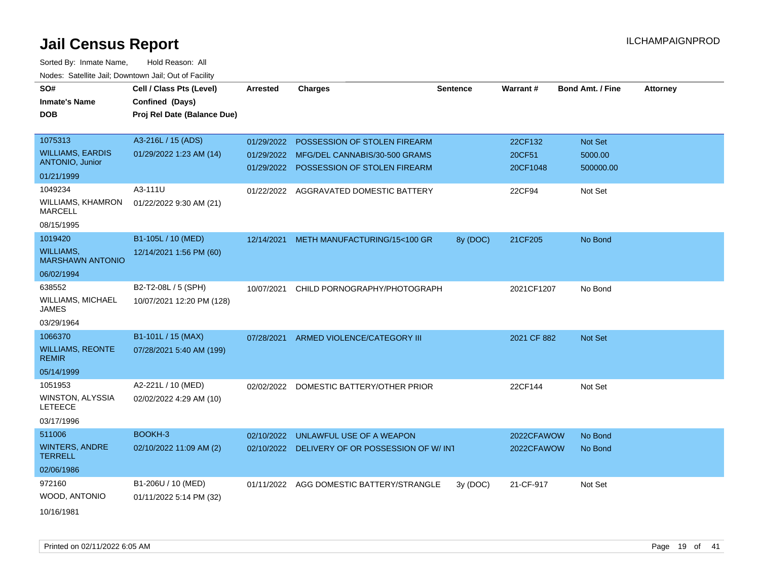| SO#<br><b>Inmate's Name</b><br><b>DOB</b>   | Cell / Class Pts (Level)<br>Confined (Days)<br>Proj Rel Date (Balance Due) | <b>Arrested</b> | <b>Charges</b>                                | <b>Sentence</b> | Warrant#    | <b>Bond Amt. / Fine</b> | <b>Attorney</b> |
|---------------------------------------------|----------------------------------------------------------------------------|-----------------|-----------------------------------------------|-----------------|-------------|-------------------------|-----------------|
| 1075313                                     | A3-216L / 15 (ADS)                                                         | 01/29/2022      | POSSESSION OF STOLEN FIREARM                  |                 | 22CF132     | Not Set                 |                 |
| <b>WILLIAMS, EARDIS</b>                     | 01/29/2022 1:23 AM (14)                                                    |                 | 01/29/2022 MFG/DEL CANNABIS/30-500 GRAMS      |                 | 20CF51      | 5000.00                 |                 |
| <b>ANTONIO, Junior</b>                      |                                                                            |                 | 01/29/2022 POSSESSION OF STOLEN FIREARM       |                 | 20CF1048    | 500000.00               |                 |
| 01/21/1999                                  |                                                                            |                 |                                               |                 |             |                         |                 |
| 1049234                                     | A3-111U                                                                    |                 | 01/22/2022 AGGRAVATED DOMESTIC BATTERY        |                 | 22CF94      | Not Set                 |                 |
| <b>WILLIAMS, KHAMRON</b><br><b>MARCELL</b>  | 01/22/2022 9:30 AM (21)                                                    |                 |                                               |                 |             |                         |                 |
| 08/15/1995                                  |                                                                            |                 |                                               |                 |             |                         |                 |
| 1019420                                     | B1-105L / 10 (MED)                                                         | 12/14/2021      | METH MANUFACTURING/15<100 GR                  | 8y (DOC)        | 21CF205     | No Bond                 |                 |
| <b>WILLIAMS.</b><br><b>MARSHAWN ANTONIO</b> | 12/14/2021 1:56 PM (60)                                                    |                 |                                               |                 |             |                         |                 |
| 06/02/1994                                  |                                                                            |                 |                                               |                 |             |                         |                 |
| 638552                                      | B2-T2-08L / 5 (SPH)                                                        | 10/07/2021      | CHILD PORNOGRAPHY/PHOTOGRAPH                  |                 | 2021CF1207  | No Bond                 |                 |
| <b>WILLIAMS, MICHAEL</b><br><b>JAMES</b>    | 10/07/2021 12:20 PM (128)                                                  |                 |                                               |                 |             |                         |                 |
| 03/29/1964                                  |                                                                            |                 |                                               |                 |             |                         |                 |
| 1066370                                     | B1-101L / 15 (MAX)                                                         | 07/28/2021      | ARMED VIOLENCE/CATEGORY III                   |                 | 2021 CF 882 | Not Set                 |                 |
| <b>WILLIAMS, REONTE</b><br><b>REMIR</b>     | 07/28/2021 5:40 AM (199)                                                   |                 |                                               |                 |             |                         |                 |
| 05/14/1999                                  |                                                                            |                 |                                               |                 |             |                         |                 |
| 1051953                                     | A2-221L / 10 (MED)                                                         | 02/02/2022      | DOMESTIC BATTERY/OTHER PRIOR                  |                 | 22CF144     | Not Set                 |                 |
| WINSTON, ALYSSIA<br><b>LETEECE</b>          | 02/02/2022 4:29 AM (10)                                                    |                 |                                               |                 |             |                         |                 |
| 03/17/1996                                  |                                                                            |                 |                                               |                 |             |                         |                 |
| 511006                                      | BOOKH-3                                                                    | 02/10/2022      | UNLAWFUL USE OF A WEAPON                      |                 | 2022CFAWOW  | No Bond                 |                 |
| <b>WINTERS, ANDRE</b><br><b>TERRELL</b>     | 02/10/2022 11:09 AM (2)                                                    |                 | 02/10/2022 DELIVERY OF OR POSSESSION OF W/INT |                 | 2022CFAWOW  | No Bond                 |                 |
| 02/06/1986                                  |                                                                            |                 |                                               |                 |             |                         |                 |
| 972160                                      | B1-206U / 10 (MED)                                                         |                 | 01/11/2022 AGG DOMESTIC BATTERY/STRANGLE      | 3y (DOC)        | 21-CF-917   | Not Set                 |                 |
| WOOD, ANTONIO                               | 01/11/2022 5:14 PM (32)                                                    |                 |                                               |                 |             |                         |                 |
| 10/16/1981                                  |                                                                            |                 |                                               |                 |             |                         |                 |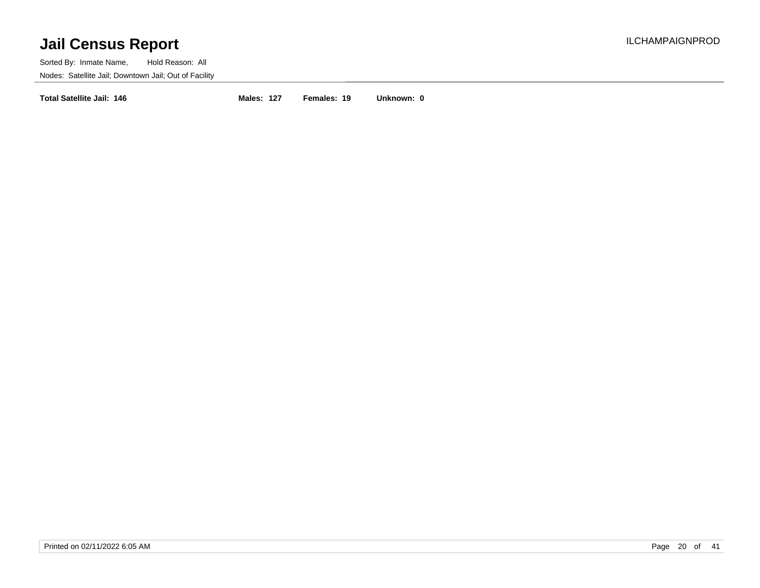Sorted By: Inmate Name, Hold Reason: All Nodes: Satellite Jail; Downtown Jail; Out of Facility

**Total Satellite Jail: 146 Males: 127 Females: 19 Unknown: 0**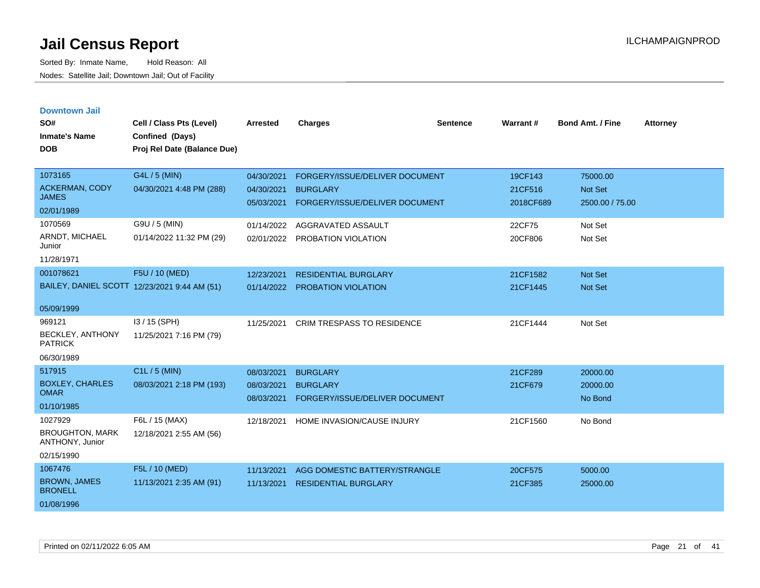| <b>Downtown Jail</b> |  |
|----------------------|--|
|                      |  |

| SO#<br><b>Inmate's Name</b>               | Cell / Class Pts (Level)<br>Confined (Days)  | <b>Arrested</b> | <b>Charges</b>                    | <b>Sentence</b> | Warrant#  | <b>Bond Amt. / Fine</b> | <b>Attorney</b> |
|-------------------------------------------|----------------------------------------------|-----------------|-----------------------------------|-----------------|-----------|-------------------------|-----------------|
| <b>DOB</b>                                | Proj Rel Date (Balance Due)                  |                 |                                   |                 |           |                         |                 |
|                                           |                                              |                 |                                   |                 |           |                         |                 |
| 1073165                                   | G4L / 5 (MIN)                                | 04/30/2021      | FORGERY/ISSUE/DELIVER DOCUMENT    |                 | 19CF143   | 75000.00                |                 |
| ACKERMAN, CODY<br><b>JAMES</b>            | 04/30/2021 4:48 PM (288)                     | 04/30/2021      | <b>BURGLARY</b>                   |                 | 21CF516   | Not Set                 |                 |
| 02/01/1989                                |                                              | 05/03/2021      | FORGERY/ISSUE/DELIVER DOCUMENT    |                 | 2018CF689 | 2500.00 / 75.00         |                 |
| 1070569                                   | G9U / 5 (MIN)                                | 01/14/2022      | AGGRAVATED ASSAULT                |                 | 22CF75    | Not Set                 |                 |
| ARNDT, MICHAEL<br>Junior                  | 01/14/2022 11:32 PM (29)                     | 02/01/2022      | PROBATION VIOLATION               |                 | 20CF806   | Not Set                 |                 |
| 11/28/1971                                |                                              |                 |                                   |                 |           |                         |                 |
| 001078621                                 | F5U / 10 (MED)                               | 12/23/2021      | <b>RESIDENTIAL BURGLARY</b>       |                 | 21CF1582  | Not Set                 |                 |
|                                           | BAILEY, DANIEL SCOTT 12/23/2021 9:44 AM (51) | 01/14/2022      | <b>PROBATION VIOLATION</b>        |                 | 21CF1445  | Not Set                 |                 |
| 05/09/1999                                |                                              |                 |                                   |                 |           |                         |                 |
| 969121                                    | I3 / 15 (SPH)                                | 11/25/2021      | <b>CRIM TRESPASS TO RESIDENCE</b> |                 | 21CF1444  | Not Set                 |                 |
| BECKLEY, ANTHONY<br><b>PATRICK</b>        | 11/25/2021 7:16 PM (79)                      |                 |                                   |                 |           |                         |                 |
| 06/30/1989                                |                                              |                 |                                   |                 |           |                         |                 |
| 517915                                    | C1L / 5 (MIN)                                | 08/03/2021      | <b>BURGLARY</b>                   |                 | 21CF289   | 20000.00                |                 |
| <b>BOXLEY, CHARLES</b><br><b>OMAR</b>     | 08/03/2021 2:18 PM (193)                     | 08/03/2021      | <b>BURGLARY</b>                   |                 | 21CF679   | 20000.00                |                 |
| 01/10/1985                                |                                              | 08/03/2021      | FORGERY/ISSUE/DELIVER DOCUMENT    |                 |           | No Bond                 |                 |
| 1027929                                   | F6L / 15 (MAX)                               | 12/18/2021      | <b>HOME INVASION/CAUSE INJURY</b> |                 | 21CF1560  | No Bond                 |                 |
| <b>BROUGHTON, MARK</b><br>ANTHONY, Junior | 12/18/2021 2:55 AM (56)                      |                 |                                   |                 |           |                         |                 |
| 02/15/1990                                |                                              |                 |                                   |                 |           |                         |                 |
| 1067476                                   | F5L / 10 (MED)                               | 11/13/2021      | AGG DOMESTIC BATTERY/STRANGLE     |                 | 20CF575   | 5000.00                 |                 |
| <b>BROWN, JAMES</b><br><b>BRONELL</b>     | 11/13/2021 2:35 AM (91)                      | 11/13/2021      | <b>RESIDENTIAL BURGLARY</b>       |                 | 21CF385   | 25000.00                |                 |
| 01/08/1996                                |                                              |                 |                                   |                 |           |                         |                 |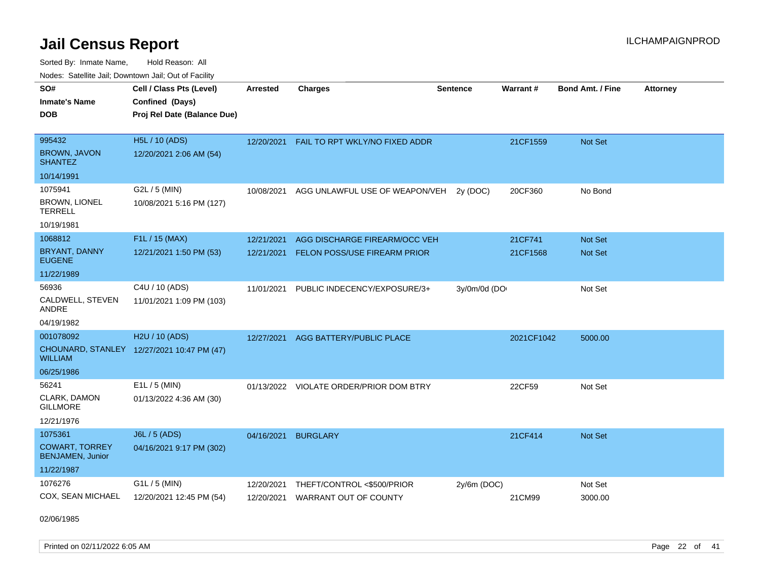Sorted By: Inmate Name, Hold Reason: All Nodes: Satellite Jail; Downtown Jail; Out of Facility

| SO#                                              | Cell / Class Pts (Level)                   | <b>Arrested</b> | <b>Charges</b>                          | <b>Sentence</b> | Warrant#   | <b>Bond Amt. / Fine</b> | <b>Attorney</b> |
|--------------------------------------------------|--------------------------------------------|-----------------|-----------------------------------------|-----------------|------------|-------------------------|-----------------|
| <b>Inmate's Name</b>                             | Confined (Days)                            |                 |                                         |                 |            |                         |                 |
| <b>DOB</b>                                       | Proj Rel Date (Balance Due)                |                 |                                         |                 |            |                         |                 |
|                                                  |                                            |                 |                                         |                 |            |                         |                 |
| 995432                                           | <b>H5L / 10 (ADS)</b>                      | 12/20/2021      | FAIL TO RPT WKLY/NO FIXED ADDR          |                 | 21CF1559   | Not Set                 |                 |
| <b>BROWN, JAVON</b><br><b>SHANTEZ</b>            | 12/20/2021 2:06 AM (54)                    |                 |                                         |                 |            |                         |                 |
| 10/14/1991                                       |                                            |                 |                                         |                 |            |                         |                 |
| 1075941                                          | G2L / 5 (MIN)                              | 10/08/2021      | AGG UNLAWFUL USE OF WEAPON/VEH          | 2y (DOC)        | 20CF360    | No Bond                 |                 |
| <b>BROWN, LIONEL</b><br><b>TERRELL</b>           | 10/08/2021 5:16 PM (127)                   |                 |                                         |                 |            |                         |                 |
| 10/19/1981                                       |                                            |                 |                                         |                 |            |                         |                 |
| 1068812                                          | F1L / 15 (MAX)                             | 12/21/2021      | AGG DISCHARGE FIREARM/OCC VEH           |                 | 21CF741    | Not Set                 |                 |
| <b>BRYANT, DANNY</b><br><b>EUGENE</b>            | 12/21/2021 1:50 PM (53)                    | 12/21/2021      | FELON POSS/USE FIREARM PRIOR            |                 | 21CF1568   | Not Set                 |                 |
| 11/22/1989                                       |                                            |                 |                                         |                 |            |                         |                 |
| 56936                                            | C4U / 10 (ADS)                             | 11/01/2021      | PUBLIC INDECENCY/EXPOSURE/3+            | 3y/0m/0d (DO    |            | Not Set                 |                 |
| CALDWELL, STEVEN<br>ANDRE                        | 11/01/2021 1:09 PM (103)                   |                 |                                         |                 |            |                         |                 |
| 04/19/1982                                       |                                            |                 |                                         |                 |            |                         |                 |
| 001078092                                        | H2U / 10 (ADS)                             | 12/27/2021      | AGG BATTERY/PUBLIC PLACE                |                 | 2021CF1042 | 5000.00                 |                 |
| <b>WILLIAM</b>                                   | CHOUNARD, STANLEY 12/27/2021 10:47 PM (47) |                 |                                         |                 |            |                         |                 |
| 06/25/1986                                       |                                            |                 |                                         |                 |            |                         |                 |
| 56241                                            | $E1L / 5$ (MIN)                            |                 | 01/13/2022 VIOLATE ORDER/PRIOR DOM BTRY |                 | 22CF59     | Not Set                 |                 |
| CLARK, DAMON<br><b>GILLMORE</b>                  | 01/13/2022 4:36 AM (30)                    |                 |                                         |                 |            |                         |                 |
| 12/21/1976                                       |                                            |                 |                                         |                 |            |                         |                 |
| 1075361                                          | J6L / 5 (ADS)                              | 04/16/2021      | <b>BURGLARY</b>                         |                 | 21CF414    | Not Set                 |                 |
| <b>COWART, TORREY</b><br><b>BENJAMEN, Junior</b> | 04/16/2021 9:17 PM (302)                   |                 |                                         |                 |            |                         |                 |
| 11/22/1987                                       |                                            |                 |                                         |                 |            |                         |                 |
| 1076276                                          | $G1L / 5$ (MIN)                            | 12/20/2021      | THEFT/CONTROL <\$500/PRIOR              | $2y/6m$ (DOC)   |            | Not Set                 |                 |
| COX, SEAN MICHAEL                                | 12/20/2021 12:45 PM (54)                   | 12/20/2021      | <b>WARRANT OUT OF COUNTY</b>            |                 | 21CM99     | 3000.00                 |                 |

02/06/1985

Printed on 02/11/2022 6:05 AM Page 22 of 41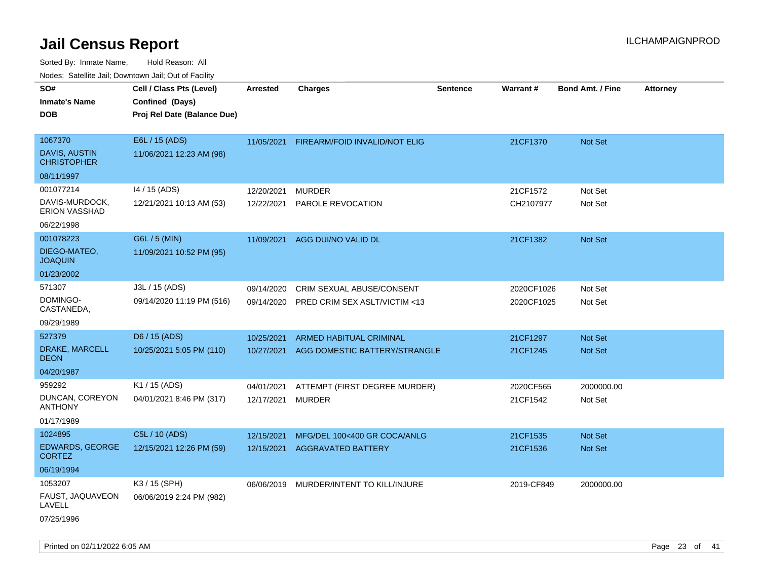|                                        | ivodes. Satellite Jali, Downtown Jali, Out of Facility |            |                               |                 |            |                         |                 |
|----------------------------------------|--------------------------------------------------------|------------|-------------------------------|-----------------|------------|-------------------------|-----------------|
| SO#                                    | Cell / Class Pts (Level)                               | Arrested   | <b>Charges</b>                | <b>Sentence</b> | Warrant#   | <b>Bond Amt. / Fine</b> | <b>Attorney</b> |
| Inmate's Name                          | Confined (Days)                                        |            |                               |                 |            |                         |                 |
| DOB                                    | Proj Rel Date (Balance Due)                            |            |                               |                 |            |                         |                 |
|                                        |                                                        |            |                               |                 |            |                         |                 |
| 1067370                                | E6L / 15 (ADS)                                         | 11/05/2021 | FIREARM/FOID INVALID/NOT ELIG |                 | 21CF1370   | <b>Not Set</b>          |                 |
| DAVIS, AUSTIN<br><b>CHRISTOPHER</b>    | 11/06/2021 12:23 AM (98)                               |            |                               |                 |            |                         |                 |
| 08/11/1997                             |                                                        |            |                               |                 |            |                         |                 |
| 001077214                              | 14 / 15 (ADS)                                          | 12/20/2021 | <b>MURDER</b>                 |                 | 21CF1572   | Not Set                 |                 |
| DAVIS-MURDOCK,<br><b>ERION VASSHAD</b> | 12/21/2021 10:13 AM (53)                               | 12/22/2021 | PAROLE REVOCATION             |                 | CH2107977  | Not Set                 |                 |
| 06/22/1998                             |                                                        |            |                               |                 |            |                         |                 |
| 001078223                              | G6L / 5 (MIN)                                          | 11/09/2021 | AGG DUI/NO VALID DL           |                 | 21CF1382   | Not Set                 |                 |
| DIEGO-MATEO,<br>JOAQUIN                | 11/09/2021 10:52 PM (95)                               |            |                               |                 |            |                         |                 |
| 01/23/2002                             |                                                        |            |                               |                 |            |                         |                 |
| 571307                                 | J3L / 15 (ADS)                                         | 09/14/2020 | CRIM SEXUAL ABUSE/CONSENT     |                 | 2020CF1026 | Not Set                 |                 |
| DOMINGO-<br>CASTANEDA,                 | 09/14/2020 11:19 PM (516)                              | 09/14/2020 | PRED CRIM SEX ASLT/VICTIM <13 |                 | 2020CF1025 | Not Set                 |                 |
| 09/29/1989                             |                                                        |            |                               |                 |            |                         |                 |
| 527379                                 | D6 / 15 (ADS)                                          | 10/25/2021 | ARMED HABITUAL CRIMINAL       |                 | 21CF1297   | Not Set                 |                 |
| DRAKE, MARCELL<br>DEON                 | 10/25/2021 5:05 PM (110)                               | 10/27/2021 | AGG DOMESTIC BATTERY/STRANGLE |                 | 21CF1245   | <b>Not Set</b>          |                 |
| 04/20/1987                             |                                                        |            |                               |                 |            |                         |                 |
| 959292                                 | K1 / 15 (ADS)                                          | 04/01/2021 | ATTEMPT (FIRST DEGREE MURDER) |                 | 2020CF565  | 2000000.00              |                 |
| DUNCAN, COREYON<br>ANTHONY             | 04/01/2021 8:46 PM (317)                               | 12/17/2021 | <b>MURDER</b>                 |                 | 21CF1542   | Not Set                 |                 |
| 01/17/1989                             |                                                        |            |                               |                 |            |                         |                 |
| 1024895                                | C5L / 10 (ADS)                                         | 12/15/2021 | MFG/DEL 100<400 GR COCA/ANLG  |                 | 21CF1535   | Not Set                 |                 |
| <b>EDWARDS, GEORGE</b><br>CORTEZ       | 12/15/2021 12:26 PM (59)                               | 12/15/2021 | <b>AGGRAVATED BATTERY</b>     |                 | 21CF1536   | Not Set                 |                 |
| 06/19/1994                             |                                                        |            |                               |                 |            |                         |                 |
| 1053207                                | K3 / 15 (SPH)                                          | 06/06/2019 | MURDER/INTENT TO KILL/INJURE  |                 | 2019-CF849 | 2000000.00              |                 |
| FAUST, JAQUAVEON<br>LAVELL             | 06/06/2019 2:24 PM (982)                               |            |                               |                 |            |                         |                 |
| 07/25/1996                             |                                                        |            |                               |                 |            |                         |                 |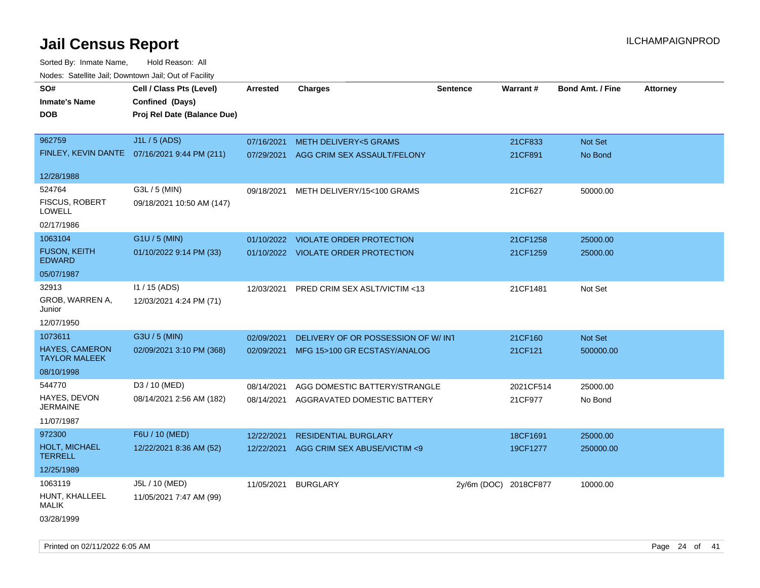Sorted By: Inmate Name, Hold Reason: All Nodes: Satellite Jail; Downtown Jail; Out of Facility

| <u>Rodoo:</u> Odtomto dan, Downtown dan, Out or Fabilit |                                              |            |                                        |                       |           |                         |                 |
|---------------------------------------------------------|----------------------------------------------|------------|----------------------------------------|-----------------------|-----------|-------------------------|-----------------|
| SO#                                                     | Cell / Class Pts (Level)                     | Arrested   | <b>Charges</b>                         | <b>Sentence</b>       | Warrant#  | <b>Bond Amt. / Fine</b> | <b>Attorney</b> |
| <b>Inmate's Name</b>                                    | Confined (Days)                              |            |                                        |                       |           |                         |                 |
| <b>DOB</b>                                              | Proj Rel Date (Balance Due)                  |            |                                        |                       |           |                         |                 |
|                                                         |                                              |            |                                        |                       |           |                         |                 |
| 962759                                                  | J1L / 5 (ADS)                                | 07/16/2021 | <b>METH DELIVERY&lt;5 GRAMS</b>        |                       | 21CF833   | Not Set                 |                 |
|                                                         | FINLEY, KEVIN DANTE 07/16/2021 9:44 PM (211) | 07/29/2021 | AGG CRIM SEX ASSAULT/FELONY            |                       | 21CF891   | No Bond                 |                 |
| 12/28/1988                                              |                                              |            |                                        |                       |           |                         |                 |
| 524764                                                  | G3L / 5 (MIN)                                | 09/18/2021 | METH DELIVERY/15<100 GRAMS             |                       | 21CF627   | 50000.00                |                 |
| FISCUS, ROBERT<br>LOWELL                                | 09/18/2021 10:50 AM (147)                    |            |                                        |                       |           |                         |                 |
| 02/17/1986                                              |                                              |            |                                        |                       |           |                         |                 |
| 1063104                                                 | G1U / 5 (MIN)                                | 01/10/2022 | <b>VIOLATE ORDER PROTECTION</b>        |                       | 21CF1258  | 25000.00                |                 |
| <b>FUSON, KEITH</b><br><b>EDWARD</b>                    | 01/10/2022 9:14 PM (33)                      |            | 01/10/2022 VIOLATE ORDER PROTECTION    |                       | 21CF1259  | 25000.00                |                 |
| 05/07/1987                                              |                                              |            |                                        |                       |           |                         |                 |
| 32913                                                   | I1 / 15 (ADS)                                | 12/03/2021 | PRED CRIM SEX ASLT/VICTIM <13          |                       | 21CF1481  | Not Set                 |                 |
| GROB, WARREN A,<br>Junior                               | 12/03/2021 4:24 PM (71)                      |            |                                        |                       |           |                         |                 |
| 12/07/1950                                              |                                              |            |                                        |                       |           |                         |                 |
| 1073611                                                 | G3U / 5 (MIN)                                | 02/09/2021 | DELIVERY OF OR POSSESSION OF W/INT     |                       | 21CF160   | Not Set                 |                 |
| <b>HAYES, CAMERON</b><br><b>TAYLOR MALEEK</b>           | 02/09/2021 3:10 PM (368)                     | 02/09/2021 | MFG 15>100 GR ECSTASY/ANALOG           |                       | 21CF121   | 500000.00               |                 |
| 08/10/1998                                              |                                              |            |                                        |                       |           |                         |                 |
| 544770                                                  | D3 / 10 (MED)                                | 08/14/2021 | AGG DOMESTIC BATTERY/STRANGLE          |                       | 2021CF514 | 25000.00                |                 |
| HAYES, DEVON<br><b>JERMAINE</b>                         | 08/14/2021 2:56 AM (182)                     |            | 08/14/2021 AGGRAVATED DOMESTIC BATTERY |                       | 21CF977   | No Bond                 |                 |
| 11/07/1987                                              |                                              |            |                                        |                       |           |                         |                 |
| 972300                                                  | F6U / 10 (MED)                               | 12/22/2021 | <b>RESIDENTIAL BURGLARY</b>            |                       | 18CF1691  | 25000.00                |                 |
| <b>HOLT, MICHAEL</b><br><b>TERRELL</b>                  | 12/22/2021 8:36 AM (52)                      | 12/22/2021 | AGG CRIM SEX ABUSE/VICTIM <9           |                       | 19CF1277  | 250000.00               |                 |
| 12/25/1989                                              |                                              |            |                                        |                       |           |                         |                 |
| 1063119                                                 | J5L / 10 (MED)                               | 11/05/2021 | <b>BURGLARY</b>                        | 2y/6m (DOC) 2018CF877 |           | 10000.00                |                 |
| HUNT, KHALLEEL<br><b>MALIK</b>                          | 11/05/2021 7:47 AM (99)                      |            |                                        |                       |           |                         |                 |
| ---------                                               |                                              |            |                                        |                       |           |                         |                 |

03/28/1999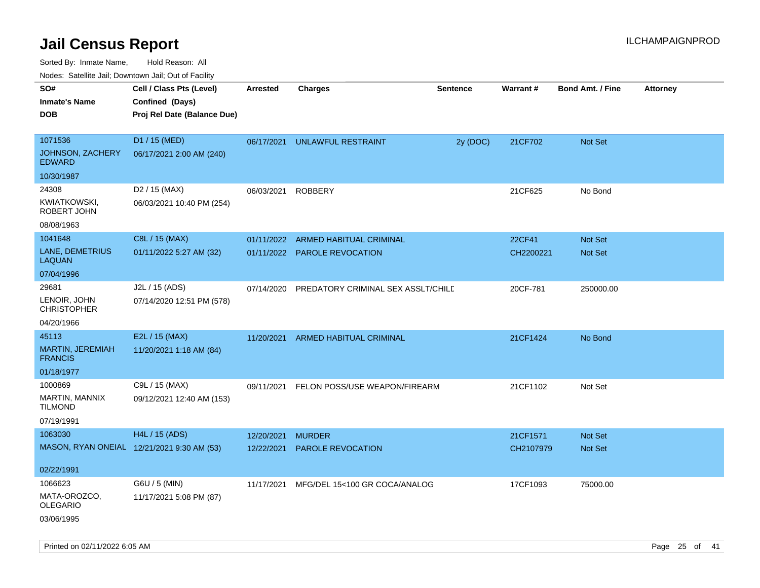**CEL ATTA:** CHARGE **CHARGE AFTER CHARGE AFTER CHARGE ATT** 

Sorted By: Inmate Name, Hold Reason: All Nodes: Satellite Jail; Downtown Jail; Out of Facility

| Nodes: Satellite Jail; Downtown Jail; Out of Facility |                      |                          |          |                |  |
|-------------------------------------------------------|----------------------|--------------------------|----------|----------------|--|
|                                                       | SO#                  | Cell / Class Pts (Level) | Arrested | <b>Charges</b> |  |
|                                                       | <b>Inmate's Name</b> | Confined (Days)          |          |                |  |

| inmate s Name<br><b>DOB</b>        | Confined (Days)<br>Proj Rel Date (Balance Due) |            |                                    |          |           |                |
|------------------------------------|------------------------------------------------|------------|------------------------------------|----------|-----------|----------------|
| 1071536                            | D1 / 15 (MED)                                  | 06/17/2021 | <b>UNLAWFUL RESTRAINT</b>          | 2y (DOC) | 21CF702   | Not Set        |
| JOHNSON, ZACHERY<br><b>EDWARD</b>  | 06/17/2021 2:00 AM (240)                       |            |                                    |          |           |                |
| 10/30/1987                         |                                                |            |                                    |          |           |                |
| 24308                              | D2 / 15 (MAX)                                  | 06/03/2021 | <b>ROBBERY</b>                     |          | 21CF625   | No Bond        |
| <b>KWIATKOWSKI,</b><br>ROBERT JOHN | 06/03/2021 10:40 PM (254)                      |            |                                    |          |           |                |
| 08/08/1963                         |                                                |            |                                    |          |           |                |
| 1041648                            | C8L / 15 (MAX)                                 | 01/11/2022 | <b>ARMED HABITUAL CRIMINAL</b>     |          | 22CF41    | Not Set        |
| LANE, DEMETRIUS<br><b>LAQUAN</b>   | 01/11/2022 5:27 AM (32)                        |            | 01/11/2022 PAROLE REVOCATION       |          | CH2200221 | Not Set        |
| 07/04/1996                         |                                                |            |                                    |          |           |                |
| 29681                              | J2L / 15 (ADS)                                 | 07/14/2020 | PREDATORY CRIMINAL SEX ASSLT/CHILD |          | 20CF-781  | 250000.00      |
| LENOIR, JOHN<br><b>CHRISTOPHER</b> | 07/14/2020 12:51 PM (578)                      |            |                                    |          |           |                |
| 04/20/1966                         |                                                |            |                                    |          |           |                |
| 45113                              | E2L / 15 (MAX)                                 | 11/20/2021 | ARMED HABITUAL CRIMINAL            |          | 21CF1424  | No Bond        |
| MARTIN, JEREMIAH<br><b>FRANCIS</b> | 11/20/2021 1:18 AM (84)                        |            |                                    |          |           |                |
| 01/18/1977                         |                                                |            |                                    |          |           |                |
| 1000869                            | C9L / 15 (MAX)                                 | 09/11/2021 | FELON POSS/USE WEAPON/FIREARM      |          | 21CF1102  | Not Set        |
| MARTIN, MANNIX<br><b>TILMOND</b>   | 09/12/2021 12:40 AM (153)                      |            |                                    |          |           |                |
| 07/19/1991                         |                                                |            |                                    |          |           |                |
| 1063030                            | H4L / 15 (ADS)                                 | 12/20/2021 | <b>MURDER</b>                      |          | 21CF1571  | <b>Not Set</b> |
|                                    | MASON, RYAN ONEIAL 12/21/2021 9:30 AM (53)     | 12/22/2021 | PAROLE REVOCATION                  |          | CH2107979 | Not Set        |
| 02/22/1991                         |                                                |            |                                    |          |           |                |
| 1066623                            | G6U / 5 (MIN)                                  | 11/17/2021 | MFG/DEL 15<100 GR COCA/ANALOG      |          | 17CF1093  | 75000.00       |
| MATA-OROZCO,<br><b>OLEGARIO</b>    | 11/17/2021 5:08 PM (87)                        |            |                                    |          |           |                |
| 03/06/1995                         |                                                |            |                                    |          |           |                |

**Sentence**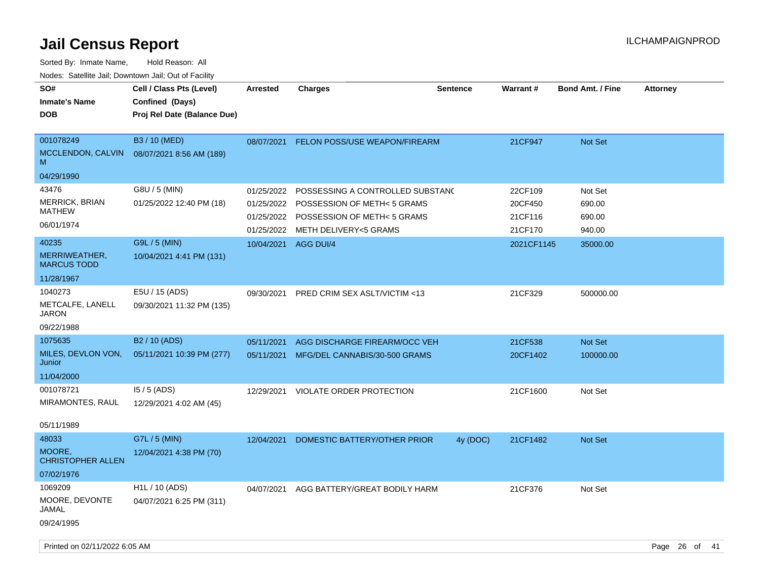| SO#<br><b>Inmate's Name</b><br><b>DOB</b> | Cell / Class Pts (Level)<br>Confined (Days)<br>Proj Rel Date (Balance Due) | <b>Arrested</b> | <b>Charges</b>                       | <b>Sentence</b> | <b>Warrant#</b> | <b>Bond Amt. / Fine</b> | <b>Attorney</b> |
|-------------------------------------------|----------------------------------------------------------------------------|-----------------|--------------------------------------|-----------------|-----------------|-------------------------|-----------------|
|                                           |                                                                            |                 |                                      |                 |                 |                         |                 |
| 001078249<br>MCCLENDON, CALVIN<br>M       | B3 / 10 (MED)<br>08/07/2021 8:56 AM (189)                                  | 08/07/2021      | <b>FELON POSS/USE WEAPON/FIREARM</b> |                 | 21CF947         | <b>Not Set</b>          |                 |
| 04/29/1990                                |                                                                            |                 |                                      |                 |                 |                         |                 |
| 43476                                     | G8U / 5 (MIN)                                                              | 01/25/2022      | POSSESSING A CONTROLLED SUBSTAND     |                 | 22CF109         | Not Set                 |                 |
| <b>MERRICK, BRIAN</b>                     | 01/25/2022 12:40 PM (18)                                                   | 01/25/2022      | POSSESSION OF METH<5 GRAMS           |                 | 20CF450         | 690.00                  |                 |
| MATHEW                                    |                                                                            | 01/25/2022      | POSSESSION OF METH< 5 GRAMS          |                 | 21CF116         | 690.00                  |                 |
| 06/01/1974                                |                                                                            | 01/25/2022      | <b>METH DELIVERY&lt;5 GRAMS</b>      |                 | 21CF170         | 940.00                  |                 |
| 40235                                     | G9L / 5 (MIN)                                                              | 10/04/2021      | AGG DUI/4                            |                 | 2021CF1145      | 35000.00                |                 |
| MERRIWEATHER,<br><b>MARCUS TODD</b>       | 10/04/2021 4:41 PM (131)                                                   |                 |                                      |                 |                 |                         |                 |
| 11/28/1967                                |                                                                            |                 |                                      |                 |                 |                         |                 |
| 1040273                                   | E5U / 15 (ADS)                                                             | 09/30/2021      | PRED CRIM SEX ASLT/VICTIM <13        |                 | 21CF329         | 500000.00               |                 |
| METCALFE, LANELL<br><b>JARON</b>          | 09/30/2021 11:32 PM (135)                                                  |                 |                                      |                 |                 |                         |                 |
| 09/22/1988                                |                                                                            |                 |                                      |                 |                 |                         |                 |
| 1075635                                   | B2 / 10 (ADS)                                                              | 05/11/2021      | AGG DISCHARGE FIREARM/OCC VEH        |                 | 21CF538         | <b>Not Set</b>          |                 |
| MILES, DEVLON VON,<br>Junior              | 05/11/2021 10:39 PM (277)                                                  | 05/11/2021      | MFG/DEL CANNABIS/30-500 GRAMS        |                 | 20CF1402        | 100000.00               |                 |
| 11/04/2000                                |                                                                            |                 |                                      |                 |                 |                         |                 |
| 001078721                                 | $15/5$ (ADS)                                                               | 12/29/2021      | VIOLATE ORDER PROTECTION             |                 | 21CF1600        | Not Set                 |                 |
| MIRAMONTES, RAUL                          | 12/29/2021 4:02 AM (45)                                                    |                 |                                      |                 |                 |                         |                 |
| 05/11/1989                                |                                                                            |                 |                                      |                 |                 |                         |                 |
| 48033                                     | G7L / 5 (MIN)                                                              | 12/04/2021      | DOMESTIC BATTERY/OTHER PRIOR         | 4y (DOC)        | 21CF1482        | <b>Not Set</b>          |                 |
| MOORE,<br><b>CHRISTOPHER ALLEN</b>        | 12/04/2021 4:38 PM (70)                                                    |                 |                                      |                 |                 |                         |                 |
| 07/02/1976                                |                                                                            |                 |                                      |                 |                 |                         |                 |
| 1069209                                   | H1L / 10 (ADS)                                                             | 04/07/2021      | AGG BATTERY/GREAT BODILY HARM        |                 | 21CF376         | Not Set                 |                 |
| MOORE, DEVONTE<br>JAMAL                   | 04/07/2021 6:25 PM (311)                                                   |                 |                                      |                 |                 |                         |                 |
| 09/24/1995                                |                                                                            |                 |                                      |                 |                 |                         |                 |
| Printed on 02/11/2022 6:05 AM             |                                                                            |                 |                                      |                 |                 |                         | Page 26 of 41   |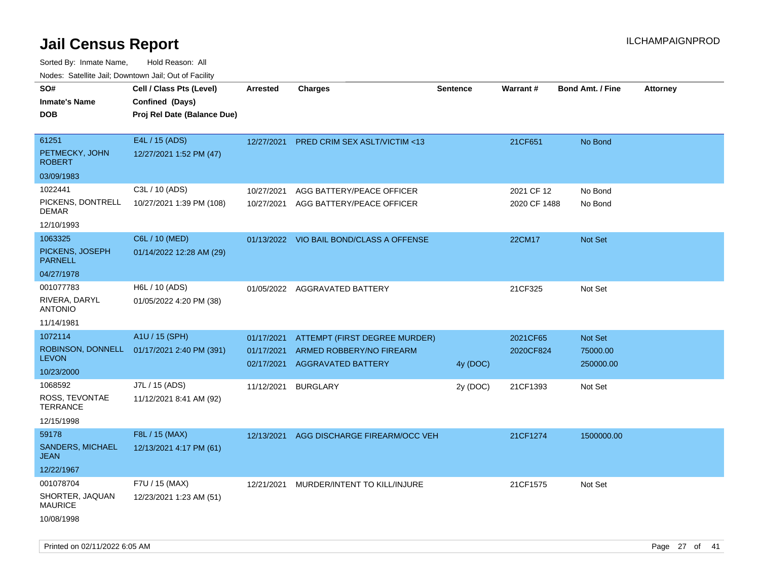| ivouss. Satellite Jali, Downtown Jali, Out of Facility |                                            |                 |                                          |                 |                 |                         |                 |
|--------------------------------------------------------|--------------------------------------------|-----------------|------------------------------------------|-----------------|-----------------|-------------------------|-----------------|
| SO#                                                    | Cell / Class Pts (Level)                   | <b>Arrested</b> | <b>Charges</b>                           | <b>Sentence</b> | <b>Warrant#</b> | <b>Bond Amt. / Fine</b> | <b>Attorney</b> |
| Inmate's Name                                          | Confined (Days)                            |                 |                                          |                 |                 |                         |                 |
| DOB                                                    | Proj Rel Date (Balance Due)                |                 |                                          |                 |                 |                         |                 |
|                                                        |                                            |                 |                                          |                 |                 |                         |                 |
| 61251                                                  | E4L / 15 (ADS)                             | 12/27/2021      | <b>PRED CRIM SEX ASLT/VICTIM &lt;13</b>  |                 | 21CF651         | No Bond                 |                 |
| PETMECKY, JOHN<br><b>ROBERT</b>                        | 12/27/2021 1:52 PM (47)                    |                 |                                          |                 |                 |                         |                 |
| 03/09/1983                                             |                                            |                 |                                          |                 |                 |                         |                 |
| 1022441                                                | C3L / 10 (ADS)                             | 10/27/2021      | AGG BATTERY/PEACE OFFICER                |                 | 2021 CF 12      | No Bond                 |                 |
| PICKENS, DONTRELL<br>DEMAR                             | 10/27/2021 1:39 PM (108)                   | 10/27/2021      | AGG BATTERY/PEACE OFFICER                |                 | 2020 CF 1488    | No Bond                 |                 |
| 12/10/1993                                             |                                            |                 |                                          |                 |                 |                         |                 |
| 1063325                                                | C6L / 10 (MED)                             |                 | 01/13/2022 VIO BAIL BOND/CLASS A OFFENSE |                 | 22CM17          | Not Set                 |                 |
| PICKENS, JOSEPH<br><b>PARNELL</b>                      | 01/14/2022 12:28 AM (29)                   |                 |                                          |                 |                 |                         |                 |
| 04/27/1978                                             |                                            |                 |                                          |                 |                 |                         |                 |
| 001077783                                              | H6L / 10 (ADS)                             |                 | 01/05/2022 AGGRAVATED BATTERY            |                 | 21CF325         | Not Set                 |                 |
| RIVERA, DARYL<br>ANTONIO                               | 01/05/2022 4:20 PM (38)                    |                 |                                          |                 |                 |                         |                 |
| 11/14/1981                                             |                                            |                 |                                          |                 |                 |                         |                 |
| 1072114                                                | A1U / 15 (SPH)                             | 01/17/2021      | ATTEMPT (FIRST DEGREE MURDER)            |                 | 2021CF65        | Not Set                 |                 |
| <b>LEVON</b>                                           | ROBINSON, DONNELL 01/17/2021 2:40 PM (391) | 01/17/2021      | ARMED ROBBERY/NO FIREARM                 |                 | 2020CF824       | 75000.00                |                 |
| 10/23/2000                                             |                                            | 02/17/2021      | <b>AGGRAVATED BATTERY</b>                | 4y (DOC)        |                 | 250000.00               |                 |
| 1068592                                                | J7L / 15 (ADS)                             | 11/12/2021      | <b>BURGLARY</b>                          | 2y (DOC)        | 21CF1393        | Not Set                 |                 |
| ROSS, TEVONTAE<br>TERRANCE                             | 11/12/2021 8:41 AM (92)                    |                 |                                          |                 |                 |                         |                 |
| 12/15/1998                                             |                                            |                 |                                          |                 |                 |                         |                 |
| 59178                                                  | F8L / 15 (MAX)                             | 12/13/2021      | AGG DISCHARGE FIREARM/OCC VEH            |                 | 21CF1274        | 1500000.00              |                 |
| <b>SANDERS, MICHAEL</b><br>JEAN                        | 12/13/2021 4:17 PM (61)                    |                 |                                          |                 |                 |                         |                 |
| 12/22/1967                                             |                                            |                 |                                          |                 |                 |                         |                 |
| 001078704                                              | F7U / 15 (MAX)                             | 12/21/2021      | MURDER/INTENT TO KILL/INJURE             |                 | 21CF1575        | Not Set                 |                 |
| SHORTER, JAQUAN<br><b>MAURICE</b>                      | 12/23/2021 1:23 AM (51)                    |                 |                                          |                 |                 |                         |                 |
| 10/08/1998                                             |                                            |                 |                                          |                 |                 |                         |                 |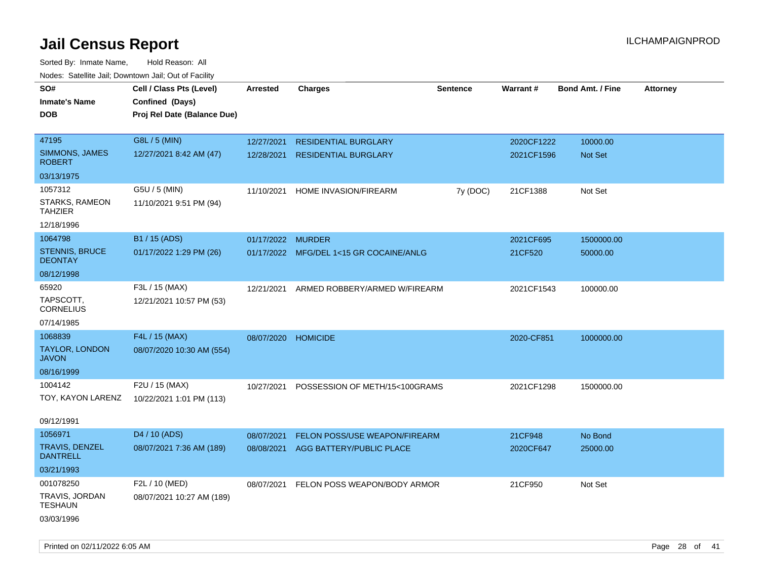| roaco. Catolino dall, Downtown dall, Out of Fability |                             |                     |                                         |                 |                 |                         |                 |
|------------------------------------------------------|-----------------------------|---------------------|-----------------------------------------|-----------------|-----------------|-------------------------|-----------------|
| SO#                                                  | Cell / Class Pts (Level)    | <b>Arrested</b>     | <b>Charges</b>                          | <b>Sentence</b> | <b>Warrant#</b> | <b>Bond Amt. / Fine</b> | <b>Attorney</b> |
| <b>Inmate's Name</b>                                 | Confined (Days)             |                     |                                         |                 |                 |                         |                 |
| <b>DOB</b>                                           | Proj Rel Date (Balance Due) |                     |                                         |                 |                 |                         |                 |
|                                                      |                             |                     |                                         |                 |                 |                         |                 |
| 47195                                                | G8L / 5 (MIN)               | 12/27/2021          | <b>RESIDENTIAL BURGLARY</b>             |                 | 2020CF1222      | 10000.00                |                 |
| SIMMONS, JAMES<br><b>ROBERT</b>                      | 12/27/2021 8:42 AM (47)     | 12/28/2021          | <b>RESIDENTIAL BURGLARY</b>             |                 | 2021CF1596      | <b>Not Set</b>          |                 |
| 03/13/1975                                           |                             |                     |                                         |                 |                 |                         |                 |
| 1057312                                              | G5U / 5 (MIN)               | 11/10/2021          | HOME INVASION/FIREARM                   | 7y (DOC)        | 21CF1388        | Not Set                 |                 |
| STARKS, RAMEON<br>TAHZIER                            | 11/10/2021 9:51 PM (94)     |                     |                                         |                 |                 |                         |                 |
| 12/18/1996                                           |                             |                     |                                         |                 |                 |                         |                 |
| 1064798                                              | B1 / 15 (ADS)               | 01/17/2022 MURDER   |                                         |                 | 2021CF695       | 1500000.00              |                 |
| STENNIS, BRUCE<br><b>DEONTAY</b>                     | 01/17/2022 1:29 PM (26)     |                     | 01/17/2022 MFG/DEL 1<15 GR COCAINE/ANLG |                 | 21CF520         | 50000.00                |                 |
| 08/12/1998                                           |                             |                     |                                         |                 |                 |                         |                 |
| 65920                                                | F3L / 15 (MAX)              | 12/21/2021          | ARMED ROBBERY/ARMED W/FIREARM           |                 | 2021CF1543      | 100000.00               |                 |
| TAPSCOTT,<br><b>CORNELIUS</b>                        | 12/21/2021 10:57 PM (53)    |                     |                                         |                 |                 |                         |                 |
| 07/14/1985                                           |                             |                     |                                         |                 |                 |                         |                 |
| 1068839                                              | F4L / 15 (MAX)              | 08/07/2020 HOMICIDE |                                         |                 | 2020-CF851      | 1000000.00              |                 |
| <b>TAYLOR, LONDON</b><br><b>JAVON</b>                | 08/07/2020 10:30 AM (554)   |                     |                                         |                 |                 |                         |                 |
| 08/16/1999                                           |                             |                     |                                         |                 |                 |                         |                 |
| 1004142                                              | F2U / 15 (MAX)              | 10/27/2021          | POSSESSION OF METH/15<100GRAMS          |                 | 2021CF1298      | 1500000.00              |                 |
| TOY, KAYON LARENZ                                    | 10/22/2021 1:01 PM (113)    |                     |                                         |                 |                 |                         |                 |
|                                                      |                             |                     |                                         |                 |                 |                         |                 |
| 09/12/1991                                           |                             |                     |                                         |                 |                 |                         |                 |
| 1056971                                              | D4 / 10 (ADS)               | 08/07/2021          | FELON POSS/USE WEAPON/FIREARM           |                 | 21CF948         | No Bond                 |                 |
| <b>TRAVIS, DENZEL</b><br><b>DANTRELL</b>             | 08/07/2021 7:36 AM (189)    | 08/08/2021          | AGG BATTERY/PUBLIC PLACE                |                 | 2020CF647       | 25000.00                |                 |
| 03/21/1993                                           |                             |                     |                                         |                 |                 |                         |                 |
| 001078250                                            | F2L / 10 (MED)              | 08/07/2021          | FELON POSS WEAPON/BODY ARMOR            |                 | 21CF950         | Not Set                 |                 |
| TRAVIS, JORDAN<br>TESHAUN                            | 08/07/2021 10:27 AM (189)   |                     |                                         |                 |                 |                         |                 |
| 03/03/1996                                           |                             |                     |                                         |                 |                 |                         |                 |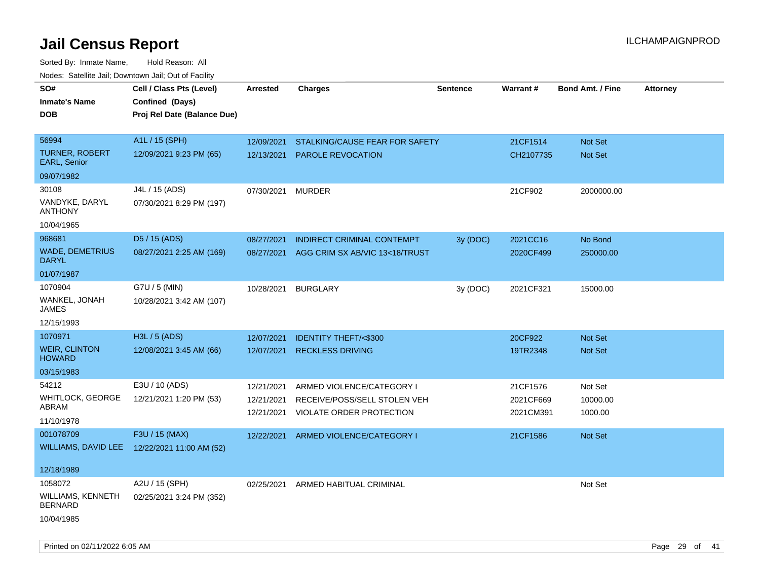| roacs. Catellite Jall, Downtown Jall, Out of Facility |                                                                            |                   |                                    |                 |           |                         |                 |
|-------------------------------------------------------|----------------------------------------------------------------------------|-------------------|------------------------------------|-----------------|-----------|-------------------------|-----------------|
| SO#<br><b>Inmate's Name</b><br><b>DOB</b>             | Cell / Class Pts (Level)<br>Confined (Days)<br>Proj Rel Date (Balance Due) | <b>Arrested</b>   | <b>Charges</b>                     | <b>Sentence</b> | Warrant#  | <b>Bond Amt. / Fine</b> | <b>Attorney</b> |
| 56994                                                 | A1L / 15 (SPH)                                                             | 12/09/2021        | STALKING/CAUSE FEAR FOR SAFETY     |                 | 21CF1514  | Not Set                 |                 |
| <b>TURNER, ROBERT</b><br>EARL, Senior                 | 12/09/2021 9:23 PM (65)                                                    | 12/13/2021        | PAROLE REVOCATION                  |                 | CH2107735 | Not Set                 |                 |
| 09/07/1982                                            |                                                                            |                   |                                    |                 |           |                         |                 |
| 30108                                                 | J4L / 15 (ADS)                                                             | 07/30/2021 MURDER |                                    |                 | 21CF902   | 2000000.00              |                 |
| VANDYKE, DARYL<br><b>ANTHONY</b>                      | 07/30/2021 8:29 PM (197)                                                   |                   |                                    |                 |           |                         |                 |
| 10/04/1965                                            |                                                                            |                   |                                    |                 |           |                         |                 |
| 968681                                                | D5 / 15 (ADS)                                                              | 08/27/2021        | <b>INDIRECT CRIMINAL CONTEMPT</b>  | 3y (DOC)        | 2021CC16  | No Bond                 |                 |
| <b>WADE, DEMETRIUS</b><br><b>DARYL</b>                | 08/27/2021 2:25 AM (169)                                                   | 08/27/2021        | AGG CRIM SX AB/VIC 13<18/TRUST     |                 | 2020CF499 | 250000.00               |                 |
| 01/07/1987                                            |                                                                            |                   |                                    |                 |           |                         |                 |
| 1070904                                               | G7U / 5 (MIN)                                                              | 10/28/2021        | <b>BURGLARY</b>                    | 3y (DOC)        | 2021CF321 | 15000.00                |                 |
| WANKEL, JONAH<br>JAMES                                | 10/28/2021 3:42 AM (107)                                                   |                   |                                    |                 |           |                         |                 |
| 12/15/1993                                            |                                                                            |                   |                                    |                 |           |                         |                 |
| 1070971                                               | H3L / 5 (ADS)                                                              | 12/07/2021        | <b>IDENTITY THEFT/&lt;\$300</b>    |                 | 20CF922   | <b>Not Set</b>          |                 |
| <b>WEIR, CLINTON</b><br><b>HOWARD</b>                 | 12/08/2021 3:45 AM (66)                                                    | 12/07/2021        | <b>RECKLESS DRIVING</b>            |                 | 19TR2348  | Not Set                 |                 |
| 03/15/1983                                            |                                                                            |                   |                                    |                 |           |                         |                 |
| 54212                                                 | E3U / 10 (ADS)                                                             | 12/21/2021        | ARMED VIOLENCE/CATEGORY I          |                 | 21CF1576  | Not Set                 |                 |
| WHITLOCK, GEORGE                                      | 12/21/2021 1:20 PM (53)                                                    | 12/21/2021        | RECEIVE/POSS/SELL STOLEN VEH       |                 | 2021CF669 | 10000.00                |                 |
| ABRAM                                                 |                                                                            | 12/21/2021        | VIOLATE ORDER PROTECTION           |                 | 2021CM391 | 1000.00                 |                 |
| 11/10/1978                                            |                                                                            |                   |                                    |                 |           |                         |                 |
| 001078709                                             | F3U / 15 (MAX)                                                             | 12/22/2021        | ARMED VIOLENCE/CATEGORY I          |                 | 21CF1586  | Not Set                 |                 |
|                                                       | WILLIAMS, DAVID LEE 12/22/2021 11:00 AM (52)                               |                   |                                    |                 |           |                         |                 |
| 12/18/1989                                            |                                                                            |                   |                                    |                 |           |                         |                 |
| 1058072                                               | A2U / 15 (SPH)                                                             |                   | 02/25/2021 ARMED HABITUAL CRIMINAL |                 |           | Not Set                 |                 |
| <b>WILLIAMS, KENNETH</b><br><b>BERNARD</b>            | 02/25/2021 3:24 PM (352)                                                   |                   |                                    |                 |           |                         |                 |
| 10/04/1985                                            |                                                                            |                   |                                    |                 |           |                         |                 |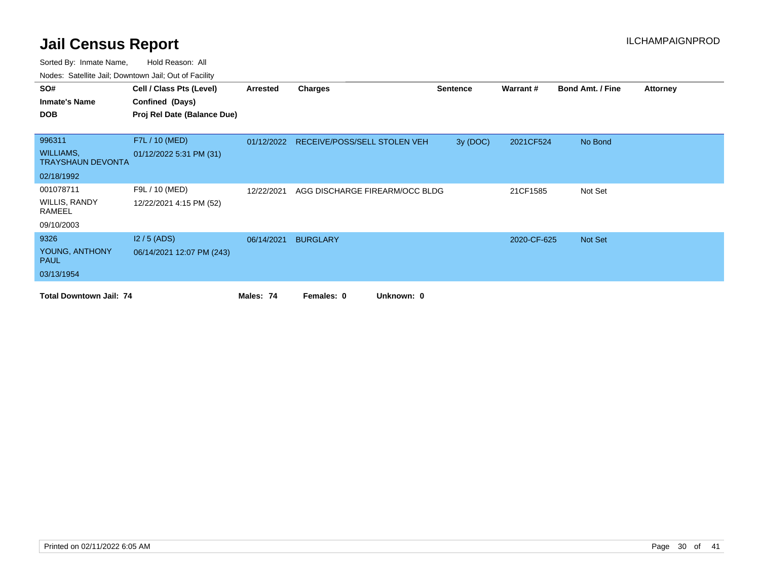| SO#                                          | Cell / Class Pts (Level)    | Arrested   | <b>Charges</b>                          | <b>Sentence</b> | Warrant#    | <b>Bond Amt. / Fine</b> | <b>Attorney</b> |
|----------------------------------------------|-----------------------------|------------|-----------------------------------------|-----------------|-------------|-------------------------|-----------------|
| <b>Inmate's Name</b>                         | Confined (Days)             |            |                                         |                 |             |                         |                 |
| <b>DOB</b>                                   | Proj Rel Date (Balance Due) |            |                                         |                 |             |                         |                 |
|                                              |                             |            |                                         |                 |             |                         |                 |
| 996311                                       | F7L / 10 (MED)              |            | 01/12/2022 RECEIVE/POSS/SELL STOLEN VEH | 3y (DOC)        | 2021CF524   | No Bond                 |                 |
| <b>WILLIAMS,</b><br><b>TRAYSHAUN DEVONTA</b> | 01/12/2022 5:31 PM (31)     |            |                                         |                 |             |                         |                 |
| 02/18/1992                                   |                             |            |                                         |                 |             |                         |                 |
| 001078711                                    | F9L / 10 (MED)              | 12/22/2021 | AGG DISCHARGE FIREARM/OCC BLDG          |                 | 21CF1585    | Not Set                 |                 |
| WILLIS, RANDY<br>RAMEEL                      | 12/22/2021 4:15 PM (52)     |            |                                         |                 |             |                         |                 |
| 09/10/2003                                   |                             |            |                                         |                 |             |                         |                 |
| 9326                                         | $12/5$ (ADS)                | 06/14/2021 | <b>BURGLARY</b>                         |                 | 2020-CF-625 | Not Set                 |                 |
| YOUNG, ANTHONY<br><b>PAUL</b>                | 06/14/2021 12:07 PM (243)   |            |                                         |                 |             |                         |                 |
| 03/13/1954                                   |                             |            |                                         |                 |             |                         |                 |
| <b>Total Downtown Jail: 74</b>               |                             | Males: 74  | Females: 0<br>Unknown: 0                |                 |             |                         |                 |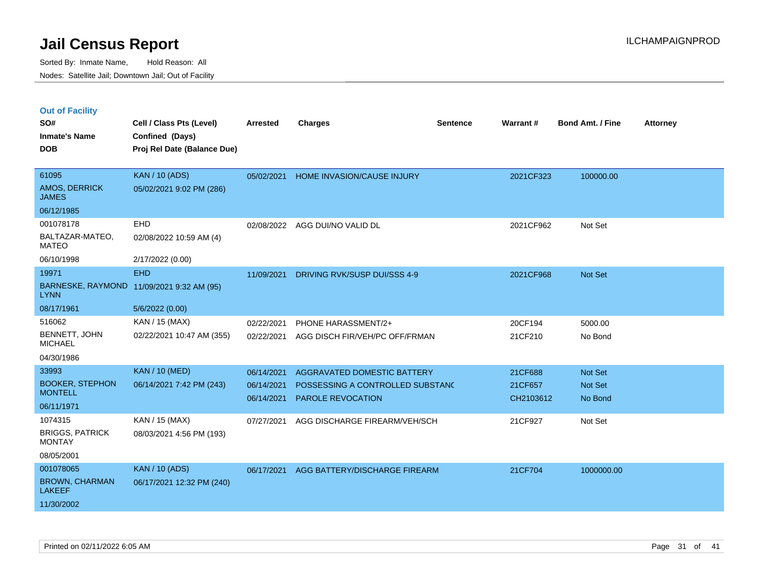|  |  |  | <b>Out of Facility</b> |  |
|--|--|--|------------------------|--|
|--|--|--|------------------------|--|

| SO#                                      | Cell / Class Pts (Level)                       | <b>Arrested</b> | <b>Charges</b>                   | <b>Sentence</b> | Warrant#  | <b>Bond Amt. / Fine</b> | <b>Attorney</b> |
|------------------------------------------|------------------------------------------------|-----------------|----------------------------------|-----------------|-----------|-------------------------|-----------------|
| <b>Inmate's Name</b><br><b>DOB</b>       | Confined (Days)<br>Proj Rel Date (Balance Due) |                 |                                  |                 |           |                         |                 |
|                                          |                                                |                 |                                  |                 |           |                         |                 |
| 61095                                    | <b>KAN / 10 (ADS)</b>                          | 05/02/2021      | HOME INVASION/CAUSE INJURY       |                 | 2021CF323 | 100000.00               |                 |
| AMOS, DERRICK<br><b>JAMES</b>            | 05/02/2021 9:02 PM (286)                       |                 |                                  |                 |           |                         |                 |
| 06/12/1985                               |                                                |                 |                                  |                 |           |                         |                 |
| 001078178                                | EHD                                            |                 | 02/08/2022 AGG DUI/NO VALID DL   |                 | 2021CF962 | Not Set                 |                 |
| BALTAZAR-MATEO,<br><b>MATEO</b>          | 02/08/2022 10:59 AM (4)                        |                 |                                  |                 |           |                         |                 |
| 06/10/1998                               | 2/17/2022 (0.00)                               |                 |                                  |                 |           |                         |                 |
| 19971                                    | <b>EHD</b>                                     | 11/09/2021      | DRIVING RVK/SUSP DUI/SSS 4-9     |                 | 2021CF968 | Not Set                 |                 |
| <b>LYNN</b>                              | BARNESKE, RAYMOND 11/09/2021 9:32 AM (95)      |                 |                                  |                 |           |                         |                 |
| 08/17/1961                               | 5/6/2022 (0.00)                                |                 |                                  |                 |           |                         |                 |
| 516062                                   | KAN / 15 (MAX)                                 | 02/22/2021      | PHONE HARASSMENT/2+              |                 | 20CF194   | 5000.00                 |                 |
| BENNETT, JOHN<br><b>MICHAEL</b>          | 02/22/2021 10:47 AM (355)                      | 02/22/2021      | AGG DISCH FIR/VEH/PC OFF/FRMAN   |                 | 21CF210   | No Bond                 |                 |
| 04/30/1986                               |                                                |                 |                                  |                 |           |                         |                 |
| 33993                                    | <b>KAN / 10 (MED)</b>                          | 06/14/2021      | AGGRAVATED DOMESTIC BATTERY      |                 | 21CF688   | <b>Not Set</b>          |                 |
| <b>BOOKER, STEPHON</b><br><b>MONTELL</b> | 06/14/2021 7:42 PM (243)                       | 06/14/2021      | POSSESSING A CONTROLLED SUBSTAND |                 | 21CF657   | Not Set                 |                 |
| 06/11/1971                               |                                                | 06/14/2021      | PAROLE REVOCATION                |                 | CH2103612 | No Bond                 |                 |
| 1074315                                  | KAN / 15 (MAX)                                 |                 |                                  |                 |           |                         |                 |
| <b>BRIGGS, PATRICK</b>                   | 08/03/2021 4:56 PM (193)                       | 07/27/2021      | AGG DISCHARGE FIREARM/VEH/SCH    |                 | 21CF927   | Not Set                 |                 |
| <b>MONTAY</b>                            |                                                |                 |                                  |                 |           |                         |                 |
| 08/05/2001                               |                                                |                 |                                  |                 |           |                         |                 |
| 001078065                                | <b>KAN / 10 (ADS)</b>                          | 06/17/2021      | AGG BATTERY/DISCHARGE FIREARM    |                 | 21CF704   | 1000000.00              |                 |
| <b>BROWN, CHARMAN</b><br><b>LAKEEF</b>   | 06/17/2021 12:32 PM (240)                      |                 |                                  |                 |           |                         |                 |
| 11/30/2002                               |                                                |                 |                                  |                 |           |                         |                 |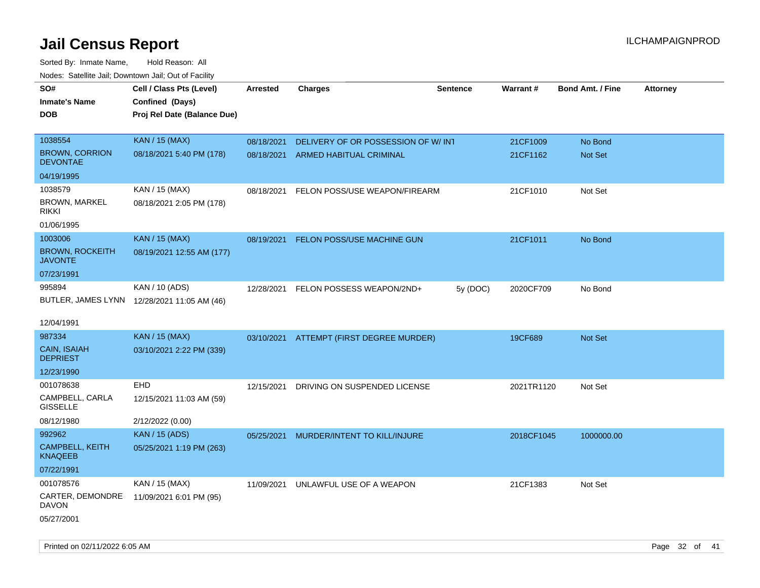Sorted By: Inmate Name, Hold Reason: All Nodes: Satellite Jail; Downtown Jail; Out of Facility

| roaco. Oatomto dan, Downtown dan, Oat or Fability |                                             |                 |                                     |                 |            |                         |                 |
|---------------------------------------------------|---------------------------------------------|-----------------|-------------------------------------|-----------------|------------|-------------------------|-----------------|
| SO#                                               | Cell / Class Pts (Level)                    | <b>Arrested</b> | <b>Charges</b>                      | <b>Sentence</b> | Warrant#   | <b>Bond Amt. / Fine</b> | <b>Attorney</b> |
| <b>Inmate's Name</b>                              | Confined (Days)                             |                 |                                     |                 |            |                         |                 |
| <b>DOB</b>                                        | Proj Rel Date (Balance Due)                 |                 |                                     |                 |            |                         |                 |
|                                                   |                                             |                 |                                     |                 |            |                         |                 |
| 1038554                                           | <b>KAN / 15 (MAX)</b>                       | 08/18/2021      | DELIVERY OF OR POSSESSION OF W/ INT |                 | 21CF1009   | No Bond                 |                 |
| <b>BROWN, CORRION</b><br><b>DEVONTAE</b>          | 08/18/2021 5:40 PM (178)                    | 08/18/2021      | ARMED HABITUAL CRIMINAL             |                 | 21CF1162   | Not Set                 |                 |
| 04/19/1995                                        |                                             |                 |                                     |                 |            |                         |                 |
| 1038579                                           | KAN / 15 (MAX)                              | 08/18/2021      | FELON POSS/USE WEAPON/FIREARM       |                 | 21CF1010   | Not Set                 |                 |
| <b>BROWN, MARKEL</b><br><b>RIKKI</b>              | 08/18/2021 2:05 PM (178)                    |                 |                                     |                 |            |                         |                 |
| 01/06/1995                                        |                                             |                 |                                     |                 |            |                         |                 |
| 1003006                                           | <b>KAN / 15 (MAX)</b>                       | 08/19/2021      | FELON POSS/USE MACHINE GUN          |                 | 21CF1011   | No Bond                 |                 |
| <b>BROWN, ROCKEITH</b><br><b>JAVONTE</b>          | 08/19/2021 12:55 AM (177)                   |                 |                                     |                 |            |                         |                 |
| 07/23/1991                                        |                                             |                 |                                     |                 |            |                         |                 |
| 995894                                            | KAN / 10 (ADS)                              | 12/28/2021      | FELON POSSESS WEAPON/2ND+           | 5y (DOC)        | 2020CF709  | No Bond                 |                 |
|                                                   | BUTLER, JAMES LYNN 12/28/2021 11:05 AM (46) |                 |                                     |                 |            |                         |                 |
|                                                   |                                             |                 |                                     |                 |            |                         |                 |
| 12/04/1991                                        |                                             |                 |                                     |                 |            |                         |                 |
| 987334                                            | KAN / 15 (MAX)                              | 03/10/2021      | ATTEMPT (FIRST DEGREE MURDER)       |                 | 19CF689    | Not Set                 |                 |
| CAIN, ISAIAH<br><b>DEPRIEST</b>                   | 03/10/2021 2:22 PM (339)                    |                 |                                     |                 |            |                         |                 |
| 12/23/1990                                        |                                             |                 |                                     |                 |            |                         |                 |
| 001078638                                         | EHD                                         | 12/15/2021      | DRIVING ON SUSPENDED LICENSE        |                 | 2021TR1120 | Not Set                 |                 |
| CAMPBELL, CARLA<br><b>GISSELLE</b>                | 12/15/2021 11:03 AM (59)                    |                 |                                     |                 |            |                         |                 |
| 08/12/1980                                        | 2/12/2022 (0.00)                            |                 |                                     |                 |            |                         |                 |
| 992962                                            | <b>KAN / 15 (ADS)</b>                       | 05/25/2021      | MURDER/INTENT TO KILL/INJURE        |                 | 2018CF1045 | 1000000.00              |                 |
| CAMPBELL, KEITH<br><b>KNAQEEB</b>                 | 05/25/2021 1:19 PM (263)                    |                 |                                     |                 |            |                         |                 |
| 07/22/1991                                        |                                             |                 |                                     |                 |            |                         |                 |
| 001078576                                         | KAN / 15 (MAX)                              | 11/09/2021      | UNLAWFUL USE OF A WEAPON            |                 | 21CF1383   | Not Set                 |                 |
| CARTER, DEMONDRE<br><b>DAVON</b>                  | 11/09/2021 6:01 PM (95)                     |                 |                                     |                 |            |                         |                 |
| 05/27/2001                                        |                                             |                 |                                     |                 |            |                         |                 |

Printed on 02/11/2022 6:05 AM Page 32 of 41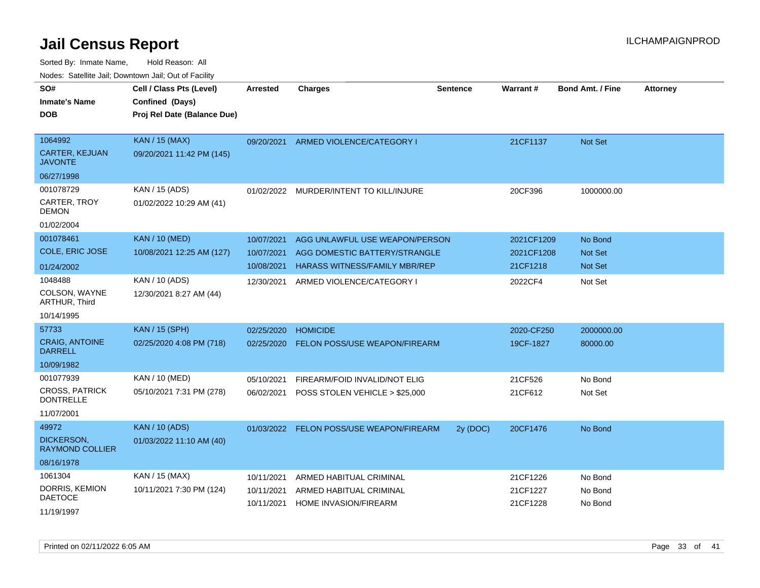| rouco. Calcinic Jan, Downtown Jan, Out of Facility |                                                                            |                          |                                                                 |                 |                          |                         |                 |
|----------------------------------------------------|----------------------------------------------------------------------------|--------------------------|-----------------------------------------------------------------|-----------------|--------------------------|-------------------------|-----------------|
| SO#<br>Inmate's Name<br><b>DOB</b>                 | Cell / Class Pts (Level)<br>Confined (Days)<br>Proj Rel Date (Balance Due) | <b>Arrested</b>          | <b>Charges</b>                                                  | <b>Sentence</b> | Warrant#                 | <b>Bond Amt. / Fine</b> | <b>Attorney</b> |
| 1064992<br><b>CARTER, KEJUAN</b><br>JAVONTE        | <b>KAN / 15 (MAX)</b><br>09/20/2021 11:42 PM (145)                         | 09/20/2021               | ARMED VIOLENCE/CATEGORY I                                       |                 | 21CF1137                 | Not Set                 |                 |
| 06/27/1998                                         |                                                                            |                          |                                                                 |                 |                          |                         |                 |
| 001078729<br>CARTER, TROY<br>DEMON                 | KAN / 15 (ADS)<br>01/02/2022 10:29 AM (41)                                 |                          | 01/02/2022 MURDER/INTENT TO KILL/INJURE                         |                 | 20CF396                  | 1000000.00              |                 |
| 01/02/2004                                         |                                                                            |                          |                                                                 |                 |                          |                         |                 |
| 001078461<br>COLE, ERIC JOSE                       | <b>KAN / 10 (MED)</b><br>10/08/2021 12:25 AM (127)                         | 10/07/2021<br>10/07/2021 | AGG UNLAWFUL USE WEAPON/PERSON<br>AGG DOMESTIC BATTERY/STRANGLE |                 | 2021CF1209<br>2021CF1208 | No Bond<br>Not Set      |                 |
| 01/24/2002                                         |                                                                            | 10/08/2021               | <b>HARASS WITNESS/FAMILY MBR/REP</b>                            |                 | 21CF1218                 | <b>Not Set</b>          |                 |
| 1048488<br>COLSON, WAYNE<br><b>ARTHUR, Third</b>   | KAN / 10 (ADS)<br>12/30/2021 8:27 AM (44)                                  | 12/30/2021               | ARMED VIOLENCE/CATEGORY I                                       |                 | 2022CF4                  | Not Set                 |                 |
| 10/14/1995                                         |                                                                            |                          |                                                                 |                 |                          |                         |                 |
| 57733                                              | <b>KAN / 15 (SPH)</b>                                                      | 02/25/2020               | <b>HOMICIDE</b>                                                 |                 | 2020-CF250               | 2000000.00              |                 |
| <b>CRAIG, ANTOINE</b><br><b>DARRELL</b>            | 02/25/2020 4:08 PM (718)                                                   | 02/25/2020               | <b>FELON POSS/USE WEAPON/FIREARM</b>                            |                 | 19CF-1827                | 80000.00                |                 |
| 10/09/1982                                         |                                                                            |                          |                                                                 |                 |                          |                         |                 |
| 001077939                                          | KAN / 10 (MED)                                                             | 05/10/2021               | FIREARM/FOID INVALID/NOT ELIG                                   |                 | 21CF526                  | No Bond                 |                 |
| <b>CROSS, PATRICK</b><br><b>DONTRELLE</b>          | 05/10/2021 7:31 PM (278)                                                   | 06/02/2021               | POSS STOLEN VEHICLE > \$25,000                                  |                 | 21CF612                  | Not Set                 |                 |
| 11/07/2001                                         |                                                                            |                          |                                                                 |                 |                          |                         |                 |
| 49972                                              | <b>KAN / 10 (ADS)</b>                                                      | 01/03/2022               | FELON POSS/USE WEAPON/FIREARM                                   | 2y (DOC)        | 20CF1476                 | No Bond                 |                 |
| DICKERSON,<br>RAYMOND COLLIER                      | 01/03/2022 11:10 AM (40)                                                   |                          |                                                                 |                 |                          |                         |                 |
| 08/16/1978                                         |                                                                            |                          |                                                                 |                 |                          |                         |                 |
| 1061304                                            | KAN / 15 (MAX)                                                             | 10/11/2021               | ARMED HABITUAL CRIMINAL                                         |                 | 21CF1226                 | No Bond                 |                 |
| DORRIS, KEMION<br><b>DAETOCE</b>                   | 10/11/2021 7:30 PM (124)                                                   | 10/11/2021<br>10/11/2021 | ARMED HABITUAL CRIMINAL<br>HOME INVASION/FIREARM                |                 | 21CF1227<br>21CF1228     | No Bond<br>No Bond      |                 |
| 11/19/1997                                         |                                                                            |                          |                                                                 |                 |                          |                         |                 |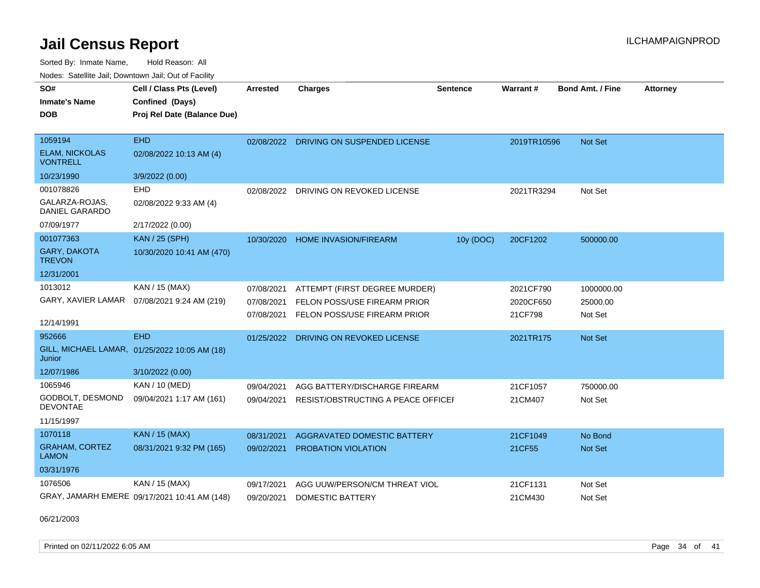Sorted By: Inmate Name, Hold Reason: All Nodes: Satellite Jail; Downtown Jail; Out of Facility

| SO#<br><b>Inmate's Name</b>              | Cell / Class Pts (Level)<br>Confined (Days)   | Arrested   | <b>Charges</b>                          | <b>Sentence</b> | <b>Warrant#</b> | Bond Amt. / Fine | <b>Attorney</b> |
|------------------------------------------|-----------------------------------------------|------------|-----------------------------------------|-----------------|-----------------|------------------|-----------------|
| <b>DOB</b>                               | Proj Rel Date (Balance Due)                   |            |                                         |                 |                 |                  |                 |
|                                          |                                               |            |                                         |                 |                 |                  |                 |
| 1059194                                  | <b>EHD</b>                                    |            | 02/08/2022 DRIVING ON SUSPENDED LICENSE |                 | 2019TR10596     | Not Set          |                 |
| <b>ELAM, NICKOLAS</b><br><b>VONTRELL</b> | 02/08/2022 10:13 AM (4)                       |            |                                         |                 |                 |                  |                 |
| 10/23/1990                               | 3/9/2022 (0.00)                               |            |                                         |                 |                 |                  |                 |
| 001078826                                | EHD                                           | 02/08/2022 | DRIVING ON REVOKED LICENSE              |                 | 2021TR3294      | Not Set          |                 |
| GALARZA-ROJAS.<br><b>DANIEL GARARDO</b>  | 02/08/2022 9:33 AM (4)                        |            |                                         |                 |                 |                  |                 |
| 07/09/1977                               | 2/17/2022 (0.00)                              |            |                                         |                 |                 |                  |                 |
| 001077363                                | <b>KAN / 25 (SPH)</b>                         |            | 10/30/2020 HOME INVASION/FIREARM        | 10y (DOC)       | 20CF1202        | 500000.00        |                 |
| <b>GARY, DAKOTA</b><br><b>TREVON</b>     | 10/30/2020 10:41 AM (470)                     |            |                                         |                 |                 |                  |                 |
| 12/31/2001                               |                                               |            |                                         |                 |                 |                  |                 |
| 1013012                                  | KAN / 15 (MAX)                                | 07/08/2021 | ATTEMPT (FIRST DEGREE MURDER)           |                 | 2021CF790       | 1000000.00       |                 |
| GARY, XAVIER LAMAR                       | 07/08/2021 9:24 AM (219)                      | 07/08/2021 | FELON POSS/USE FIREARM PRIOR            |                 | 2020CF650       | 25000.00         |                 |
|                                          |                                               | 07/08/2021 | FELON POSS/USE FIREARM PRIOR            |                 | 21CF798         | Not Set          |                 |
| 12/14/1991                               |                                               |            |                                         |                 |                 |                  |                 |
| 952666                                   | <b>EHD</b>                                    | 01/25/2022 | DRIVING ON REVOKED LICENSE              |                 | 2021TR175       | <b>Not Set</b>   |                 |
| Junior                                   | GILL, MICHAEL LAMAR, 01/25/2022 10:05 AM (18) |            |                                         |                 |                 |                  |                 |
| 12/07/1986                               | 3/10/2022 (0.00)                              |            |                                         |                 |                 |                  |                 |
| 1065946                                  | KAN / 10 (MED)                                | 09/04/2021 | AGG BATTERY/DISCHARGE FIREARM           |                 | 21CF1057        | 750000.00        |                 |
| GODBOLT, DESMOND<br><b>DEVONTAE</b>      | 09/04/2021 1:17 AM (161)                      | 09/04/2021 | RESIST/OBSTRUCTING A PEACE OFFICEL      |                 | 21CM407         | Not Set          |                 |
| 11/15/1997                               |                                               |            |                                         |                 |                 |                  |                 |
| 1070118                                  | <b>KAN / 15 (MAX)</b>                         | 08/31/2021 | <b>AGGRAVATED DOMESTIC BATTERY</b>      |                 | 21CF1049        | No Bond          |                 |
| <b>GRAHAM, CORTEZ</b><br><b>LAMON</b>    | 08/31/2021 9:32 PM (165)                      | 09/02/2021 | <b>PROBATION VIOLATION</b>              |                 | 21CF55          | Not Set          |                 |
| 03/31/1976                               |                                               |            |                                         |                 |                 |                  |                 |
| 1076506                                  | KAN / 15 (MAX)                                | 09/17/2021 | AGG UUW/PERSON/CM THREAT VIOL           |                 | 21CF1131        | Not Set          |                 |
|                                          | GRAY, JAMARH EMERE 09/17/2021 10:41 AM (148)  | 09/20/2021 | <b>DOMESTIC BATTERY</b>                 |                 | 21CM430         | Not Set          |                 |

06/21/2003

Printed on 02/11/2022 6:05 AM **Page 34 of 41**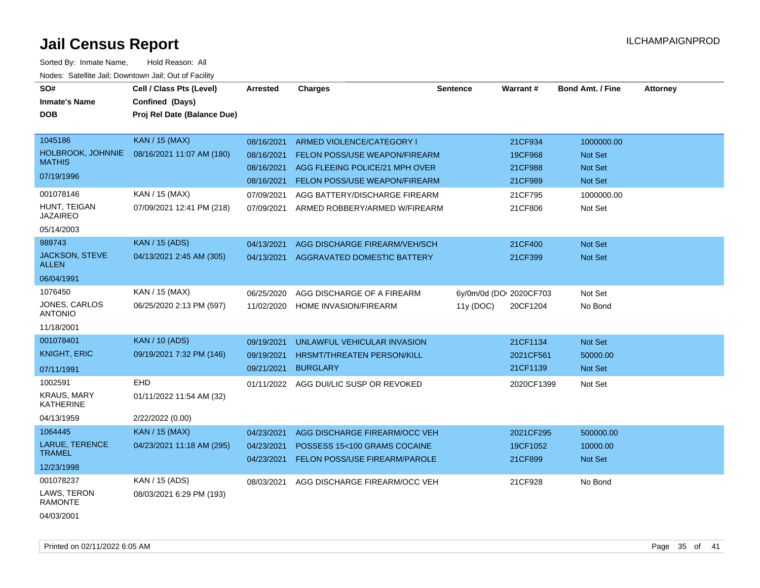| SO#<br><b>Inmate's Name</b><br><b>DOB</b>                                                           | Cell / Class Pts (Level)<br>Confined (Days)<br>Proj Rel Date (Balance Due)                  | <b>Arrested</b>                                      | <b>Charges</b>                                                                                                                              | <b>Sentence</b>                      | Warrant#                                        | <b>Bond Amt. / Fine</b>                            | <b>Attorney</b> |
|-----------------------------------------------------------------------------------------------------|---------------------------------------------------------------------------------------------|------------------------------------------------------|---------------------------------------------------------------------------------------------------------------------------------------------|--------------------------------------|-------------------------------------------------|----------------------------------------------------|-----------------|
| 1045186<br>HOLBROOK, JOHNNIE<br><b>MATHIS</b><br>07/19/1996                                         | <b>KAN / 15 (MAX)</b><br>08/16/2021 11:07 AM (180)                                          | 08/16/2021<br>08/16/2021<br>08/16/2021<br>08/16/2021 | ARMED VIOLENCE/CATEGORY I<br><b>FELON POSS/USE WEAPON/FIREARM</b><br>AGG FLEEING POLICE/21 MPH OVER<br><b>FELON POSS/USE WEAPON/FIREARM</b> |                                      | 21CF934<br>19CF968<br>21CF988<br>21CF989        | 1000000.00<br>Not Set<br><b>Not Set</b><br>Not Set |                 |
| 001078146<br>HUNT, TEIGAN<br><b>JAZAIREO</b><br>05/14/2003                                          | KAN / 15 (MAX)<br>07/09/2021 12:41 PM (218)                                                 | 07/09/2021<br>07/09/2021                             | AGG BATTERY/DISCHARGE FIREARM<br>ARMED ROBBERY/ARMED W/FIREARM                                                                              |                                      | 21CF795<br>21CF806                              | 1000000.00<br>Not Set                              |                 |
| 989743<br>JACKSON, STEVE<br><b>ALLEN</b><br>06/04/1991                                              | <b>KAN / 15 (ADS)</b><br>04/13/2021 2:45 AM (305)                                           | 04/13/2021<br>04/13/2021                             | AGG DISCHARGE FIREARM/VEH/SCH<br>AGGRAVATED DOMESTIC BATTERY                                                                                |                                      | 21CF400<br>21CF399                              | Not Set<br>Not Set                                 |                 |
| 1076450<br>JONES, CARLOS<br><b>ANTONIO</b><br>11/18/2001                                            | KAN / 15 (MAX)<br>06/25/2020 2:13 PM (597)                                                  | 06/25/2020<br>11/02/2020                             | AGG DISCHARGE OF A FIREARM<br>HOME INVASION/FIREARM                                                                                         | 6y/0m/0d (DOI 2020CF703<br>11y (DOC) | 20CF1204                                        | Not Set<br>No Bond                                 |                 |
| 001078401<br><b>KNIGHT, ERIC</b><br>07/11/1991<br>1002591<br><b>KRAUS, MARY</b><br><b>KATHERINE</b> | <b>KAN / 10 (ADS)</b><br>09/19/2021 7:32 PM (146)<br><b>EHD</b><br>01/11/2022 11:54 AM (32) | 09/19/2021<br>09/19/2021<br>09/21/2021<br>01/11/2022 | UNLAWFUL VEHICULAR INVASION<br>HRSMT/THREATEN PERSON/KILL<br><b>BURGLARY</b><br>AGG DUI/LIC SUSP OR REVOKED                                 |                                      | 21CF1134<br>2021CF561<br>21CF1139<br>2020CF1399 | Not Set<br>50000.00<br>Not Set<br>Not Set          |                 |
| 04/13/1959<br>1064445<br>LARUE, TERENCE<br><b>TRAMEL</b><br>12/23/1998                              | 2/22/2022 (0.00)<br><b>KAN / 15 (MAX)</b><br>04/23/2021 11:18 AM (295)                      | 04/23/2021<br>04/23/2021<br>04/23/2021               | AGG DISCHARGE FIREARM/OCC VEH<br>POSSESS 15<100 GRAMS COCAINE<br>FELON POSS/USE FIREARM/PAROLE                                              |                                      | 2021CF295<br>19CF1052<br>21CF899                | 500000.00<br>10000.00<br>Not Set                   |                 |
| 001078237<br>LAWS, TERON<br><b>RAMONTE</b><br>04/03/2001                                            | KAN / 15 (ADS)<br>08/03/2021 6:29 PM (193)                                                  | 08/03/2021                                           | AGG DISCHARGE FIREARM/OCC VEH                                                                                                               |                                      | 21CF928                                         | No Bond                                            |                 |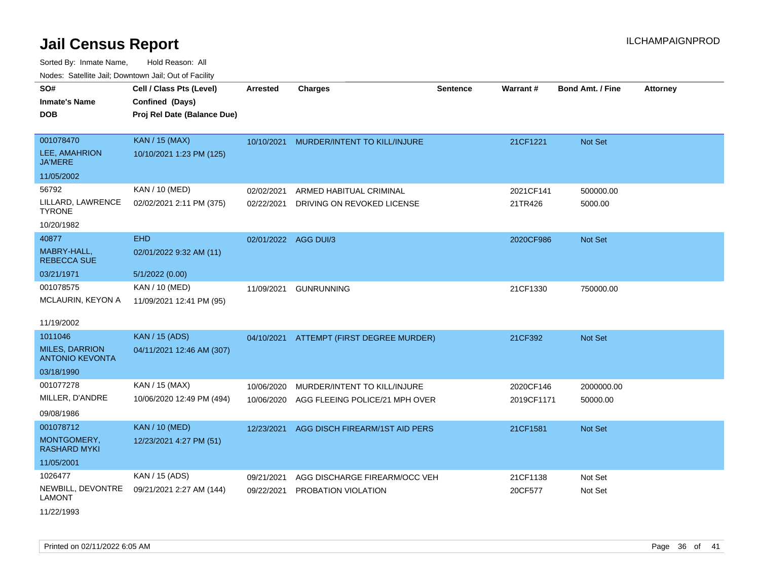Sorted By: Inmate Name, Hold Reason: All Nodes: Satellite Jail; Downtown Jail; Out of Facility

| Noucs. Calcinic Jail, Downtown Jail, Out of Facility |                             |                      |                                          |                 |            |                         |                 |
|------------------------------------------------------|-----------------------------|----------------------|------------------------------------------|-----------------|------------|-------------------------|-----------------|
| SO#                                                  | Cell / Class Pts (Level)    | <b>Arrested</b>      | <b>Charges</b>                           | <b>Sentence</b> | Warrant#   | <b>Bond Amt. / Fine</b> | <b>Attorney</b> |
| <b>Inmate's Name</b>                                 | Confined (Days)             |                      |                                          |                 |            |                         |                 |
| <b>DOB</b>                                           | Proj Rel Date (Balance Due) |                      |                                          |                 |            |                         |                 |
|                                                      |                             |                      |                                          |                 |            |                         |                 |
| 001078470                                            | <b>KAN / 15 (MAX)</b>       | 10/10/2021           | MURDER/INTENT TO KILL/INJURE             |                 | 21CF1221   | <b>Not Set</b>          |                 |
| <b>LEE, AMAHRION</b><br>JA'MERE                      | 10/10/2021 1:23 PM (125)    |                      |                                          |                 |            |                         |                 |
| 11/05/2002                                           |                             |                      |                                          |                 |            |                         |                 |
| 56792                                                | KAN / 10 (MED)              | 02/02/2021           | ARMED HABITUAL CRIMINAL                  |                 | 2021CF141  | 500000.00               |                 |
| LILLARD, LAWRENCE<br>TYRONE                          | 02/02/2021 2:11 PM (375)    | 02/22/2021           | DRIVING ON REVOKED LICENSE               |                 | 21TR426    | 5000.00                 |                 |
| 10/20/1982                                           |                             |                      |                                          |                 |            |                         |                 |
| 40877                                                | <b>EHD</b>                  | 02/01/2022 AGG DUI/3 |                                          |                 | 2020CF986  | <b>Not Set</b>          |                 |
| MABRY-HALL,<br><b>REBECCA SUE</b>                    | 02/01/2022 9:32 AM (11)     |                      |                                          |                 |            |                         |                 |
| 03/21/1971                                           | 5/1/2022 (0.00)             |                      |                                          |                 |            |                         |                 |
| 001078575                                            | KAN / 10 (MED)              | 11/09/2021           | <b>GUNRUNNING</b>                        |                 | 21CF1330   | 750000.00               |                 |
| MCLAURIN, KEYON A                                    | 11/09/2021 12:41 PM (95)    |                      |                                          |                 |            |                         |                 |
| 11/19/2002                                           |                             |                      |                                          |                 |            |                         |                 |
| 1011046                                              | <b>KAN / 15 (ADS)</b>       |                      | 04/10/2021 ATTEMPT (FIRST DEGREE MURDER) |                 | 21CF392    | <b>Not Set</b>          |                 |
| <b>MILES, DARRION</b><br><b>ANTONIO KEVONTA</b>      | 04/11/2021 12:46 AM (307)   |                      |                                          |                 |            |                         |                 |
| 03/18/1990                                           |                             |                      |                                          |                 |            |                         |                 |
| 001077278                                            | KAN / 15 (MAX)              | 10/06/2020           | MURDER/INTENT TO KILL/INJURE             |                 | 2020CF146  | 2000000.00              |                 |
| MILLER, D'ANDRE                                      | 10/06/2020 12:49 PM (494)   | 10/06/2020           | AGG FLEEING POLICE/21 MPH OVER           |                 | 2019CF1171 | 50000.00                |                 |
| 09/08/1986                                           |                             |                      |                                          |                 |            |                         |                 |
| 001078712                                            | <b>KAN / 10 (MED)</b>       | 12/23/2021           | AGG DISCH FIREARM/1ST AID PERS           |                 | 21CF1581   | <b>Not Set</b>          |                 |
| MONTGOMERY,<br>RASHARD MYKI                          | 12/23/2021 4:27 PM (51)     |                      |                                          |                 |            |                         |                 |
| 11/05/2001                                           |                             |                      |                                          |                 |            |                         |                 |
| 1026477                                              | KAN / 15 (ADS)              | 09/21/2021           | AGG DISCHARGE FIREARM/OCC VEH            |                 | 21CF1138   | Not Set                 |                 |
| NEWBILL, DEVONTRE<br>LAMONT                          | 09/21/2021 2:27 AM (144)    | 09/22/2021           | PROBATION VIOLATION                      |                 | 20CF577    | Not Set                 |                 |

11/22/1993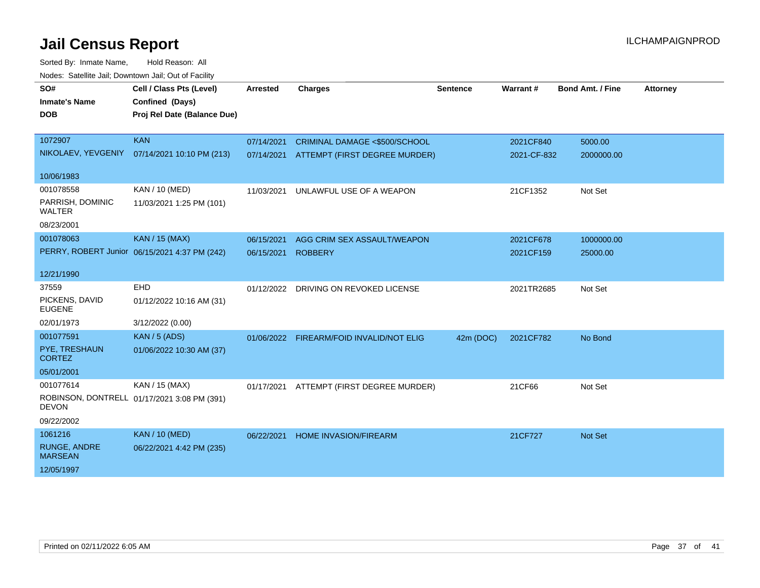| vouco. Odichite Jail, Downtown Jail, Out of Facility |                                               |            |                                          |                 |             |                  |                 |  |
|------------------------------------------------------|-----------------------------------------------|------------|------------------------------------------|-----------------|-------------|------------------|-----------------|--|
| SO#                                                  | Cell / Class Pts (Level)                      | Arrested   | <b>Charges</b>                           | <b>Sentence</b> | Warrant#    | Bond Amt. / Fine | <b>Attorney</b> |  |
| <b>Inmate's Name</b>                                 | Confined (Days)                               |            |                                          |                 |             |                  |                 |  |
| <b>DOB</b>                                           | Proj Rel Date (Balance Due)                   |            |                                          |                 |             |                  |                 |  |
|                                                      |                                               |            |                                          |                 |             |                  |                 |  |
| 1072907                                              | <b>KAN</b>                                    | 07/14/2021 | CRIMINAL DAMAGE <\$500/SCHOOL            |                 | 2021CF840   | 5000.00          |                 |  |
| NIKOLAEV, YEVGENIY                                   | 07/14/2021 10:10 PM (213)                     | 07/14/2021 | ATTEMPT (FIRST DEGREE MURDER)            |                 | 2021-CF-832 | 2000000.00       |                 |  |
| 10/06/1983                                           |                                               |            |                                          |                 |             |                  |                 |  |
| 001078558                                            | KAN / 10 (MED)                                | 11/03/2021 | UNLAWFUL USE OF A WEAPON                 |                 | 21CF1352    | Not Set          |                 |  |
| PARRISH, DOMINIC<br><b>WALTER</b>                    | 11/03/2021 1:25 PM (101)                      |            |                                          |                 |             |                  |                 |  |
| 08/23/2001                                           |                                               |            |                                          |                 |             |                  |                 |  |
| 001078063                                            | <b>KAN / 15 (MAX)</b>                         | 06/15/2021 | AGG CRIM SEX ASSAULT/WEAPON              |                 | 2021CF678   | 1000000.00       |                 |  |
|                                                      | PERRY, ROBERT Junior 06/15/2021 4:37 PM (242) | 06/15/2021 | <b>ROBBERY</b>                           |                 | 2021CF159   | 25000.00         |                 |  |
|                                                      |                                               |            |                                          |                 |             |                  |                 |  |
| 12/21/1990                                           |                                               |            |                                          |                 |             |                  |                 |  |
| 37559                                                | EHD                                           |            | 01/12/2022 DRIVING ON REVOKED LICENSE    |                 | 2021TR2685  | Not Set          |                 |  |
| PICKENS, DAVID<br><b>EUGENE</b>                      | 01/12/2022 10:16 AM (31)                      |            |                                          |                 |             |                  |                 |  |
| 02/01/1973                                           | 3/12/2022 (0.00)                              |            |                                          |                 |             |                  |                 |  |
| 001077591                                            | <b>KAN / 5 (ADS)</b>                          |            | 01/06/2022 FIREARM/FOID INVALID/NOT ELIG | 42m (DOC)       | 2021CF782   | No Bond          |                 |  |
| PYE, TRESHAUN<br><b>CORTEZ</b>                       | 01/06/2022 10:30 AM (37)                      |            |                                          |                 |             |                  |                 |  |
| 05/01/2001                                           |                                               |            |                                          |                 |             |                  |                 |  |
| 001077614                                            | KAN / 15 (MAX)                                | 01/17/2021 | ATTEMPT (FIRST DEGREE MURDER)            |                 | 21CF66      | Not Set          |                 |  |
| <b>DEVON</b>                                         | ROBINSON, DONTRELL 01/17/2021 3:08 PM (391)   |            |                                          |                 |             |                  |                 |  |
| 09/22/2002                                           |                                               |            |                                          |                 |             |                  |                 |  |
| 1061216                                              | <b>KAN / 10 (MED)</b>                         | 06/22/2021 | <b>HOME INVASION/FIREARM</b>             |                 | 21CF727     | Not Set          |                 |  |
| <b>RUNGE, ANDRE</b><br><b>MARSEAN</b>                | 06/22/2021 4:42 PM (235)                      |            |                                          |                 |             |                  |                 |  |
| 12/05/1997                                           |                                               |            |                                          |                 |             |                  |                 |  |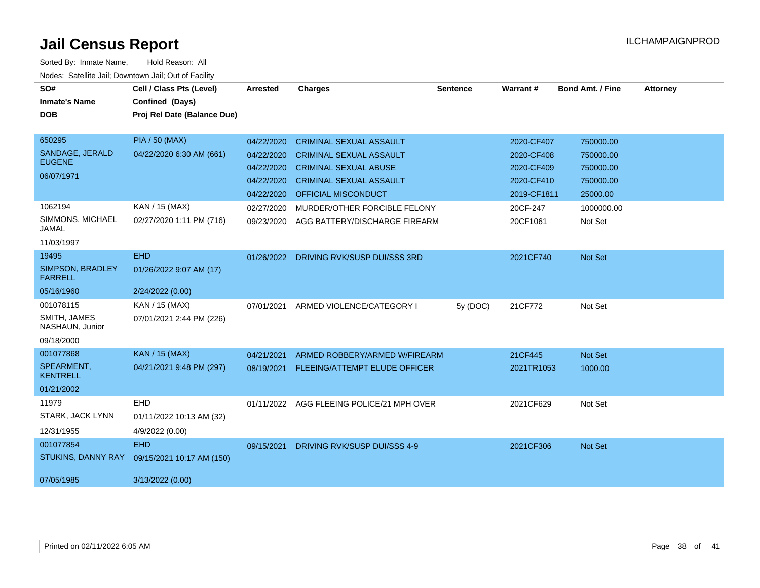| SO#<br><b>Inmate's Name</b>        | Cell / Class Pts (Level)<br>Confined (Days) | <b>Arrested</b> | <b>Charges</b>                 | <b>Sentence</b> | <b>Warrant#</b> | <b>Bond Amt. / Fine</b> | <b>Attorney</b> |
|------------------------------------|---------------------------------------------|-----------------|--------------------------------|-----------------|-----------------|-------------------------|-----------------|
| <b>DOB</b>                         | Proj Rel Date (Balance Due)                 |                 |                                |                 |                 |                         |                 |
| 650295                             | <b>PIA / 50 (MAX)</b>                       | 04/22/2020      | <b>CRIMINAL SEXUAL ASSAULT</b> |                 | 2020-CF407      | 750000.00               |                 |
| SANDAGE, JERALD                    | 04/22/2020 6:30 AM (661)                    | 04/22/2020      | <b>CRIMINAL SEXUAL ASSAULT</b> |                 | 2020-CF408      | 750000.00               |                 |
| <b>EUGENE</b>                      |                                             | 04/22/2020      | <b>CRIMINAL SEXUAL ABUSE</b>   |                 | 2020-CF409      | 750000.00               |                 |
| 06/07/1971                         |                                             | 04/22/2020      | <b>CRIMINAL SEXUAL ASSAULT</b> |                 | 2020-CF410      | 750000.00               |                 |
|                                    |                                             | 04/22/2020      | <b>OFFICIAL MISCONDUCT</b>     |                 | 2019-CF1811     | 25000.00                |                 |
| 1062194                            | KAN / 15 (MAX)                              | 02/27/2020      | MURDER/OTHER FORCIBLE FELONY   |                 | 20CF-247        | 1000000.00              |                 |
| SIMMONS, MICHAEL<br><b>JAMAL</b>   | 02/27/2020 1:11 PM (716)                    | 09/23/2020      | AGG BATTERY/DISCHARGE FIREARM  |                 | 20CF1061        | Not Set                 |                 |
| 11/03/1997                         |                                             |                 |                                |                 |                 |                         |                 |
| 19495                              | <b>EHD</b>                                  | 01/26/2022      | DRIVING RVK/SUSP DUI/SSS 3RD   |                 | 2021CF740       | Not Set                 |                 |
| SIMPSON, BRADLEY<br><b>FARRELL</b> | 01/26/2022 9:07 AM (17)                     |                 |                                |                 |                 |                         |                 |
| 05/16/1960                         | 2/24/2022 (0.00)                            |                 |                                |                 |                 |                         |                 |
| 001078115                          | KAN / 15 (MAX)                              | 07/01/2021      | ARMED VIOLENCE/CATEGORY I      | 5y (DOC)        | 21CF772         | Not Set                 |                 |
| SMITH, JAMES<br>NASHAUN, Junior    | 07/01/2021 2:44 PM (226)                    |                 |                                |                 |                 |                         |                 |
| 09/18/2000                         |                                             |                 |                                |                 |                 |                         |                 |
| 001077868                          | <b>KAN / 15 (MAX)</b>                       | 04/21/2021      | ARMED ROBBERY/ARMED W/FIREARM  |                 | 21CF445         | Not Set                 |                 |
| SPEARMENT.<br><b>KENTRELL</b>      | 04/21/2021 9:48 PM (297)                    | 08/19/2021      | FLEEING/ATTEMPT ELUDE OFFICER  |                 | 2021TR1053      | 1000.00                 |                 |
| 01/21/2002                         |                                             |                 |                                |                 |                 |                         |                 |
| 11979                              | EHD                                         | 01/11/2022      | AGG FLEEING POLICE/21 MPH OVER |                 | 2021CF629       | Not Set                 |                 |
| STARK, JACK LYNN                   | 01/11/2022 10:13 AM (32)                    |                 |                                |                 |                 |                         |                 |
| 12/31/1955                         | 4/9/2022 (0.00)                             |                 |                                |                 |                 |                         |                 |
| 001077854                          | <b>EHD</b>                                  | 09/15/2021      | DRIVING RVK/SUSP DUI/SSS 4-9   |                 | 2021CF306       | Not Set                 |                 |
| <b>STUKINS, DANNY RAY</b>          | 09/15/2021 10:17 AM (150)                   |                 |                                |                 |                 |                         |                 |
| 07/05/1985                         | 3/13/2022 (0.00)                            |                 |                                |                 |                 |                         |                 |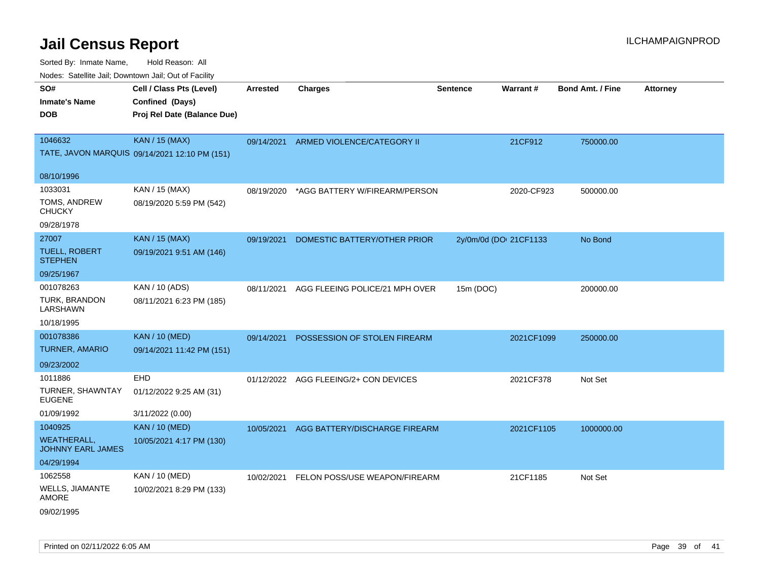Sorted By: Inmate Name, Hold Reason: All

| Nodes: Satellite Jail; Downtown Jail; Out of Facility |                                               |                 |                                          |                 |                        |                         |                 |  |  |
|-------------------------------------------------------|-----------------------------------------------|-----------------|------------------------------------------|-----------------|------------------------|-------------------------|-----------------|--|--|
| SO#                                                   | Cell / Class Pts (Level)                      | <b>Arrested</b> | <b>Charges</b>                           | <b>Sentence</b> | Warrant#               | <b>Bond Amt. / Fine</b> | <b>Attorney</b> |  |  |
| <b>Inmate's Name</b>                                  | Confined (Days)                               |                 |                                          |                 |                        |                         |                 |  |  |
| <b>DOB</b>                                            | Proj Rel Date (Balance Due)                   |                 |                                          |                 |                        |                         |                 |  |  |
|                                                       |                                               |                 |                                          |                 |                        |                         |                 |  |  |
| 1046632                                               | <b>KAN / 15 (MAX)</b>                         |                 | 09/14/2021 ARMED VIOLENCE/CATEGORY II    |                 | 21CF912                | 750000.00               |                 |  |  |
|                                                       | TATE, JAVON MARQUIS 09/14/2021 12:10 PM (151) |                 |                                          |                 |                        |                         |                 |  |  |
| 08/10/1996                                            |                                               |                 |                                          |                 |                        |                         |                 |  |  |
| 1033031                                               | KAN / 15 (MAX)                                | 08/19/2020      | *AGG BATTERY W/FIREARM/PERSON            |                 | 2020-CF923             | 500000.00               |                 |  |  |
| TOMS, ANDREW<br><b>CHUCKY</b>                         | 08/19/2020 5:59 PM (542)                      |                 |                                          |                 |                        |                         |                 |  |  |
| 09/28/1978                                            |                                               |                 |                                          |                 |                        |                         |                 |  |  |
| 27007                                                 | <b>KAN / 15 (MAX)</b>                         | 09/19/2021      | DOMESTIC BATTERY/OTHER PRIOR             |                 | 2y/0m/0d (DOI 21CF1133 | No Bond                 |                 |  |  |
| TUELL, ROBERT<br><b>STEPHEN</b>                       | 09/19/2021 9:51 AM (146)                      |                 |                                          |                 |                        |                         |                 |  |  |
| 09/25/1967                                            |                                               |                 |                                          |                 |                        |                         |                 |  |  |
| 001078263                                             | KAN / 10 (ADS)                                | 08/11/2021      | AGG FLEEING POLICE/21 MPH OVER           | 15m (DOC)       |                        | 200000.00               |                 |  |  |
| TURK, BRANDON<br>LARSHAWN                             | 08/11/2021 6:23 PM (185)                      |                 |                                          |                 |                        |                         |                 |  |  |
| 10/18/1995                                            |                                               |                 |                                          |                 |                        |                         |                 |  |  |
| 001078386                                             | <b>KAN / 10 (MED)</b>                         | 09/14/2021      | POSSESSION OF STOLEN FIREARM             |                 | 2021CF1099             | 250000.00               |                 |  |  |
| <b>TURNER, AMARIO</b>                                 | 09/14/2021 11:42 PM (151)                     |                 |                                          |                 |                        |                         |                 |  |  |
| 09/23/2002                                            |                                               |                 |                                          |                 |                        |                         |                 |  |  |
| 1011886                                               | EHD                                           |                 | 01/12/2022 AGG FLEEING/2+ CON DEVICES    |                 | 2021CF378              | Not Set                 |                 |  |  |
| TURNER, SHAWNTAY<br><b>EUGENE</b>                     | 01/12/2022 9:25 AM (31)                       |                 |                                          |                 |                        |                         |                 |  |  |
| 01/09/1992                                            | 3/11/2022 (0.00)                              |                 |                                          |                 |                        |                         |                 |  |  |
| 1040925                                               | <b>KAN / 10 (MED)</b>                         | 10/05/2021      | AGG BATTERY/DISCHARGE FIREARM            |                 | 2021CF1105             | 1000000.00              |                 |  |  |
| <b>WEATHERALL,</b><br><b>JOHNNY EARL JAMES</b>        | 10/05/2021 4:17 PM (130)                      |                 |                                          |                 |                        |                         |                 |  |  |
| 04/29/1994                                            |                                               |                 |                                          |                 |                        |                         |                 |  |  |
| 1062558                                               | <b>KAN / 10 (MED)</b>                         |                 | 10/02/2021 FELON POSS/USE WEAPON/FIREARM |                 | 21CF1185               | Not Set                 |                 |  |  |
| WELLS, JIAMANTE<br><b>AMORE</b>                       | 10/02/2021 8:29 PM (133)                      |                 |                                          |                 |                        |                         |                 |  |  |
| 09/02/1995                                            |                                               |                 |                                          |                 |                        |                         |                 |  |  |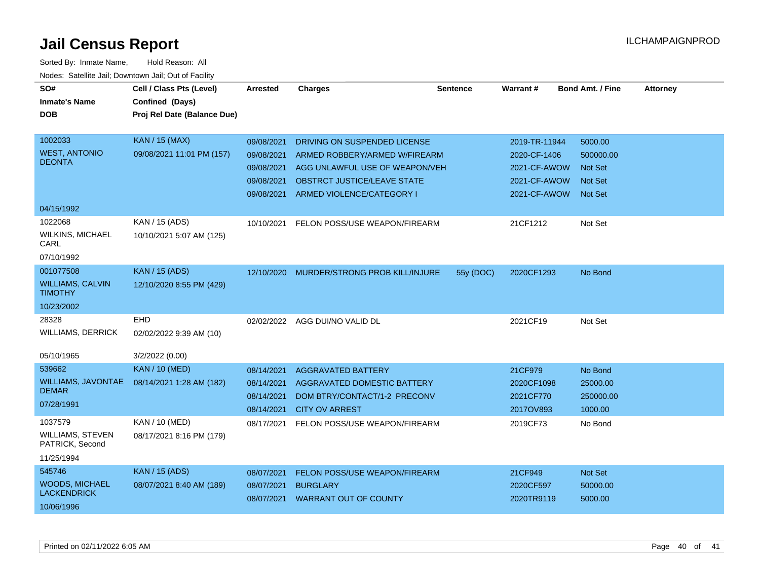| SO#<br><b>Inmate's Name</b><br><b>DOB</b>                           | Cell / Class Pts (Level)<br>Confined (Days)<br>Proj Rel Date (Balance Due) | <b>Arrested</b>                                      | <b>Charges</b>                                                                                                    | <b>Sentence</b> | Warrant#                                        | <b>Bond Amt. / Fine</b>                            | <b>Attorney</b> |
|---------------------------------------------------------------------|----------------------------------------------------------------------------|------------------------------------------------------|-------------------------------------------------------------------------------------------------------------------|-----------------|-------------------------------------------------|----------------------------------------------------|-----------------|
| 1002033<br><b>WEST, ANTONIO</b>                                     | <b>KAN / 15 (MAX)</b><br>09/08/2021 11:01 PM (157)                         | 09/08/2021<br>09/08/2021                             | DRIVING ON SUSPENDED LICENSE<br>ARMED ROBBERY/ARMED W/FIREARM                                                     |                 | 2019-TR-11944<br>2020-CF-1406                   | 5000.00<br>500000.00                               |                 |
| <b>DEONTA</b>                                                       |                                                                            | 09/08/2021<br>09/08/2021<br>09/08/2021               | AGG UNLAWFUL USE OF WEAPON/VEH<br><b>OBSTRCT JUSTICE/LEAVE STATE</b><br>ARMED VIOLENCE/CATEGORY I                 |                 | 2021-CF-AWOW<br>2021-CF-AWOW<br>2021-CF-AWOW    | <b>Not Set</b><br><b>Not Set</b><br><b>Not Set</b> |                 |
| 04/15/1992                                                          |                                                                            |                                                      |                                                                                                                   |                 |                                                 |                                                    |                 |
| 1022068<br><b>WILKINS, MICHAEL</b><br>CARL                          | KAN / 15 (ADS)<br>10/10/2021 5:07 AM (125)                                 | 10/10/2021                                           | FELON POSS/USE WEAPON/FIREARM                                                                                     |                 | 21CF1212                                        | Not Set                                            |                 |
| 07/10/1992                                                          |                                                                            |                                                      |                                                                                                                   |                 |                                                 |                                                    |                 |
| 001077508<br><b>WILLIAMS, CALVIN</b><br><b>TIMOTHY</b>              | <b>KAN / 15 (ADS)</b><br>12/10/2020 8:55 PM (429)                          | 12/10/2020                                           | MURDER/STRONG PROB KILL/INJURE                                                                                    | 55y (DOC)       | 2020CF1293                                      | No Bond                                            |                 |
| 10/23/2002                                                          |                                                                            |                                                      |                                                                                                                   |                 |                                                 |                                                    |                 |
| 28328<br><b>WILLIAMS, DERRICK</b>                                   | EHD<br>02/02/2022 9:39 AM (10)                                             |                                                      | 02/02/2022 AGG DUI/NO VALID DL                                                                                    |                 | 2021CF19                                        | Not Set                                            |                 |
| 05/10/1965                                                          | 3/2/2022 (0.00)                                                            |                                                      |                                                                                                                   |                 |                                                 |                                                    |                 |
| 539662<br><b>WILLIAMS, JAVONTAE</b><br><b>DEMAR</b><br>07/28/1991   | <b>KAN / 10 (MED)</b><br>08/14/2021 1:28 AM (182)                          | 08/14/2021<br>08/14/2021<br>08/14/2021<br>08/14/2021 | <b>AGGRAVATED BATTERY</b><br>AGGRAVATED DOMESTIC BATTERY<br>DOM BTRY/CONTACT/1-2 PRECONV<br><b>CITY OV ARREST</b> |                 | 21CF979<br>2020CF1098<br>2021CF770<br>2017OV893 | No Bond<br>25000.00<br>250000.00<br>1000.00        |                 |
| 1037579<br><b>WILLIAMS, STEVEN</b><br>PATRICK, Second<br>11/25/1994 | KAN / 10 (MED)<br>08/17/2021 8:16 PM (179)                                 | 08/17/2021                                           | FELON POSS/USE WEAPON/FIREARM                                                                                     |                 | 2019CF73                                        | No Bond                                            |                 |
| 545746<br><b>WOODS, MICHAEL</b><br><b>LACKENDRICK</b><br>10/06/1996 | <b>KAN / 15 (ADS)</b><br>08/07/2021 8:40 AM (189)                          | 08/07/2021<br>08/07/2021                             | FELON POSS/USE WEAPON/FIREARM<br><b>BURGLARY</b><br>08/07/2021 WARRANT OUT OF COUNTY                              |                 | 21CF949<br>2020CF597<br>2020TR9119              | Not Set<br>50000.00<br>5000.00                     |                 |